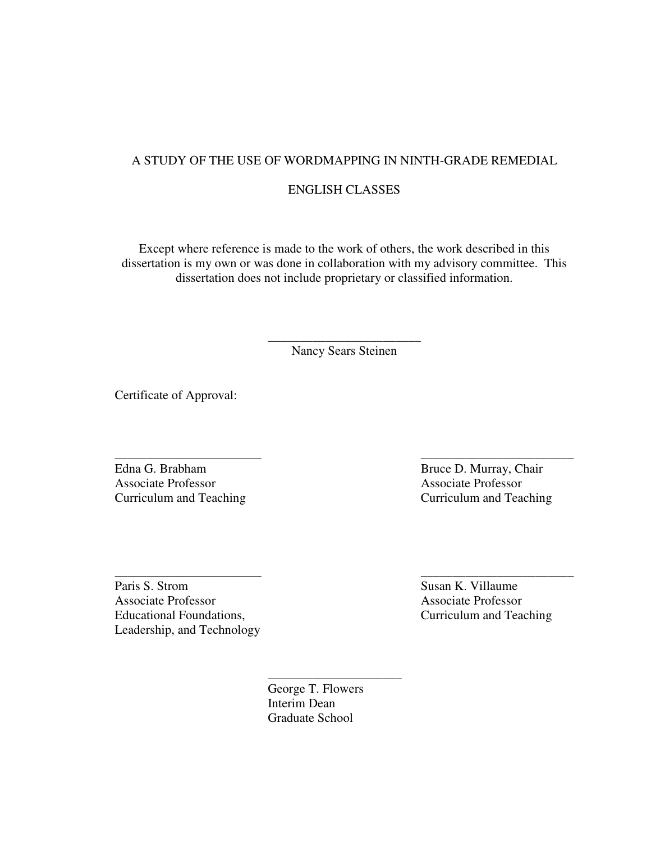### A STUDY OF THE USE OF WORDMAPPING IN NINTH-GRADE REMEDIAL

### ENGLISH CLASSES

Except where reference is made to the work of others, the work described in this dissertation is my own or was done in collaboration with my advisory committee. This dissertation does not include proprietary or classified information.

> \_\_\_\_\_\_\_\_\_\_\_\_\_\_\_\_\_\_\_\_\_\_\_\_ Nancy Sears Steinen

\_\_\_\_\_\_\_\_\_\_\_\_\_\_\_\_\_\_\_\_\_\_\_ \_\_\_\_\_\_\_\_\_\_\_\_\_\_\_\_\_\_\_\_\_\_\_\_

\_\_\_\_\_\_\_\_\_\_\_\_\_\_\_\_\_\_\_\_\_\_\_ \_\_\_\_\_\_\_\_\_\_\_\_\_\_\_\_\_\_\_\_\_\_\_\_

Certificate of Approval:

Edna G. Brabham Bruce D. Murray, Chair Associate Professor Associate Professor Curriculum and Teaching Curriculum and Teaching

Paris S. Strom Susan K. Villaume Associate Professor Associate Professor Educational Foundations, Curriculum and Teaching Leadership, and Technology

> \_\_\_\_\_\_\_\_\_\_\_\_\_\_\_\_\_\_\_\_\_ George T. Flowers Interim Dean Graduate School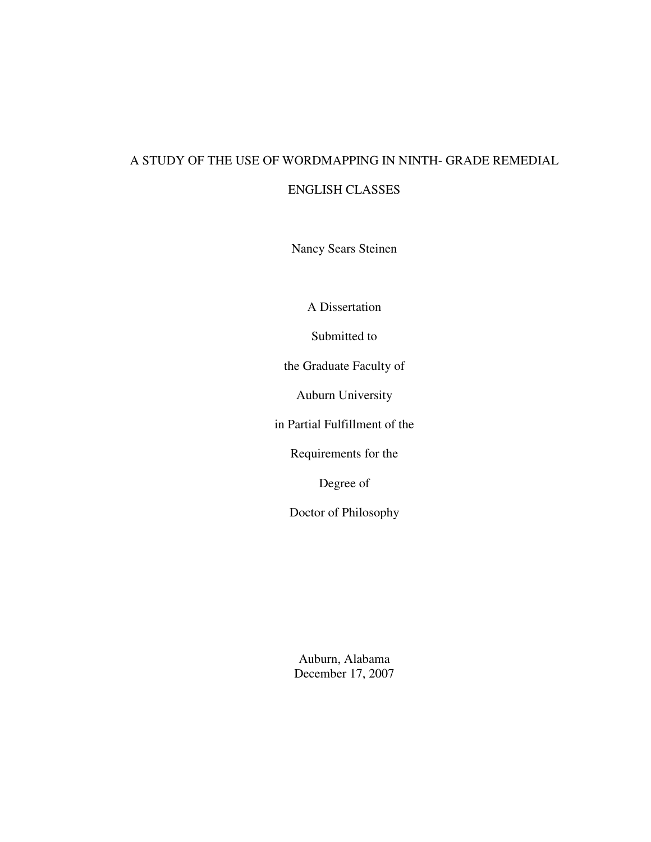# A STUDY OF THE USE OF WORDMAPPING IN NINTH- GRADE REMEDIAL

### ENGLISH CLASSES

Nancy Sears Steinen

A Dissertation

Submitted to

the Graduate Faculty of

Auburn University

in Partial Fulfillment of the

Requirements for the

Degree of

Doctor of Philosophy

Auburn, Alabama December 17, 2007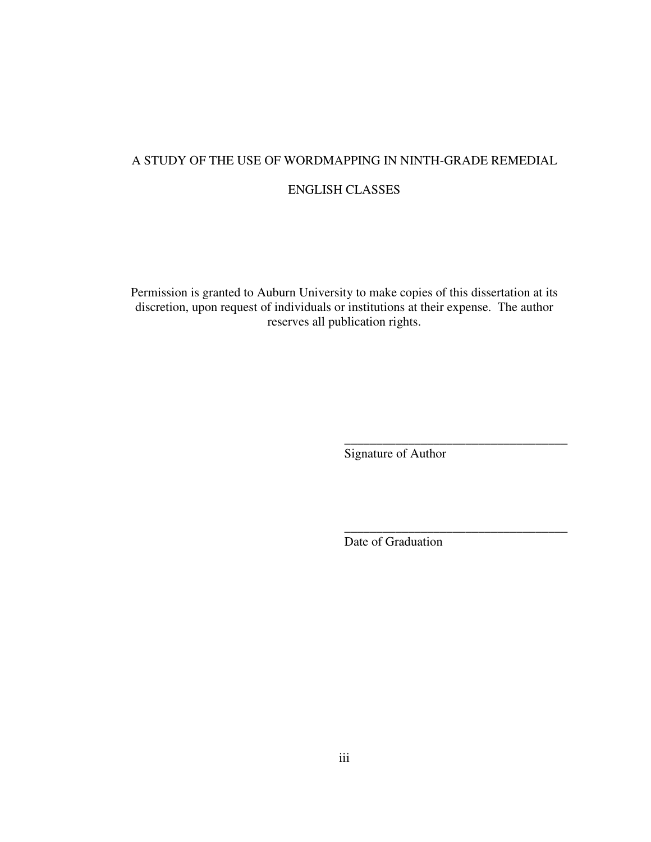## A STUDY OF THE USE OF WORDMAPPING IN NINTH-GRADE REMEDIAL

### ENGLISH CLASSES

Permission is granted to Auburn University to make copies of this dissertation at its discretion, upon request of individuals or institutions at their expense. The author reserves all publication rights.

Signature of Author

\_\_\_\_\_\_\_\_\_\_\_\_\_\_\_\_\_\_\_\_\_\_\_\_\_\_\_\_\_\_\_\_\_\_\_

\_\_\_\_\_\_\_\_\_\_\_\_\_\_\_\_\_\_\_\_\_\_\_\_\_\_\_\_\_\_\_\_\_\_\_

Date of Graduation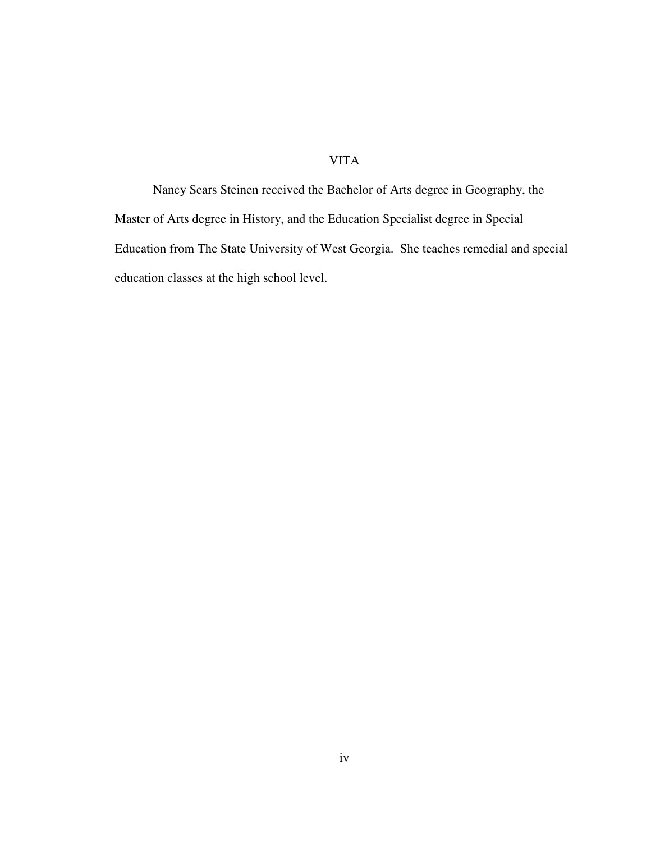# VITA

Nancy Sears Steinen received the Bachelor of Arts degree in Geography, the Master of Arts degree in History, and the Education Specialist degree in Special Education from The State University of West Georgia. She teaches remedial and special education classes at the high school level.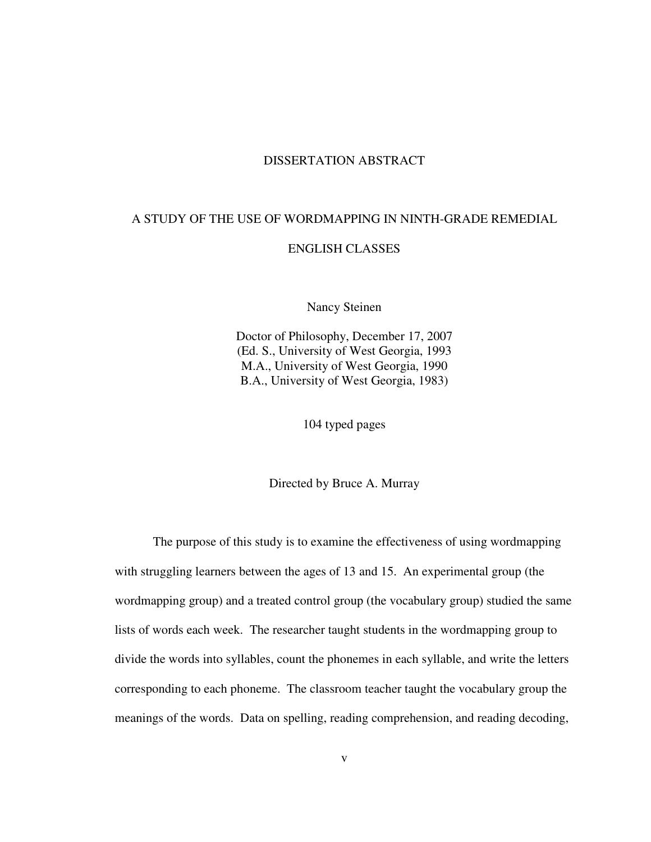### DISSERTATION ABSTRACT

### A STUDY OF THE USE OF WORDMAPPING IN NINTH-GRADE REMEDIAL

### ENGLISH CLASSES

Nancy Steinen

Doctor of Philosophy, December 17, 2007 (Ed. S., University of West Georgia, 1993 M.A., University of West Georgia, 1990 B.A., University of West Georgia, 1983)

104 typed pages

Directed by Bruce A. Murray

The purpose of this study is to examine the effectiveness of using wordmapping with struggling learners between the ages of 13 and 15. An experimental group (the wordmapping group) and a treated control group (the vocabulary group) studied the same lists of words each week. The researcher taught students in the wordmapping group to divide the words into syllables, count the phonemes in each syllable, and write the letters corresponding to each phoneme. The classroom teacher taught the vocabulary group the meanings of the words. Data on spelling, reading comprehension, and reading decoding,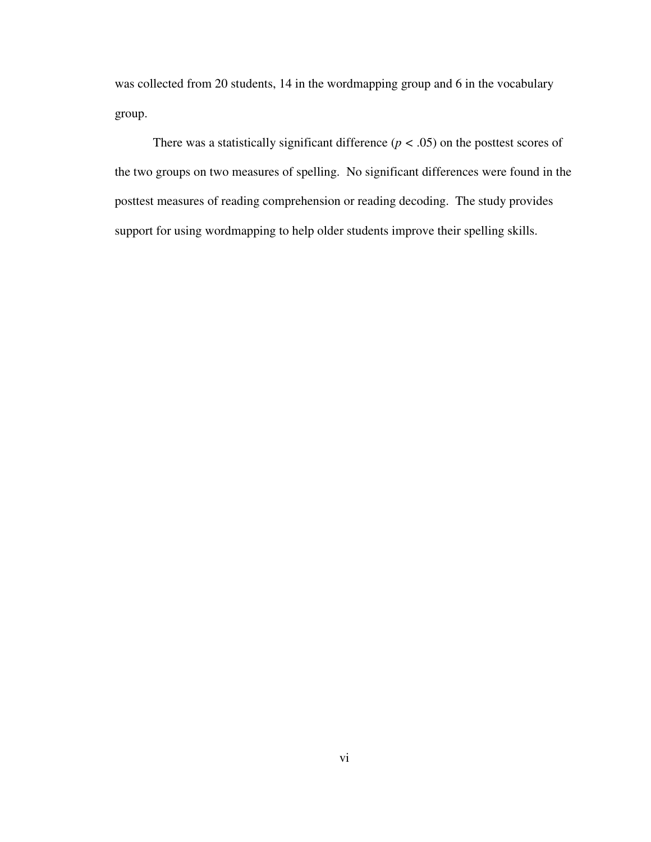was collected from 20 students, 14 in the wordmapping group and 6 in the vocabulary group.

There was a statistically significant difference  $(p < .05)$  on the posttest scores of the two groups on two measures of spelling. No significant differences were found in the posttest measures of reading comprehension or reading decoding. The study provides support for using wordmapping to help older students improve their spelling skills.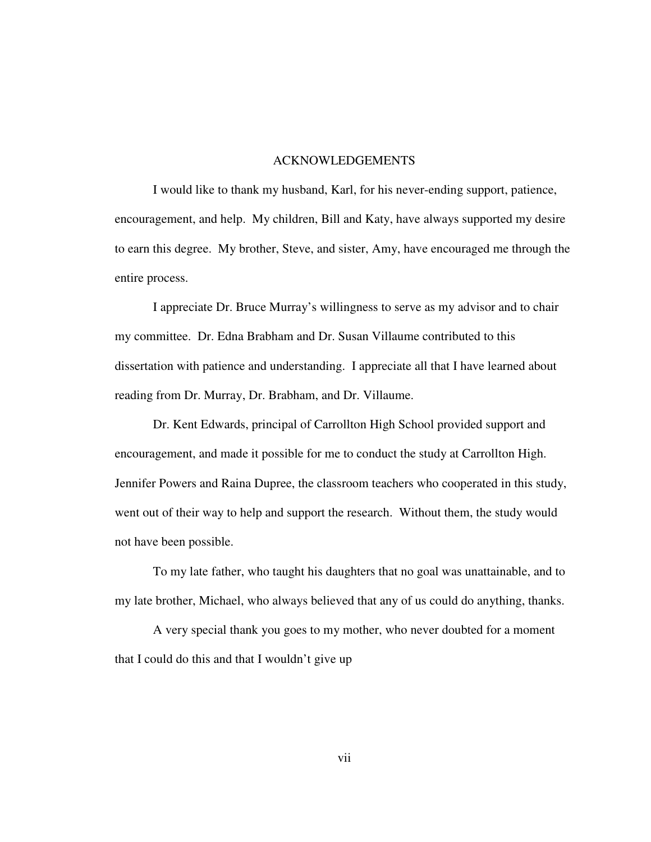### ACKNOWLEDGEMENTS

I would like to thank my husband, Karl, for his never-ending support, patience, encouragement, and help. My children, Bill and Katy, have always supported my desire to earn this degree. My brother, Steve, and sister, Amy, have encouraged me through the entire process.

I appreciate Dr. Bruce Murray's willingness to serve as my advisor and to chair my committee. Dr. Edna Brabham and Dr. Susan Villaume contributed to this dissertation with patience and understanding. I appreciate all that I have learned about reading from Dr. Murray, Dr. Brabham, and Dr. Villaume.

Dr. Kent Edwards, principal of Carrollton High School provided support and encouragement, and made it possible for me to conduct the study at Carrollton High. Jennifer Powers and Raina Dupree, the classroom teachers who cooperated in this study, went out of their way to help and support the research. Without them, the study would not have been possible.

To my late father, who taught his daughters that no goal was unattainable, and to my late brother, Michael, who always believed that any of us could do anything, thanks.

A very special thank you goes to my mother, who never doubted for a moment that I could do this and that I wouldn't give up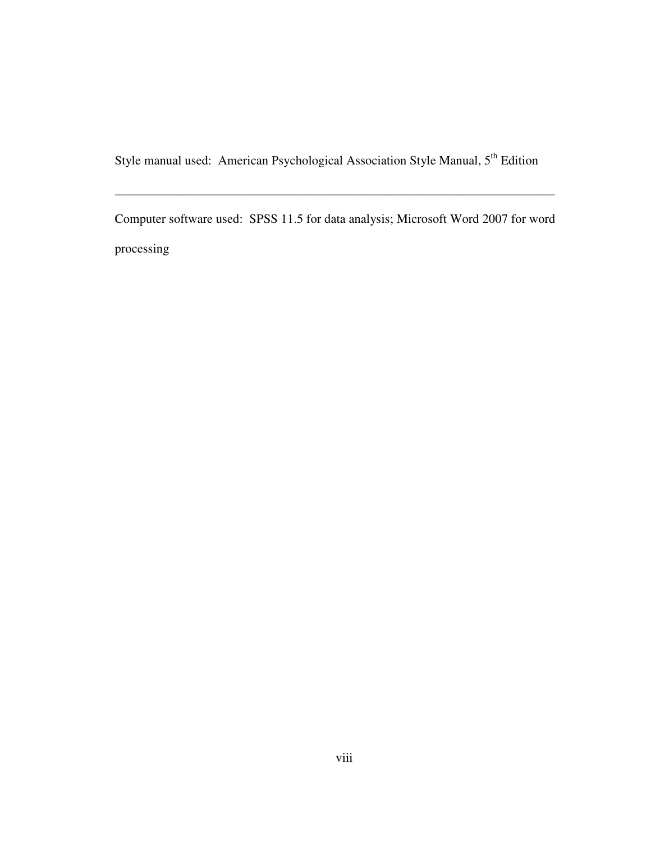Style manual used: American Psychological Association Style Manual, 5<sup>th</sup> Edition

Computer software used: SPSS 11.5 for data analysis; Microsoft Word 2007 for word processing

\_\_\_\_\_\_\_\_\_\_\_\_\_\_\_\_\_\_\_\_\_\_\_\_\_\_\_\_\_\_\_\_\_\_\_\_\_\_\_\_\_\_\_\_\_\_\_\_\_\_\_\_\_\_\_\_\_\_\_\_\_\_\_\_\_\_\_\_\_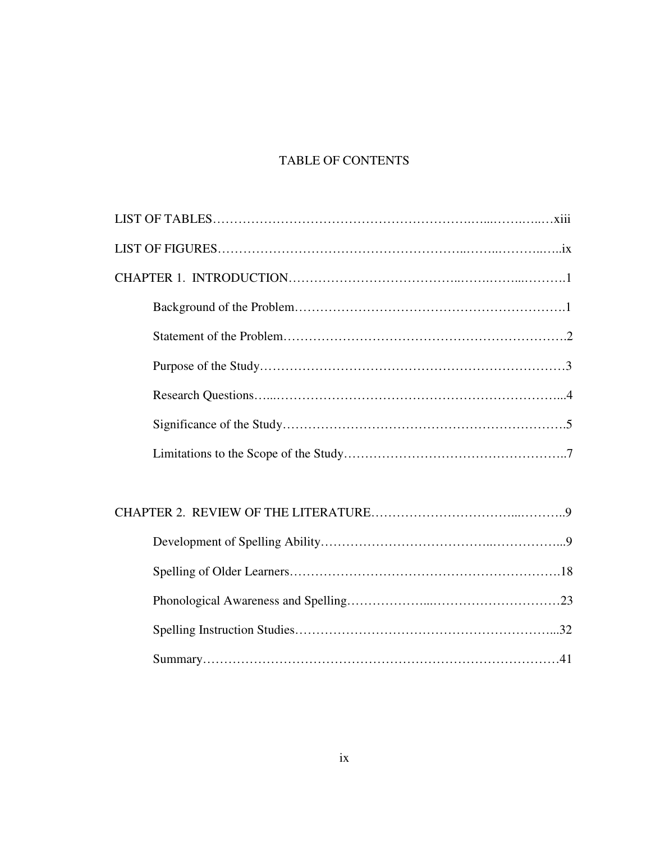# TABLE OF CONTENTS

# CHAPTER 2. REVIEW OF THE LITERATURE……………………………...………..9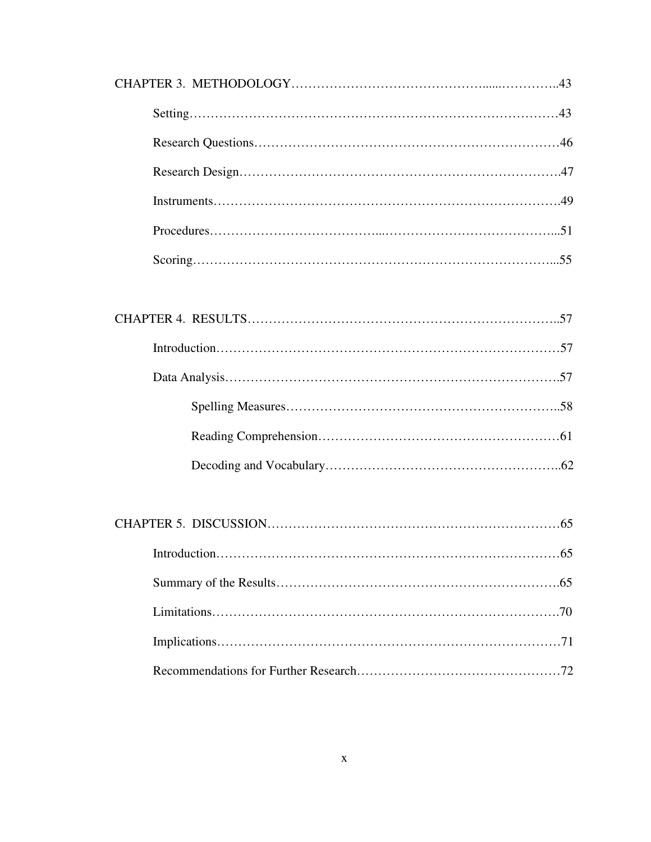Recommendations for Further Research…………………………………………72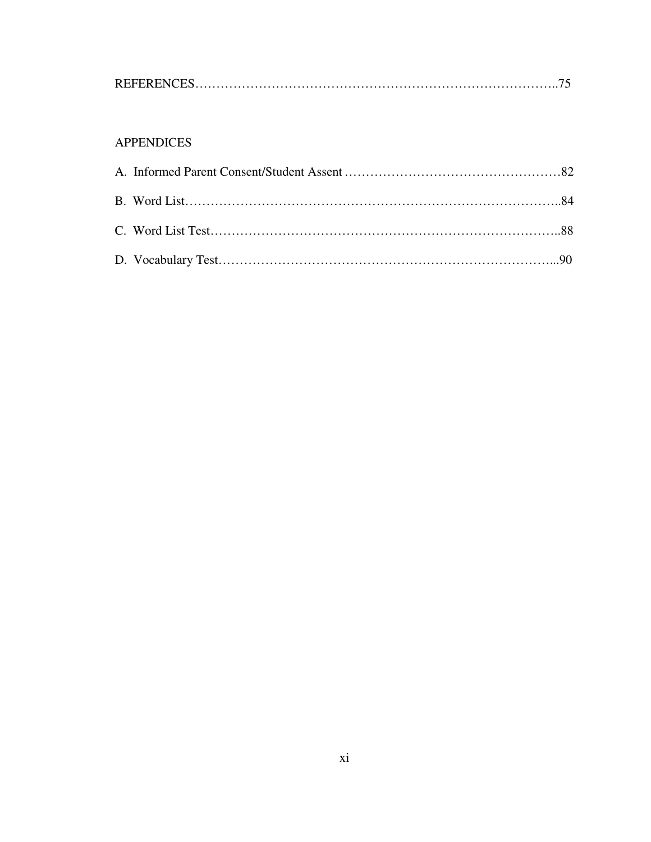|--|--|

# APPENDICES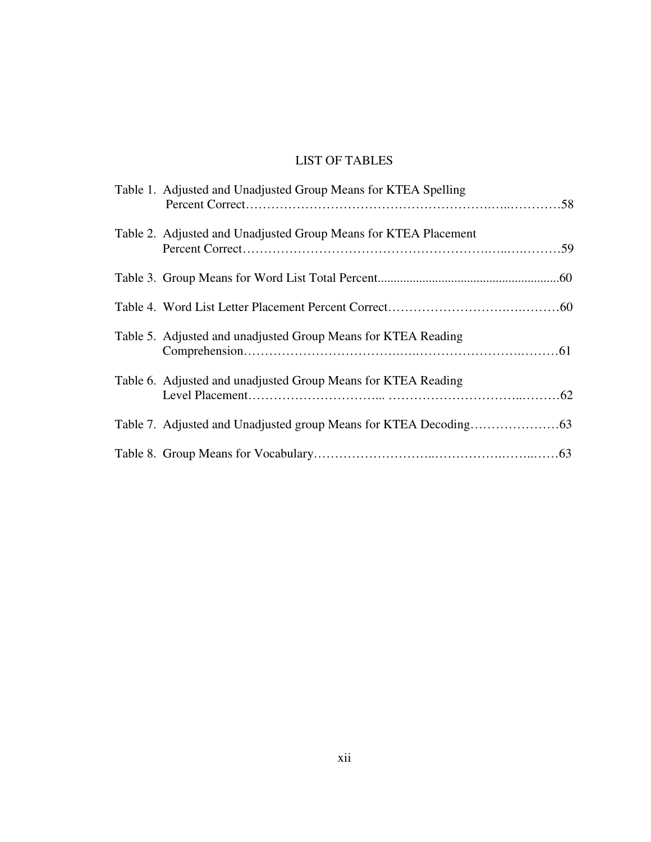# LIST OF TABLES

| Table 1. Adjusted and Unadjusted Group Means for KTEA Spelling  |
|-----------------------------------------------------------------|
| Table 2. Adjusted and Unadjusted Group Means for KTEA Placement |
|                                                                 |
|                                                                 |
| Table 5. Adjusted and unadjusted Group Means for KTEA Reading   |
| Table 6. Adjusted and unadjusted Group Means for KTEA Reading   |
|                                                                 |
|                                                                 |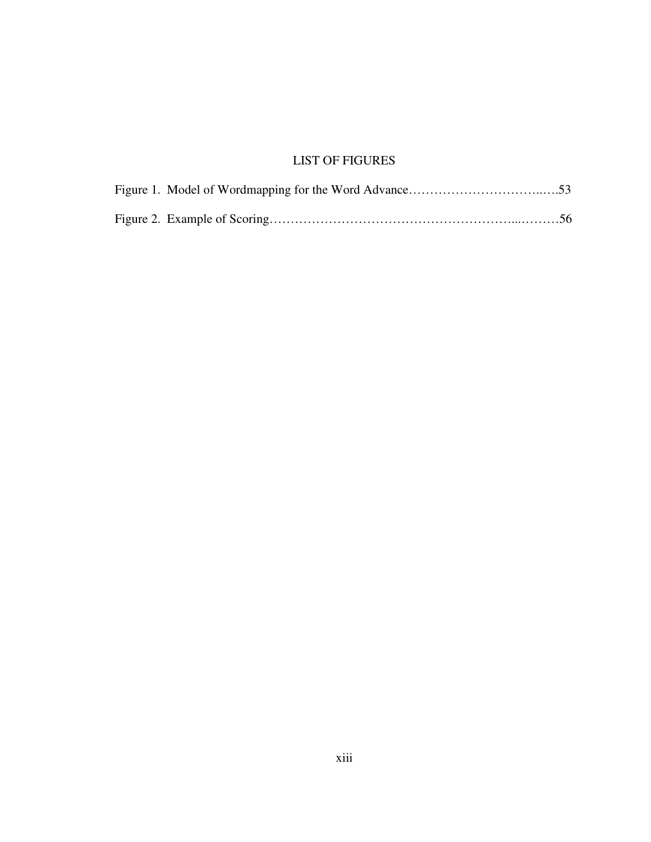# LIST OF FIGURES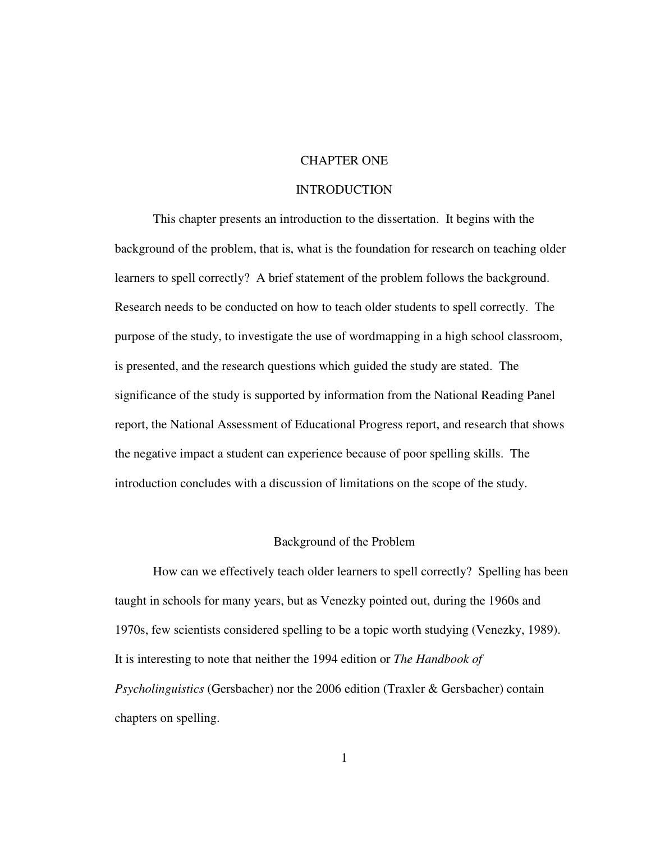### CHAPTER ONE

### INTRODUCTION

This chapter presents an introduction to the dissertation. It begins with the background of the problem, that is, what is the foundation for research on teaching older learners to spell correctly? A brief statement of the problem follows the background. Research needs to be conducted on how to teach older students to spell correctly. The purpose of the study, to investigate the use of wordmapping in a high school classroom, is presented, and the research questions which guided the study are stated. The significance of the study is supported by information from the National Reading Panel report, the National Assessment of Educational Progress report, and research that shows the negative impact a student can experience because of poor spelling skills. The introduction concludes with a discussion of limitations on the scope of the study.

#### Background of the Problem

How can we effectively teach older learners to spell correctly? Spelling has been taught in schools for many years, but as Venezky pointed out, during the 1960s and 1970s, few scientists considered spelling to be a topic worth studying (Venezky, 1989). It is interesting to note that neither the 1994 edition or *The Handbook of Psycholinguistics* (Gersbacher) nor the 2006 edition (Traxler & Gersbacher) contain chapters on spelling.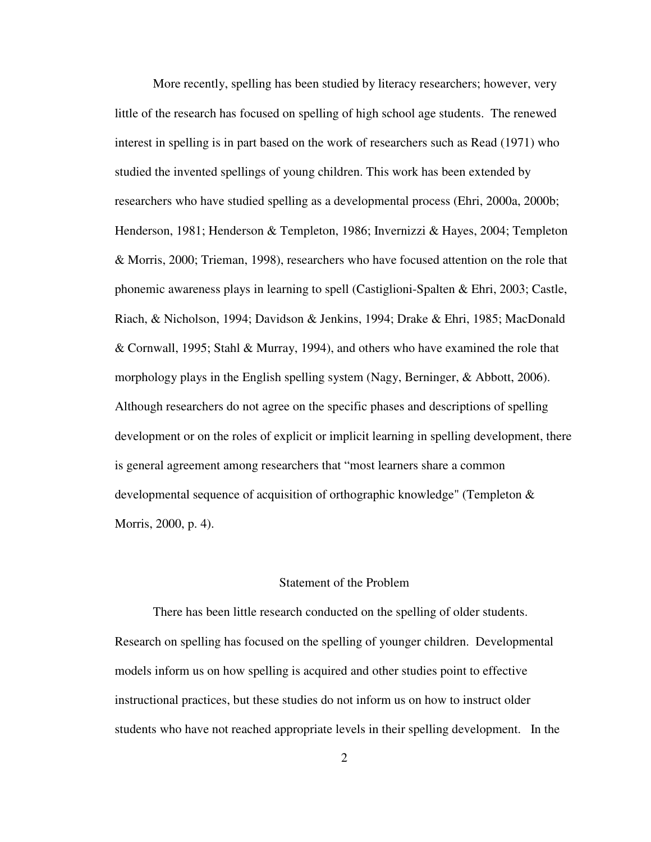More recently, spelling has been studied by literacy researchers; however, very little of the research has focused on spelling of high school age students. The renewed interest in spelling is in part based on the work of researchers such as Read (1971) who studied the invented spellings of young children. This work has been extended by researchers who have studied spelling as a developmental process (Ehri, 2000a, 2000b; Henderson, 1981; Henderson & Templeton, 1986; Invernizzi & Hayes, 2004; Templeton & Morris, 2000; Trieman, 1998), researchers who have focused attention on the role that phonemic awareness plays in learning to spell (Castiglioni-Spalten & Ehri, 2003; Castle, Riach, & Nicholson, 1994; Davidson & Jenkins, 1994; Drake & Ehri, 1985; MacDonald & Cornwall, 1995; Stahl & Murray, 1994), and others who have examined the role that morphology plays in the English spelling system (Nagy, Berninger, & Abbott, 2006). Although researchers do not agree on the specific phases and descriptions of spelling development or on the roles of explicit or implicit learning in spelling development, there is general agreement among researchers that "most learners share a common developmental sequence of acquisition of orthographic knowledge" (Templeton & Morris, 2000, p. 4).

### Statement of the Problem

There has been little research conducted on the spelling of older students. Research on spelling has focused on the spelling of younger children. Developmental models inform us on how spelling is acquired and other studies point to effective instructional practices, but these studies do not inform us on how to instruct older students who have not reached appropriate levels in their spelling development. In the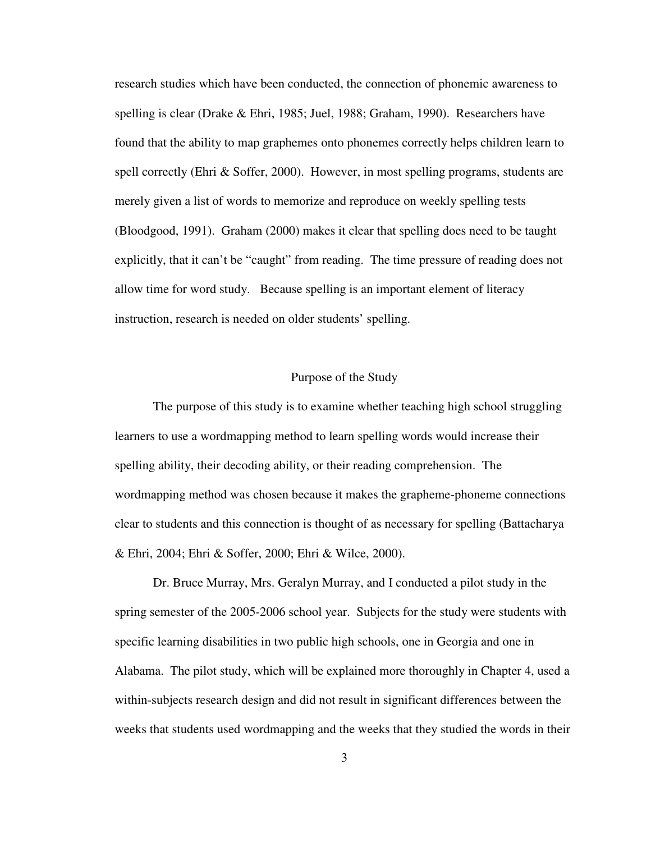research studies which have been conducted, the connection of phonemic awareness to spelling is clear (Drake & Ehri, 1985; Juel, 1988; Graham, 1990). Researchers have found that the ability to map graphemes onto phonemes correctly helps children learn to spell correctly (Ehri & Soffer, 2000). However, in most spelling programs, students are merely given a list of words to memorize and reproduce on weekly spelling tests (Bloodgood, 1991). Graham (2000) makes it clear that spelling does need to be taught explicitly, that it can't be "caught" from reading. The time pressure of reading does not allow time for word study. Because spelling is an important element of literacy instruction, research is needed on older students' spelling.

### Purpose of the Study

The purpose of this study is to examine whether teaching high school struggling learners to use a wordmapping method to learn spelling words would increase their spelling ability, their decoding ability, or their reading comprehension. The wordmapping method was chosen because it makes the grapheme-phoneme connections clear to students and this connection is thought of as necessary for spelling (Battacharya & Ehri, 2004; Ehri & Soffer, 2000; Ehri & Wilce, 2000).

Dr. Bruce Murray, Mrs. Geralyn Murray, and I conducted a pilot study in the spring semester of the 2005-2006 school year. Subjects for the study were students with specific learning disabilities in two public high schools, one in Georgia and one in Alabama. The pilot study, which will be explained more thoroughly in Chapter 4, used a within-subjects research design and did not result in significant differences between the weeks that students used wordmapping and the weeks that they studied the words in their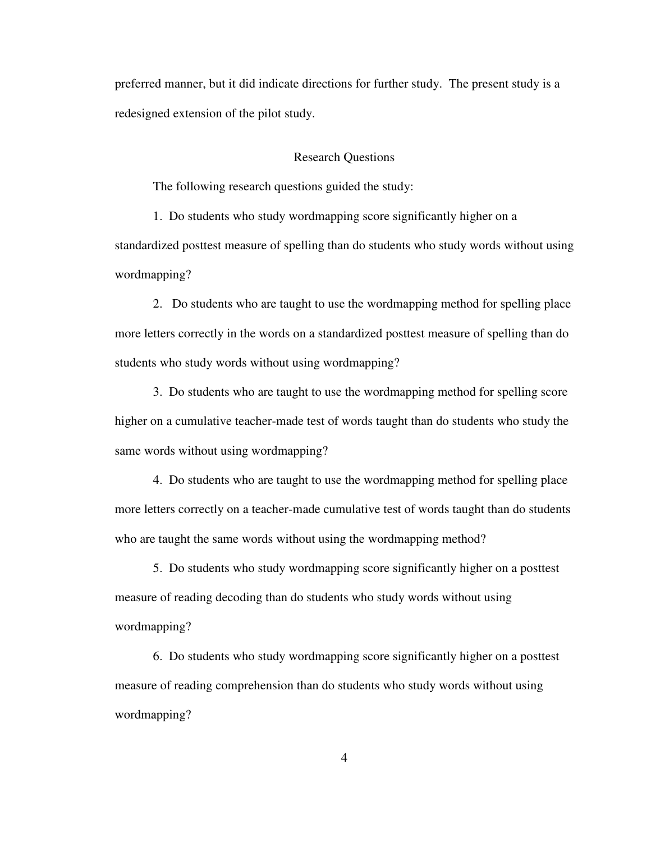preferred manner, but it did indicate directions for further study. The present study is a redesigned extension of the pilot study.

### Research Questions

The following research questions guided the study:

1. Do students who study wordmapping score significantly higher on a standardized posttest measure of spelling than do students who study words without using wordmapping?

2. Do students who are taught to use the wordmapping method for spelling place more letters correctly in the words on a standardized posttest measure of spelling than do students who study words without using wordmapping?

3. Do students who are taught to use the wordmapping method for spelling score higher on a cumulative teacher-made test of words taught than do students who study the same words without using wordmapping?

4. Do students who are taught to use the wordmapping method for spelling place more letters correctly on a teacher-made cumulative test of words taught than do students who are taught the same words without using the wordmapping method?

5. Do students who study wordmapping score significantly higher on a posttest measure of reading decoding than do students who study words without using wordmapping?

6. Do students who study wordmapping score significantly higher on a posttest measure of reading comprehension than do students who study words without using wordmapping?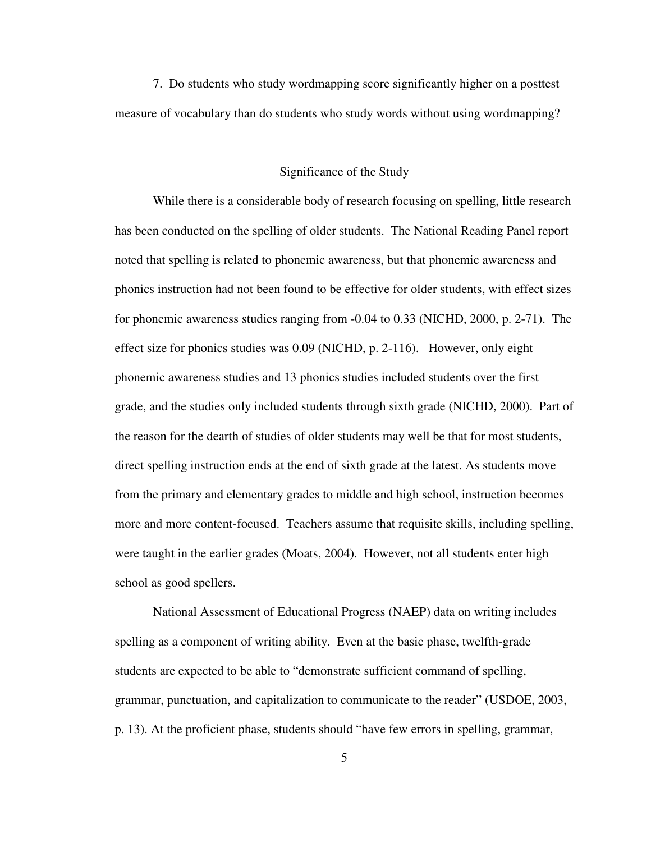7. Do students who study wordmapping score significantly higher on a posttest measure of vocabulary than do students who study words without using wordmapping?

### Significance of the Study

 While there is a considerable body of research focusing on spelling, little research has been conducted on the spelling of older students. The National Reading Panel report noted that spelling is related to phonemic awareness, but that phonemic awareness and phonics instruction had not been found to be effective for older students, with effect sizes for phonemic awareness studies ranging from -0.04 to 0.33 (NICHD, 2000, p. 2-71). The effect size for phonics studies was 0.09 (NICHD, p. 2-116). However, only eight phonemic awareness studies and 13 phonics studies included students over the first grade, and the studies only included students through sixth grade (NICHD, 2000). Part of the reason for the dearth of studies of older students may well be that for most students, direct spelling instruction ends at the end of sixth grade at the latest. As students move from the primary and elementary grades to middle and high school, instruction becomes more and more content-focused. Teachers assume that requisite skills, including spelling, were taught in the earlier grades (Moats, 2004). However, not all students enter high school as good spellers.

 National Assessment of Educational Progress (NAEP) data on writing includes spelling as a component of writing ability. Even at the basic phase, twelfth-grade students are expected to be able to "demonstrate sufficient command of spelling, grammar, punctuation, and capitalization to communicate to the reader" (USDOE, 2003, p. 13). At the proficient phase, students should "have few errors in spelling, grammar,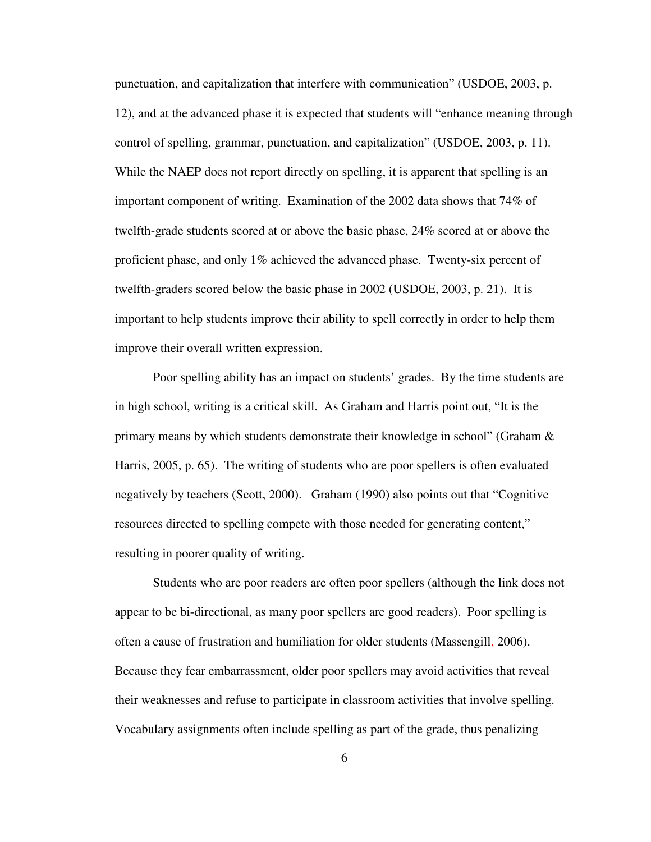punctuation, and capitalization that interfere with communication" (USDOE, 2003, p. 12), and at the advanced phase it is expected that students will "enhance meaning through control of spelling, grammar, punctuation, and capitalization" (USDOE, 2003, p. 11). While the NAEP does not report directly on spelling, it is apparent that spelling is an important component of writing. Examination of the 2002 data shows that 74% of twelfth-grade students scored at or above the basic phase, 24% scored at or above the proficient phase, and only 1% achieved the advanced phase. Twenty-six percent of twelfth-graders scored below the basic phase in 2002 (USDOE, 2003, p. 21). It is important to help students improve their ability to spell correctly in order to help them improve their overall written expression.

 Poor spelling ability has an impact on students' grades. By the time students are in high school, writing is a critical skill. As Graham and Harris point out, "It is the primary means by which students demonstrate their knowledge in school" (Graham & Harris, 2005, p. 65). The writing of students who are poor spellers is often evaluated negatively by teachers (Scott, 2000). Graham (1990) also points out that "Cognitive resources directed to spelling compete with those needed for generating content," resulting in poorer quality of writing.

 Students who are poor readers are often poor spellers (although the link does not appear to be bi-directional, as many poor spellers are good readers). Poor spelling is often a cause of frustration and humiliation for older students (Massengill, 2006). Because they fear embarrassment, older poor spellers may avoid activities that reveal their weaknesses and refuse to participate in classroom activities that involve spelling. Vocabulary assignments often include spelling as part of the grade, thus penalizing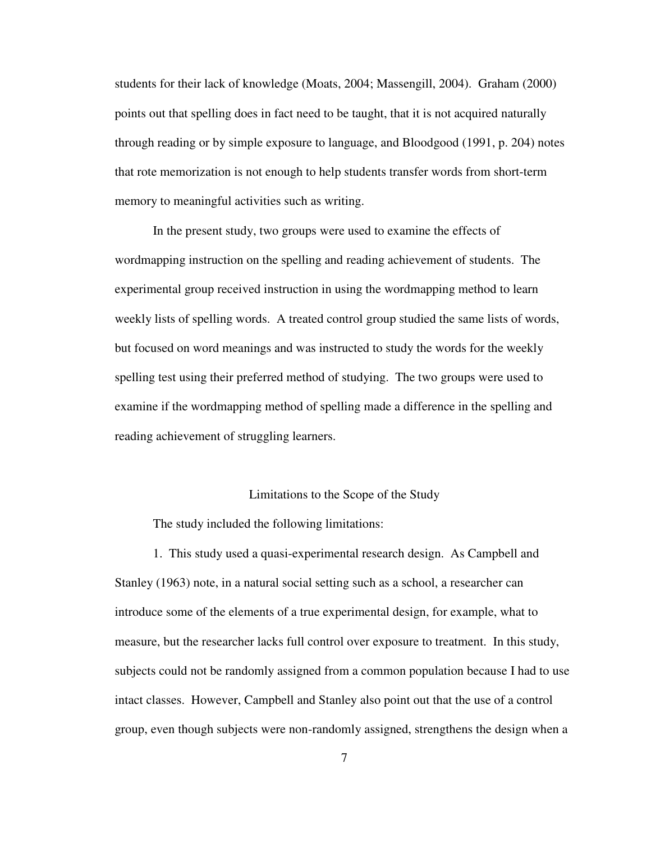students for their lack of knowledge (Moats, 2004; Massengill, 2004). Graham (2000) points out that spelling does in fact need to be taught, that it is not acquired naturally through reading or by simple exposure to language, and Bloodgood (1991, p. 204) notes that rote memorization is not enough to help students transfer words from short-term memory to meaningful activities such as writing.

In the present study, two groups were used to examine the effects of wordmapping instruction on the spelling and reading achievement of students. The experimental group received instruction in using the wordmapping method to learn weekly lists of spelling words. A treated control group studied the same lists of words, but focused on word meanings and was instructed to study the words for the weekly spelling test using their preferred method of studying. The two groups were used to examine if the wordmapping method of spelling made a difference in the spelling and reading achievement of struggling learners.

### Limitations to the Scope of the Study

The study included the following limitations:

1. This study used a quasi-experimental research design. As Campbell and Stanley (1963) note, in a natural social setting such as a school, a researcher can introduce some of the elements of a true experimental design, for example, what to measure, but the researcher lacks full control over exposure to treatment. In this study, subjects could not be randomly assigned from a common population because I had to use intact classes. However, Campbell and Stanley also point out that the use of a control group, even though subjects were non-randomly assigned, strengthens the design when a

7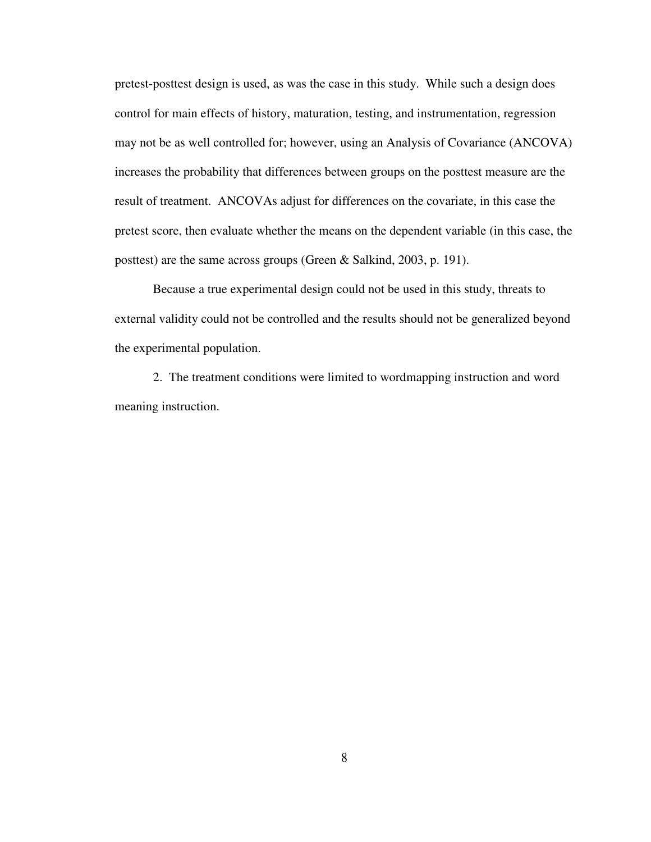pretest-posttest design is used, as was the case in this study. While such a design does control for main effects of history, maturation, testing, and instrumentation, regression may not be as well controlled for; however, using an Analysis of Covariance (ANCOVA) increases the probability that differences between groups on the posttest measure are the result of treatment. ANCOVAs adjust for differences on the covariate, in this case the pretest score, then evaluate whether the means on the dependent variable (in this case, the posttest) are the same across groups (Green & Salkind, 2003, p. 191).

 Because a true experimental design could not be used in this study, threats to external validity could not be controlled and the results should not be generalized beyond the experimental population.

2. The treatment conditions were limited to wordmapping instruction and word meaning instruction.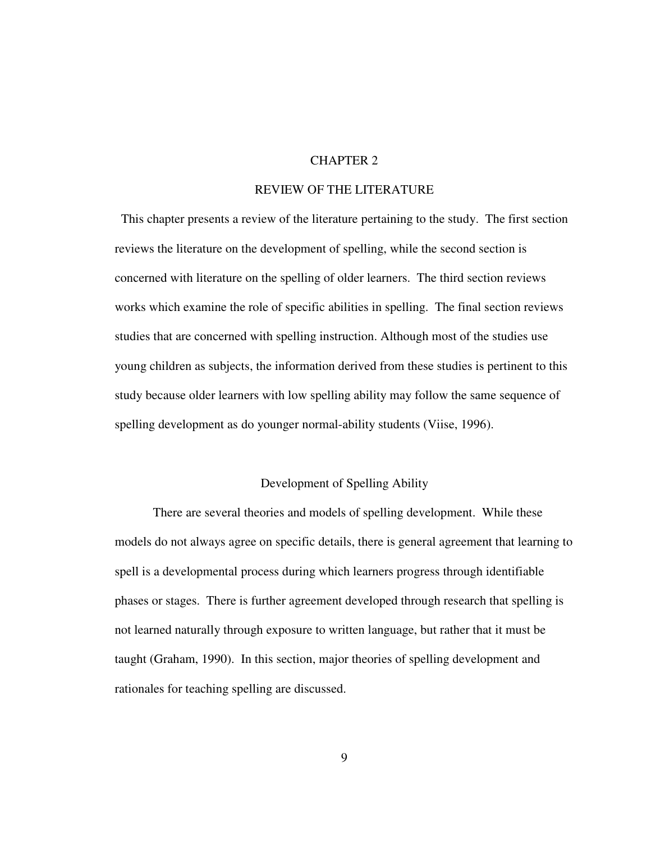### CHAPTER 2

### REVIEW OF THE LITERATURE

 This chapter presents a review of the literature pertaining to the study. The first section reviews the literature on the development of spelling, while the second section is concerned with literature on the spelling of older learners. The third section reviews works which examine the role of specific abilities in spelling. The final section reviews studies that are concerned with spelling instruction. Although most of the studies use young children as subjects, the information derived from these studies is pertinent to this study because older learners with low spelling ability may follow the same sequence of spelling development as do younger normal-ability students (Viise, 1996).

### Development of Spelling Ability

 There are several theories and models of spelling development. While these models do not always agree on specific details, there is general agreement that learning to spell is a developmental process during which learners progress through identifiable phases or stages. There is further agreement developed through research that spelling is not learned naturally through exposure to written language, but rather that it must be taught (Graham, 1990). In this section, major theories of spelling development and rationales for teaching spelling are discussed.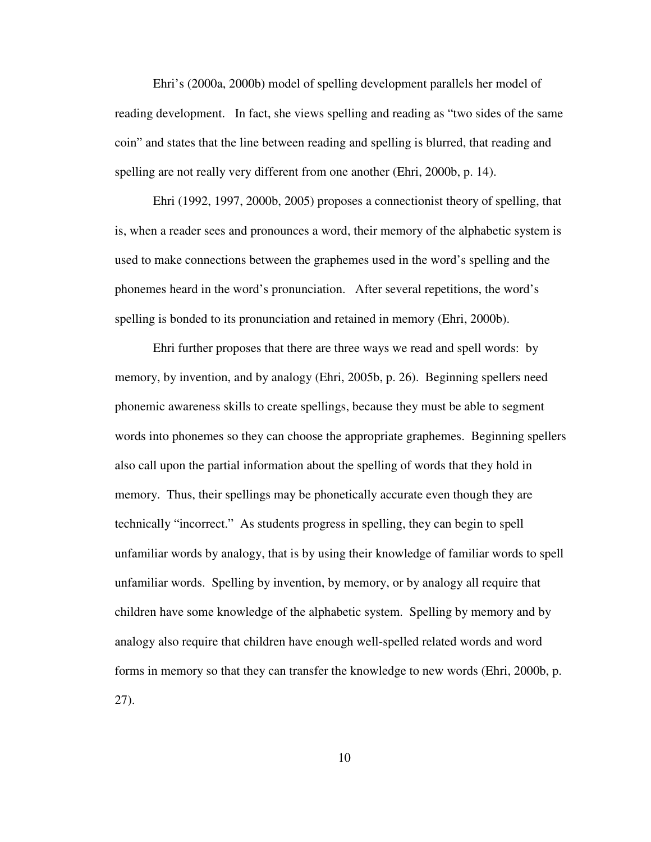Ehri's (2000a, 2000b) model of spelling development parallels her model of reading development. In fact, she views spelling and reading as "two sides of the same coin" and states that the line between reading and spelling is blurred, that reading and spelling are not really very different from one another (Ehri, 2000b, p. 14).

Ehri (1992, 1997, 2000b, 2005) proposes a connectionist theory of spelling, that is, when a reader sees and pronounces a word, their memory of the alphabetic system is used to make connections between the graphemes used in the word's spelling and the phonemes heard in the word's pronunciation. After several repetitions, the word's spelling is bonded to its pronunciation and retained in memory (Ehri, 2000b).

Ehri further proposes that there are three ways we read and spell words: by memory, by invention, and by analogy (Ehri, 2005b, p. 26). Beginning spellers need phonemic awareness skills to create spellings, because they must be able to segment words into phonemes so they can choose the appropriate graphemes. Beginning spellers also call upon the partial information about the spelling of words that they hold in memory. Thus, their spellings may be phonetically accurate even though they are technically "incorrect." As students progress in spelling, they can begin to spell unfamiliar words by analogy, that is by using their knowledge of familiar words to spell unfamiliar words. Spelling by invention, by memory, or by analogy all require that children have some knowledge of the alphabetic system. Spelling by memory and by analogy also require that children have enough well-spelled related words and word forms in memory so that they can transfer the knowledge to new words (Ehri, 2000b, p. 27).

10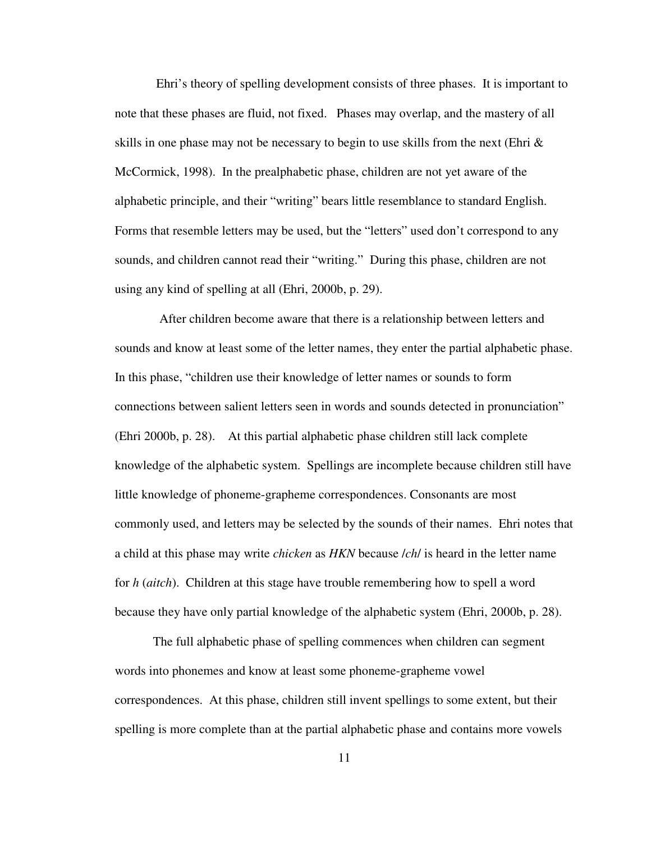Ehri's theory of spelling development consists of three phases. It is important to note that these phases are fluid, not fixed. Phases may overlap, and the mastery of all skills in one phase may not be necessary to begin to use skills from the next (Ehri  $\&$ McCormick, 1998). In the prealphabetic phase, children are not yet aware of the alphabetic principle, and their "writing" bears little resemblance to standard English. Forms that resemble letters may be used, but the "letters" used don't correspond to any sounds, and children cannot read their "writing." During this phase, children are not using any kind of spelling at all (Ehri, 2000b, p. 29).

 After children become aware that there is a relationship between letters and sounds and know at least some of the letter names, they enter the partial alphabetic phase. In this phase, "children use their knowledge of letter names or sounds to form connections between salient letters seen in words and sounds detected in pronunciation" (Ehri 2000b, p. 28). At this partial alphabetic phase children still lack complete knowledge of the alphabetic system. Spellings are incomplete because children still have little knowledge of phoneme-grapheme correspondences. Consonants are most commonly used, and letters may be selected by the sounds of their names. Ehri notes that a child at this phase may write *chicken* as *HKN* because /*ch*/ is heard in the letter name for *h* (*aitch*). Children at this stage have trouble remembering how to spell a word because they have only partial knowledge of the alphabetic system (Ehri, 2000b, p. 28).

The full alphabetic phase of spelling commences when children can segment words into phonemes and know at least some phoneme-grapheme vowel correspondences. At this phase, children still invent spellings to some extent, but their spelling is more complete than at the partial alphabetic phase and contains more vowels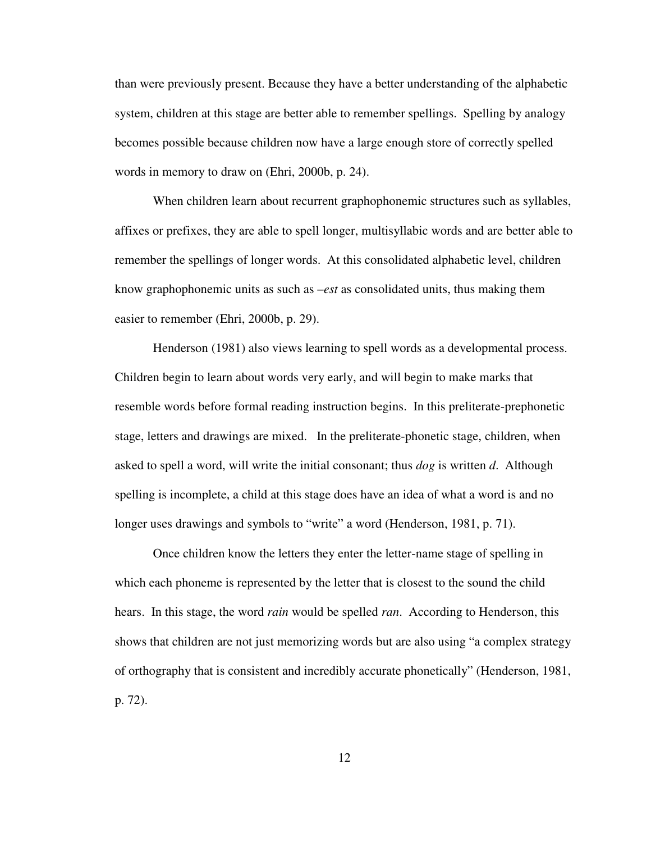than were previously present. Because they have a better understanding of the alphabetic system, children at this stage are better able to remember spellings. Spelling by analogy becomes possible because children now have a large enough store of correctly spelled words in memory to draw on (Ehri, 2000b, p. 24).

When children learn about recurrent graphophonemic structures such as syllables, affixes or prefixes, they are able to spell longer, multisyllabic words and are better able to remember the spellings of longer words. At this consolidated alphabetic level, children know graphophonemic units as such as –*est* as consolidated units, thus making them easier to remember (Ehri, 2000b, p. 29).

Henderson (1981) also views learning to spell words as a developmental process. Children begin to learn about words very early, and will begin to make marks that resemble words before formal reading instruction begins. In this preliterate-prephonetic stage, letters and drawings are mixed. In the preliterate-phonetic stage, children, when asked to spell a word, will write the initial consonant; thus *dog* is written *d*. Although spelling is incomplete, a child at this stage does have an idea of what a word is and no longer uses drawings and symbols to "write" a word (Henderson, 1981, p. 71).

Once children know the letters they enter the letter-name stage of spelling in which each phoneme is represented by the letter that is closest to the sound the child hears. In this stage, the word *rain* would be spelled *ran*. According to Henderson, this shows that children are not just memorizing words but are also using "a complex strategy of orthography that is consistent and incredibly accurate phonetically" (Henderson, 1981, p. 72).

12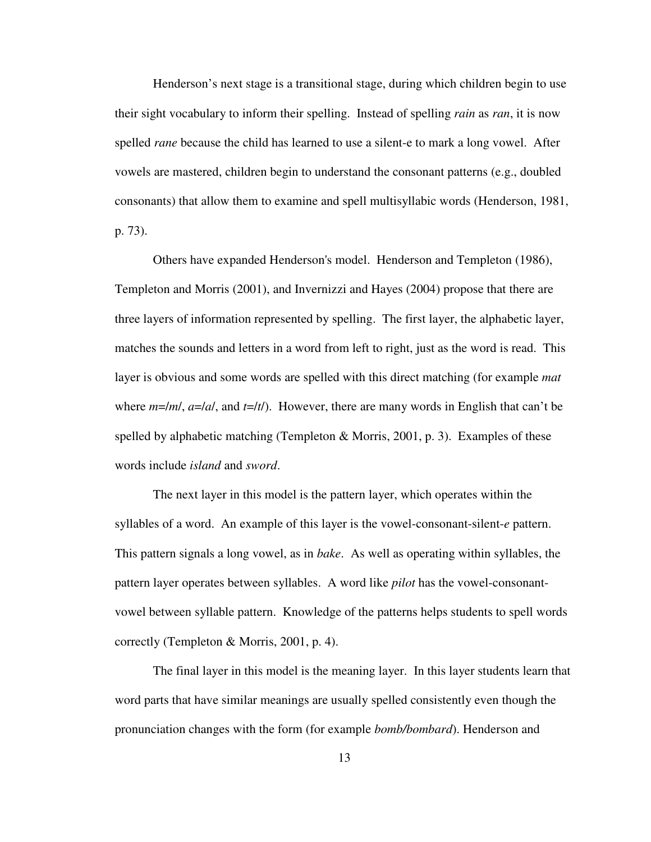Henderson's next stage is a transitional stage, during which children begin to use their sight vocabulary to inform their spelling. Instead of spelling *rain* as *ran*, it is now spelled *rane* because the child has learned to use a silent-e to mark a long vowel. After vowels are mastered, children begin to understand the consonant patterns (e.g., doubled consonants) that allow them to examine and spell multisyllabic words (Henderson, 1981, p. 73).

Others have expanded Henderson's model. Henderson and Templeton (1986), Templeton and Morris (2001), and Invernizzi and Hayes (2004) propose that there are three layers of information represented by spelling. The first layer, the alphabetic layer, matches the sounds and letters in a word from left to right, just as the word is read. This layer is obvious and some words are spelled with this direct matching (for example *mat* where *m*=/*m*/, *a*=/*a*/, and *t*=/*t*/). However, there are many words in English that can't be spelled by alphabetic matching (Templeton & Morris, 2001, p. 3). Examples of these words include *island* and *sword*.

 The next layer in this model is the pattern layer, which operates within the syllables of a word. An example of this layer is the vowel-consonant-silent-*e* pattern. This pattern signals a long vowel, as in *bake*. As well as operating within syllables, the pattern layer operates between syllables. A word like *pilot* has the vowel-consonantvowel between syllable pattern. Knowledge of the patterns helps students to spell words correctly (Templeton & Morris, 2001, p. 4).

 The final layer in this model is the meaning layer. In this layer students learn that word parts that have similar meanings are usually spelled consistently even though the pronunciation changes with the form (for example *bomb/bombard*). Henderson and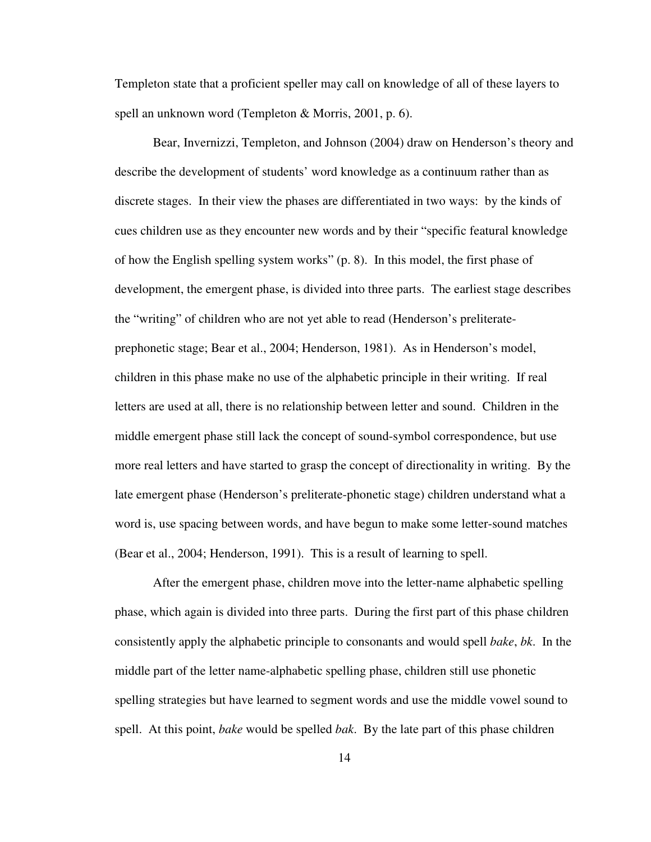Templeton state that a proficient speller may call on knowledge of all of these layers to spell an unknown word (Templeton & Morris, 2001, p. 6).

 Bear, Invernizzi, Templeton, and Johnson (2004) draw on Henderson's theory and describe the development of students' word knowledge as a continuum rather than as discrete stages. In their view the phases are differentiated in two ways: by the kinds of cues children use as they encounter new words and by their "specific featural knowledge of how the English spelling system works" (p. 8). In this model, the first phase of development, the emergent phase, is divided into three parts. The earliest stage describes the "writing" of children who are not yet able to read (Henderson's preliterateprephonetic stage; Bear et al., 2004; Henderson, 1981). As in Henderson's model, children in this phase make no use of the alphabetic principle in their writing. If real letters are used at all, there is no relationship between letter and sound. Children in the middle emergent phase still lack the concept of sound-symbol correspondence, but use more real letters and have started to grasp the concept of directionality in writing. By the late emergent phase (Henderson's preliterate-phonetic stage) children understand what a word is, use spacing between words, and have begun to make some letter-sound matches (Bear et al., 2004; Henderson, 1991). This is a result of learning to spell.

After the emergent phase, children move into the letter-name alphabetic spelling phase, which again is divided into three parts. During the first part of this phase children consistently apply the alphabetic principle to consonants and would spell *bake*, *bk*. In the middle part of the letter name-alphabetic spelling phase, children still use phonetic spelling strategies but have learned to segment words and use the middle vowel sound to spell. At this point, *bake* would be spelled *bak*. By the late part of this phase children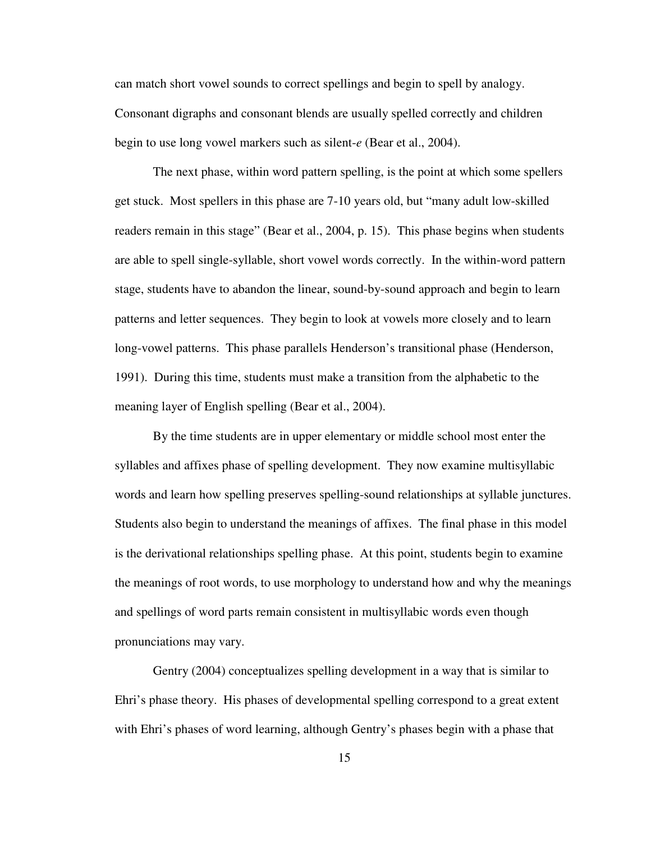can match short vowel sounds to correct spellings and begin to spell by analogy. Consonant digraphs and consonant blends are usually spelled correctly and children begin to use long vowel markers such as silent-*e* (Bear et al., 2004).

 The next phase, within word pattern spelling, is the point at which some spellers get stuck. Most spellers in this phase are 7-10 years old, but "many adult low-skilled readers remain in this stage" (Bear et al., 2004, p. 15). This phase begins when students are able to spell single-syllable, short vowel words correctly. In the within-word pattern stage, students have to abandon the linear, sound-by-sound approach and begin to learn patterns and letter sequences. They begin to look at vowels more closely and to learn long-vowel patterns. This phase parallels Henderson's transitional phase (Henderson, 1991). During this time, students must make a transition from the alphabetic to the meaning layer of English spelling (Bear et al., 2004).

 By the time students are in upper elementary or middle school most enter the syllables and affixes phase of spelling development. They now examine multisyllabic words and learn how spelling preserves spelling-sound relationships at syllable junctures. Students also begin to understand the meanings of affixes. The final phase in this model is the derivational relationships spelling phase. At this point, students begin to examine the meanings of root words, to use morphology to understand how and why the meanings and spellings of word parts remain consistent in multisyllabic words even though pronunciations may vary.

Gentry (2004) conceptualizes spelling development in a way that is similar to Ehri's phase theory. His phases of developmental spelling correspond to a great extent with Ehri's phases of word learning, although Gentry's phases begin with a phase that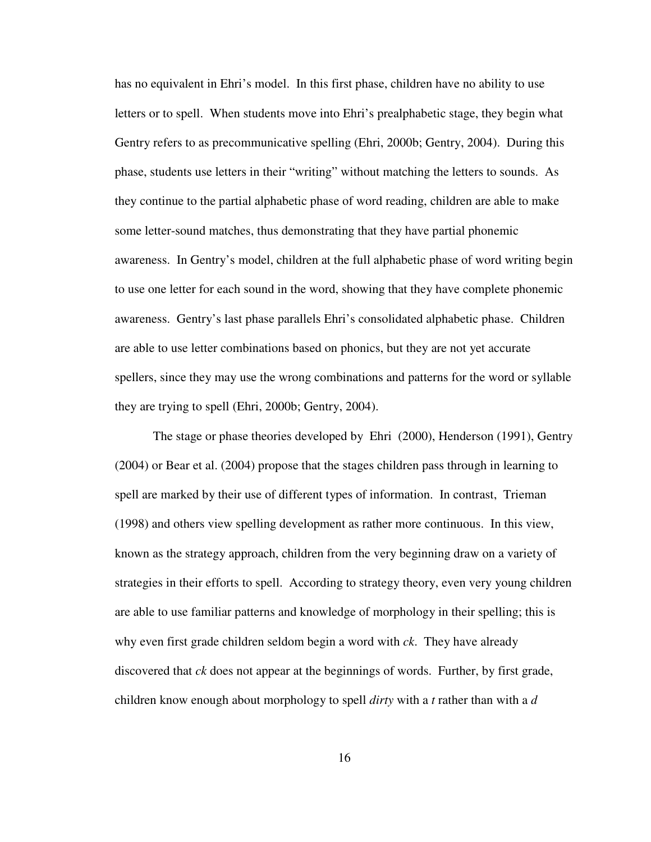has no equivalent in Ehri's model. In this first phase, children have no ability to use letters or to spell. When students move into Ehri's prealphabetic stage, they begin what Gentry refers to as precommunicative spelling (Ehri, 2000b; Gentry, 2004). During this phase, students use letters in their "writing" without matching the letters to sounds. As they continue to the partial alphabetic phase of word reading, children are able to make some letter-sound matches, thus demonstrating that they have partial phonemic awareness. In Gentry's model, children at the full alphabetic phase of word writing begin to use one letter for each sound in the word, showing that they have complete phonemic awareness. Gentry's last phase parallels Ehri's consolidated alphabetic phase. Children are able to use letter combinations based on phonics, but they are not yet accurate spellers, since they may use the wrong combinations and patterns for the word or syllable they are trying to spell (Ehri, 2000b; Gentry, 2004).

The stage or phase theories developed by Ehri (2000), Henderson (1991), Gentry (2004) or Bear et al. (2004) propose that the stages children pass through in learning to spell are marked by their use of different types of information. In contrast, Trieman (1998) and others view spelling development as rather more continuous. In this view, known as the strategy approach, children from the very beginning draw on a variety of strategies in their efforts to spell. According to strategy theory, even very young children are able to use familiar patterns and knowledge of morphology in their spelling; this is why even first grade children seldom begin a word with *ck*. They have already discovered that *ck* does not appear at the beginnings of words. Further, by first grade, children know enough about morphology to spell *dirty* with a *t* rather than with a *d*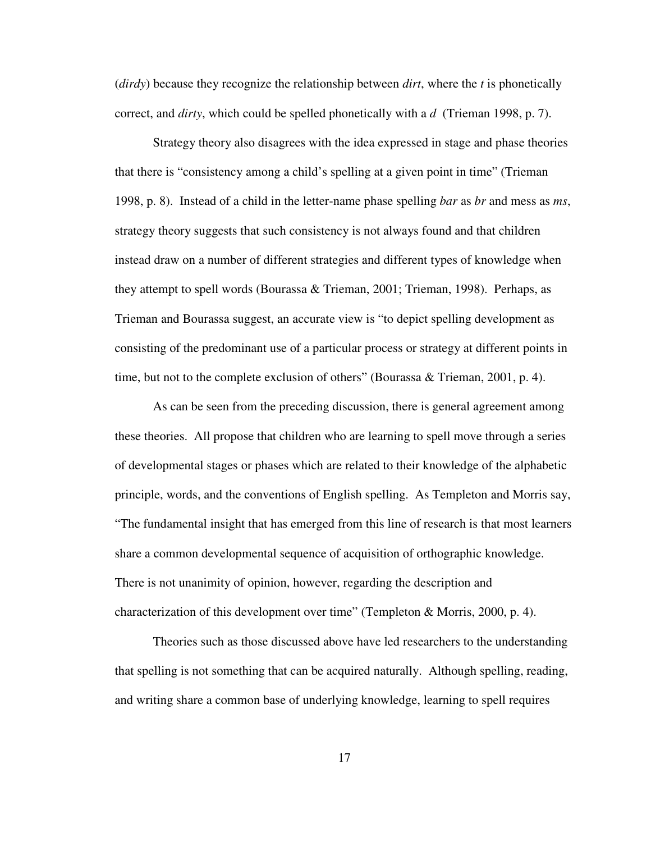(*dirdy*) because they recognize the relationship between *dirt*, where the *t* is phonetically correct, and *dirty*, which could be spelled phonetically with a *d* (Trieman 1998, p. 7).

 Strategy theory also disagrees with the idea expressed in stage and phase theories that there is "consistency among a child's spelling at a given point in time" (Trieman 1998, p. 8). Instead of a child in the letter-name phase spelling *bar* as *br* and mess as *ms*, strategy theory suggests that such consistency is not always found and that children instead draw on a number of different strategies and different types of knowledge when they attempt to spell words (Bourassa & Trieman, 2001; Trieman, 1998). Perhaps, as Trieman and Bourassa suggest, an accurate view is "to depict spelling development as consisting of the predominant use of a particular process or strategy at different points in time, but not to the complete exclusion of others" (Bourassa & Trieman, 2001, p. 4).

As can be seen from the preceding discussion, there is general agreement among these theories. All propose that children who are learning to spell move through a series of developmental stages or phases which are related to their knowledge of the alphabetic principle, words, and the conventions of English spelling. As Templeton and Morris say, "The fundamental insight that has emerged from this line of research is that most learners share a common developmental sequence of acquisition of orthographic knowledge. There is not unanimity of opinion, however, regarding the description and characterization of this development over time" (Templeton & Morris, 2000, p. 4).

Theories such as those discussed above have led researchers to the understanding that spelling is not something that can be acquired naturally. Although spelling, reading, and writing share a common base of underlying knowledge, learning to spell requires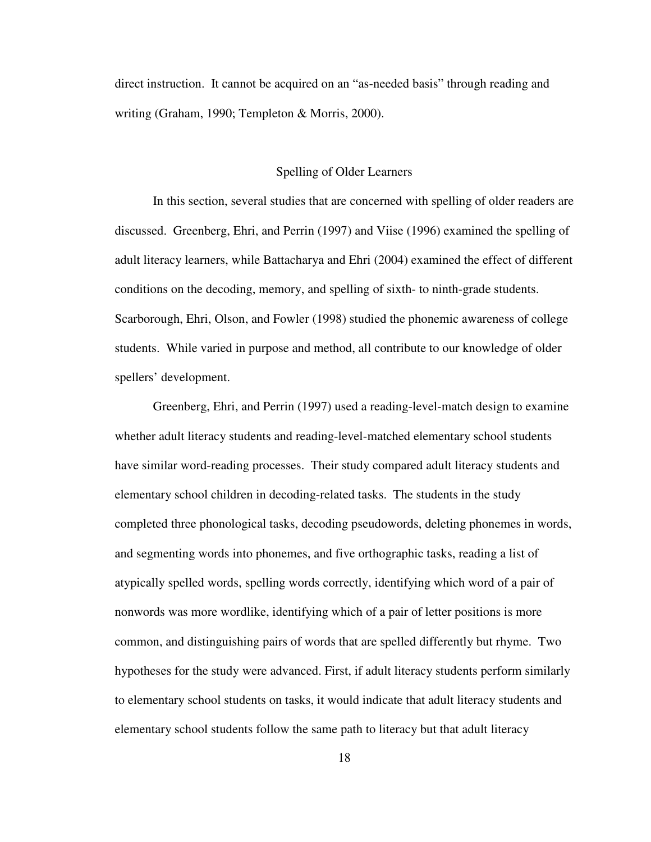direct instruction. It cannot be acquired on an "as-needed basis" through reading and writing (Graham, 1990; Templeton & Morris, 2000).

### Spelling of Older Learners

In this section, several studies that are concerned with spelling of older readers are discussed. Greenberg, Ehri, and Perrin (1997) and Viise (1996) examined the spelling of adult literacy learners, while Battacharya and Ehri (2004) examined the effect of different conditions on the decoding, memory, and spelling of sixth- to ninth-grade students. Scarborough, Ehri, Olson, and Fowler (1998) studied the phonemic awareness of college students. While varied in purpose and method, all contribute to our knowledge of older spellers' development.

Greenberg, Ehri, and Perrin (1997) used a reading-level-match design to examine whether adult literacy students and reading-level-matched elementary school students have similar word-reading processes. Their study compared adult literacy students and elementary school children in decoding-related tasks. The students in the study completed three phonological tasks, decoding pseudowords, deleting phonemes in words, and segmenting words into phonemes, and five orthographic tasks, reading a list of atypically spelled words, spelling words correctly, identifying which word of a pair of nonwords was more wordlike, identifying which of a pair of letter positions is more common, and distinguishing pairs of words that are spelled differently but rhyme. Two hypotheses for the study were advanced. First, if adult literacy students perform similarly to elementary school students on tasks, it would indicate that adult literacy students and elementary school students follow the same path to literacy but that adult literacy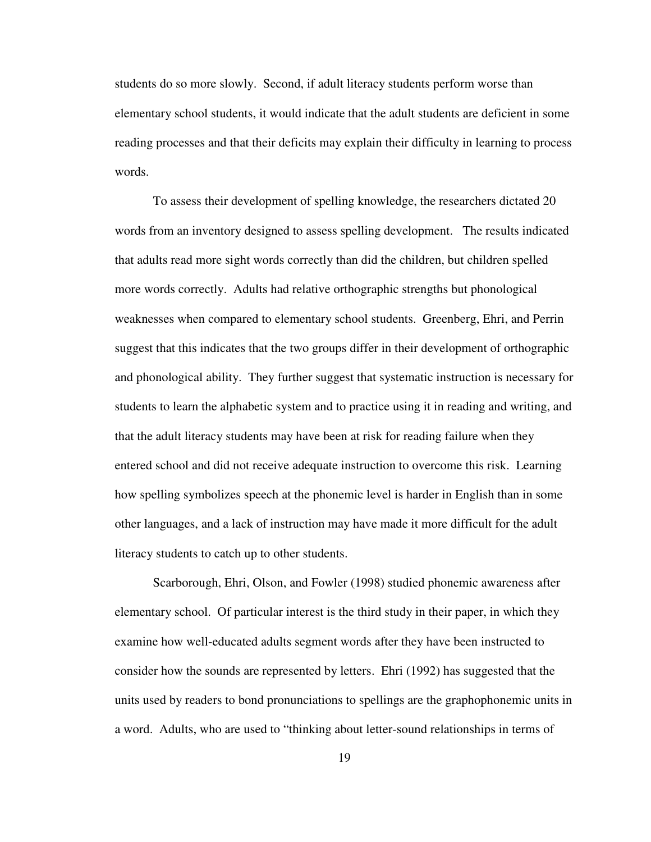students do so more slowly. Second, if adult literacy students perform worse than elementary school students, it would indicate that the adult students are deficient in some reading processes and that their deficits may explain their difficulty in learning to process words.

 To assess their development of spelling knowledge, the researchers dictated 20 words from an inventory designed to assess spelling development. The results indicated that adults read more sight words correctly than did the children, but children spelled more words correctly. Adults had relative orthographic strengths but phonological weaknesses when compared to elementary school students. Greenberg, Ehri, and Perrin suggest that this indicates that the two groups differ in their development of orthographic and phonological ability. They further suggest that systematic instruction is necessary for students to learn the alphabetic system and to practice using it in reading and writing, and that the adult literacy students may have been at risk for reading failure when they entered school and did not receive adequate instruction to overcome this risk. Learning how spelling symbolizes speech at the phonemic level is harder in English than in some other languages, and a lack of instruction may have made it more difficult for the adult literacy students to catch up to other students.

Scarborough, Ehri, Olson, and Fowler (1998) studied phonemic awareness after elementary school. Of particular interest is the third study in their paper, in which they examine how well-educated adults segment words after they have been instructed to consider how the sounds are represented by letters. Ehri (1992) has suggested that the units used by readers to bond pronunciations to spellings are the graphophonemic units in a word. Adults, who are used to "thinking about letter-sound relationships in terms of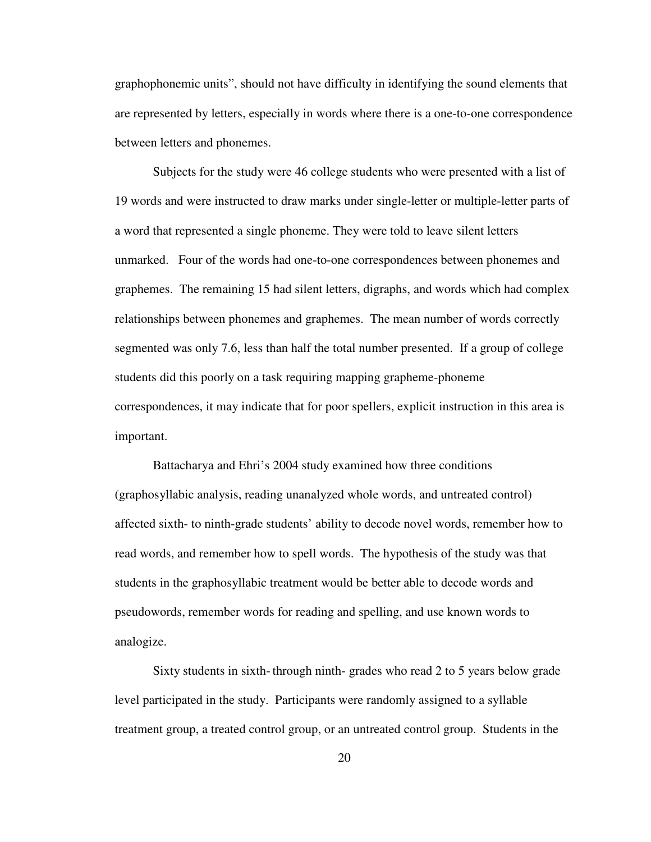graphophonemic units", should not have difficulty in identifying the sound elements that are represented by letters, especially in words where there is a one-to-one correspondence between letters and phonemes.

 Subjects for the study were 46 college students who were presented with a list of 19 words and were instructed to draw marks under single-letter or multiple-letter parts of a word that represented a single phoneme. They were told to leave silent letters unmarked. Four of the words had one-to-one correspondences between phonemes and graphemes. The remaining 15 had silent letters, digraphs, and words which had complex relationships between phonemes and graphemes. The mean number of words correctly segmented was only 7.6, less than half the total number presented. If a group of college students did this poorly on a task requiring mapping grapheme-phoneme correspondences, it may indicate that for poor spellers, explicit instruction in this area is important.

 Battacharya and Ehri's 2004 study examined how three conditions (graphosyllabic analysis, reading unanalyzed whole words, and untreated control) affected sixth- to ninth-grade students' ability to decode novel words, remember how to read words, and remember how to spell words. The hypothesis of the study was that students in the graphosyllabic treatment would be better able to decode words and pseudowords, remember words for reading and spelling, and use known words to analogize.

 Sixty students in sixth- through ninth- grades who read 2 to 5 years below grade level participated in the study. Participants were randomly assigned to a syllable treatment group, a treated control group, or an untreated control group. Students in the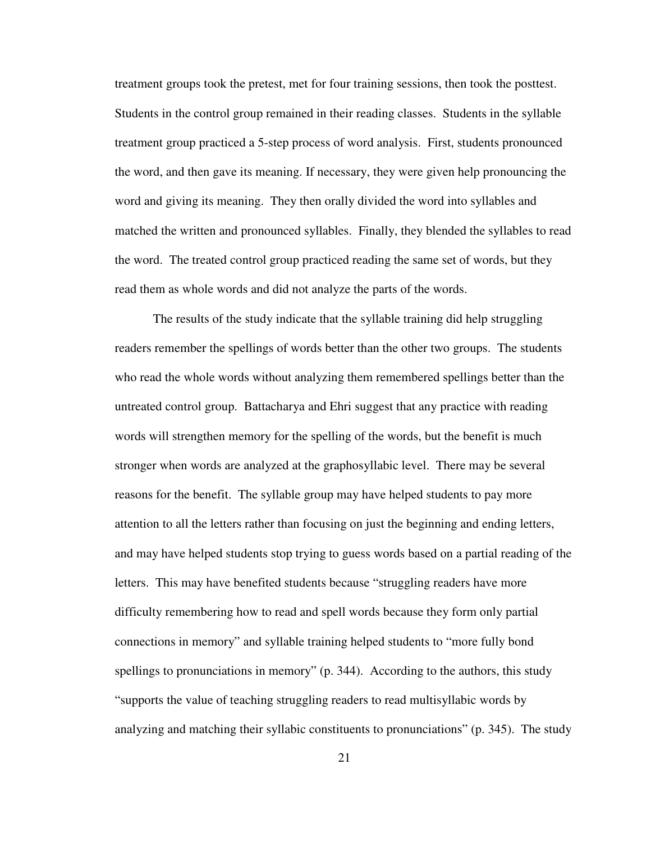treatment groups took the pretest, met for four training sessions, then took the posttest. Students in the control group remained in their reading classes. Students in the syllable treatment group practiced a 5-step process of word analysis. First, students pronounced the word, and then gave its meaning. If necessary, they were given help pronouncing the word and giving its meaning. They then orally divided the word into syllables and matched the written and pronounced syllables. Finally, they blended the syllables to read the word. The treated control group practiced reading the same set of words, but they read them as whole words and did not analyze the parts of the words.

 The results of the study indicate that the syllable training did help struggling readers remember the spellings of words better than the other two groups. The students who read the whole words without analyzing them remembered spellings better than the untreated control group. Battacharya and Ehri suggest that any practice with reading words will strengthen memory for the spelling of the words, but the benefit is much stronger when words are analyzed at the graphosyllabic level. There may be several reasons for the benefit. The syllable group may have helped students to pay more attention to all the letters rather than focusing on just the beginning and ending letters, and may have helped students stop trying to guess words based on a partial reading of the letters. This may have benefited students because "struggling readers have more difficulty remembering how to read and spell words because they form only partial connections in memory" and syllable training helped students to "more fully bond spellings to pronunciations in memory" (p. 344). According to the authors, this study "supports the value of teaching struggling readers to read multisyllabic words by analyzing and matching their syllabic constituents to pronunciations" (p. 345). The study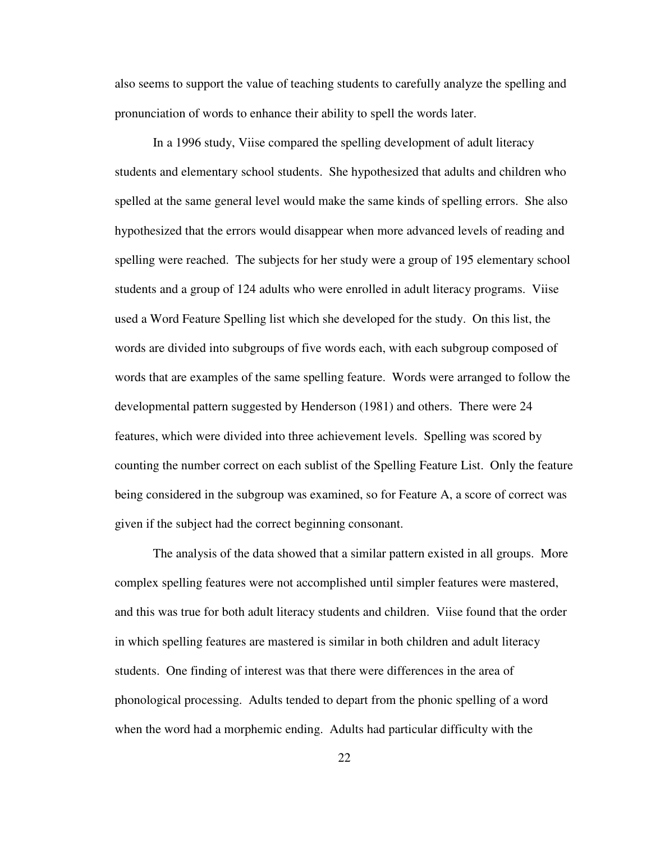also seems to support the value of teaching students to carefully analyze the spelling and pronunciation of words to enhance their ability to spell the words later.

 In a 1996 study, Viise compared the spelling development of adult literacy students and elementary school students. She hypothesized that adults and children who spelled at the same general level would make the same kinds of spelling errors. She also hypothesized that the errors would disappear when more advanced levels of reading and spelling were reached. The subjects for her study were a group of 195 elementary school students and a group of 124 adults who were enrolled in adult literacy programs. Viise used a Word Feature Spelling list which she developed for the study. On this list, the words are divided into subgroups of five words each, with each subgroup composed of words that are examples of the same spelling feature. Words were arranged to follow the developmental pattern suggested by Henderson (1981) and others. There were 24 features, which were divided into three achievement levels. Spelling was scored by counting the number correct on each sublist of the Spelling Feature List. Only the feature being considered in the subgroup was examined, so for Feature A, a score of correct was given if the subject had the correct beginning consonant.

 The analysis of the data showed that a similar pattern existed in all groups. More complex spelling features were not accomplished until simpler features were mastered, and this was true for both adult literacy students and children. Viise found that the order in which spelling features are mastered is similar in both children and adult literacy students. One finding of interest was that there were differences in the area of phonological processing. Adults tended to depart from the phonic spelling of a word when the word had a morphemic ending. Adults had particular difficulty with the

22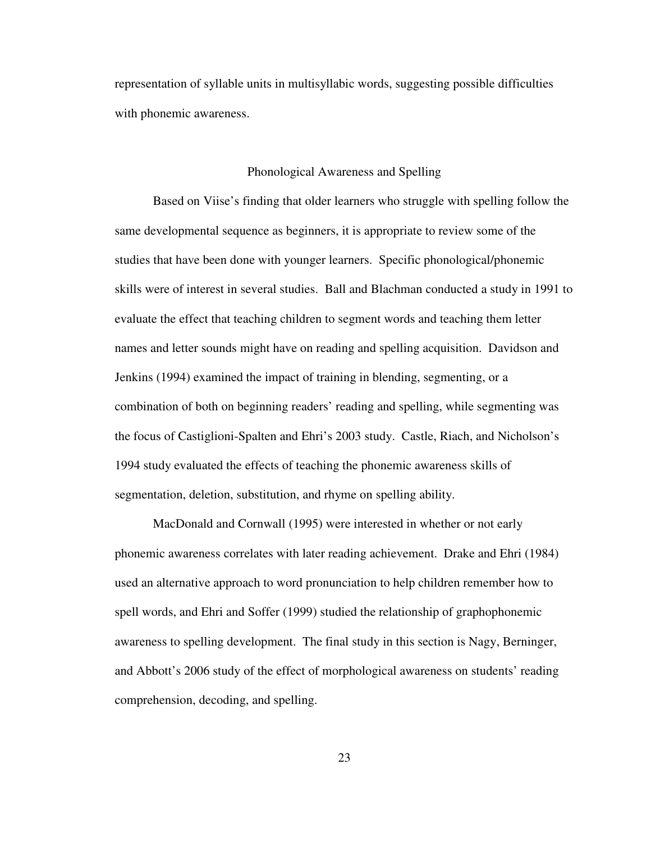representation of syllable units in multisyllabic words, suggesting possible difficulties with phonemic awareness.

#### Phonological Awareness and Spelling

Based on Viise's finding that older learners who struggle with spelling follow the same developmental sequence as beginners, it is appropriate to review some of the studies that have been done with younger learners. Specific phonological/phonemic skills were of interest in several studies. Ball and Blachman conducted a study in 1991 to evaluate the effect that teaching children to segment words and teaching them letter names and letter sounds might have on reading and spelling acquisition. Davidson and Jenkins (1994) examined the impact of training in blending, segmenting, or a combination of both on beginning readers' reading and spelling, while segmenting was the focus of Castiglioni-Spalten and Ehri's 2003 study. Castle, Riach, and Nicholson's 1994 study evaluated the effects of teaching the phonemic awareness skills of segmentation, deletion, substitution, and rhyme on spelling ability.

MacDonald and Cornwall (1995) were interested in whether or not early phonemic awareness correlates with later reading achievement. Drake and Ehri (1984) used an alternative approach to word pronunciation to help children remember how to spell words, and Ehri and Soffer (1999) studied the relationship of graphophonemic awareness to spelling development. The final study in this section is Nagy, Berninger, and Abbott's 2006 study of the effect of morphological awareness on students' reading comprehension, decoding, and spelling.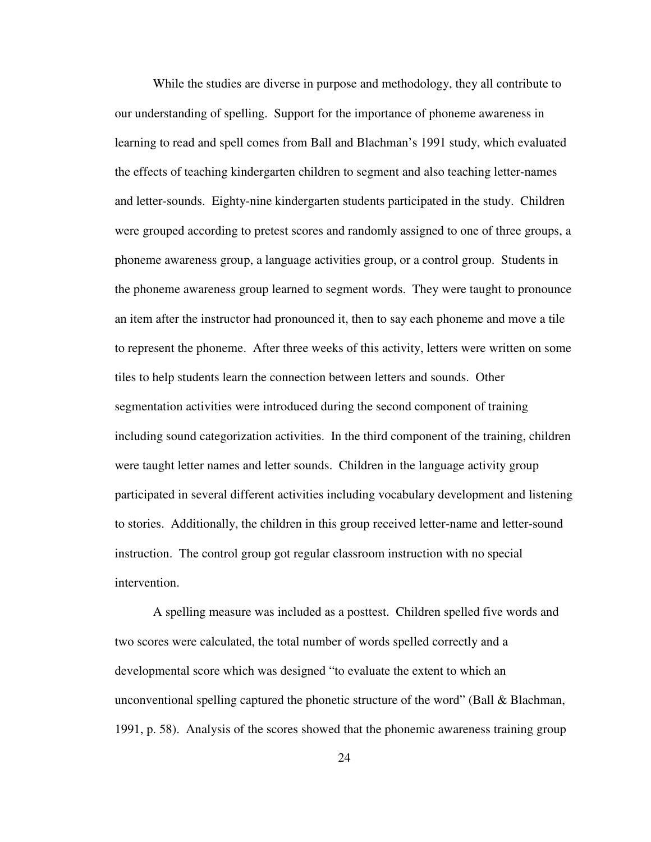While the studies are diverse in purpose and methodology, they all contribute to our understanding of spelling. Support for the importance of phoneme awareness in learning to read and spell comes from Ball and Blachman's 1991 study, which evaluated the effects of teaching kindergarten children to segment and also teaching letter-names and letter-sounds. Eighty-nine kindergarten students participated in the study. Children were grouped according to pretest scores and randomly assigned to one of three groups, a phoneme awareness group, a language activities group, or a control group. Students in the phoneme awareness group learned to segment words. They were taught to pronounce an item after the instructor had pronounced it, then to say each phoneme and move a tile to represent the phoneme. After three weeks of this activity, letters were written on some tiles to help students learn the connection between letters and sounds. Other segmentation activities were introduced during the second component of training including sound categorization activities. In the third component of the training, children were taught letter names and letter sounds. Children in the language activity group participated in several different activities including vocabulary development and listening to stories. Additionally, the children in this group received letter-name and letter-sound instruction. The control group got regular classroom instruction with no special intervention.

A spelling measure was included as a posttest. Children spelled five words and two scores were calculated, the total number of words spelled correctly and a developmental score which was designed "to evaluate the extent to which an unconventional spelling captured the phonetic structure of the word" (Ball & Blachman, 1991, p. 58). Analysis of the scores showed that the phonemic awareness training group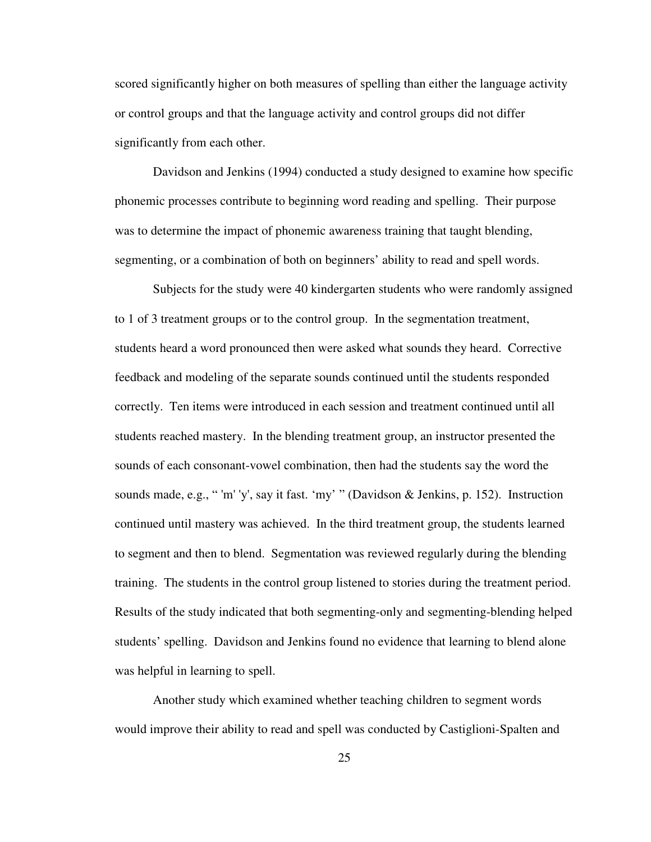scored significantly higher on both measures of spelling than either the language activity or control groups and that the language activity and control groups did not differ significantly from each other.

Davidson and Jenkins (1994) conducted a study designed to examine how specific phonemic processes contribute to beginning word reading and spelling. Their purpose was to determine the impact of phonemic awareness training that taught blending, segmenting, or a combination of both on beginners' ability to read and spell words.

Subjects for the study were 40 kindergarten students who were randomly assigned to 1 of 3 treatment groups or to the control group. In the segmentation treatment, students heard a word pronounced then were asked what sounds they heard. Corrective feedback and modeling of the separate sounds continued until the students responded correctly. Ten items were introduced in each session and treatment continued until all students reached mastery. In the blending treatment group, an instructor presented the sounds of each consonant-vowel combination, then had the students say the word the sounds made, e.g., " 'm' 'y', say it fast. 'my' " (Davidson & Jenkins, p. 152). Instruction continued until mastery was achieved. In the third treatment group, the students learned to segment and then to blend. Segmentation was reviewed regularly during the blending training. The students in the control group listened to stories during the treatment period. Results of the study indicated that both segmenting-only and segmenting-blending helped students' spelling. Davidson and Jenkins found no evidence that learning to blend alone was helpful in learning to spell.

Another study which examined whether teaching children to segment words would improve their ability to read and spell was conducted by Castiglioni-Spalten and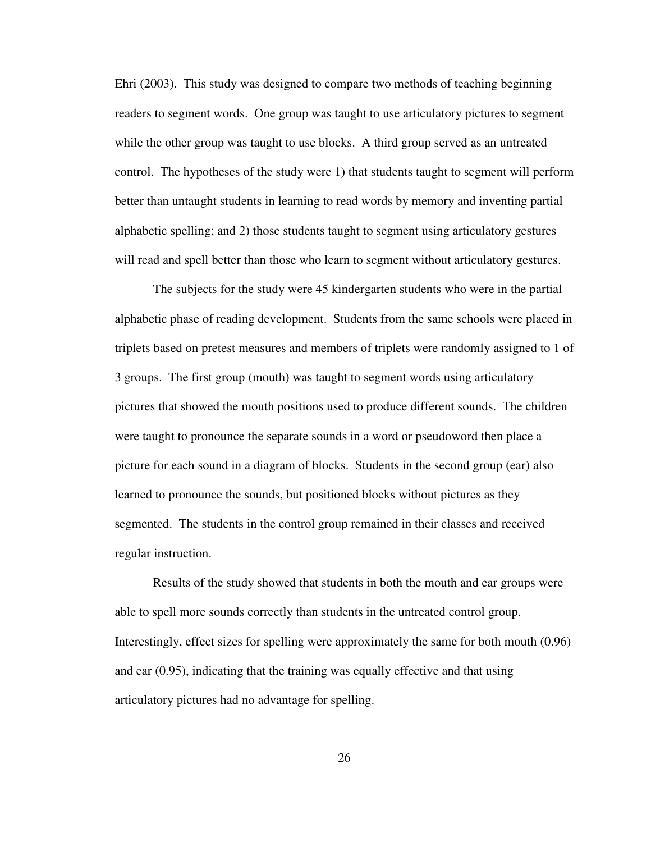Ehri (2003). This study was designed to compare two methods of teaching beginning readers to segment words. One group was taught to use articulatory pictures to segment while the other group was taught to use blocks. A third group served as an untreated control. The hypotheses of the study were 1) that students taught to segment will perform better than untaught students in learning to read words by memory and inventing partial alphabetic spelling; and 2) those students taught to segment using articulatory gestures will read and spell better than those who learn to segment without articulatory gestures.

The subjects for the study were 45 kindergarten students who were in the partial alphabetic phase of reading development. Students from the same schools were placed in triplets based on pretest measures and members of triplets were randomly assigned to 1 of 3 groups. The first group (mouth) was taught to segment words using articulatory pictures that showed the mouth positions used to produce different sounds. The children were taught to pronounce the separate sounds in a word or pseudoword then place a picture for each sound in a diagram of blocks. Students in the second group (ear) also learned to pronounce the sounds, but positioned blocks without pictures as they segmented. The students in the control group remained in their classes and received regular instruction.

Results of the study showed that students in both the mouth and ear groups were able to spell more sounds correctly than students in the untreated control group. Interestingly, effect sizes for spelling were approximately the same for both mouth (0.96) and ear (0.95), indicating that the training was equally effective and that using articulatory pictures had no advantage for spelling.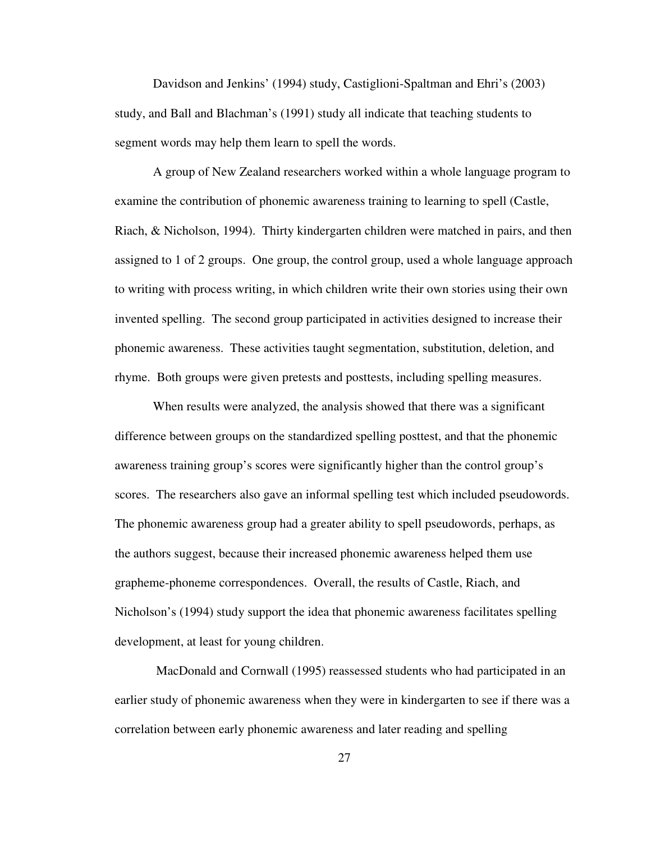Davidson and Jenkins' (1994) study, Castiglioni-Spaltman and Ehri's (2003) study, and Ball and Blachman's (1991) study all indicate that teaching students to segment words may help them learn to spell the words.

A group of New Zealand researchers worked within a whole language program to examine the contribution of phonemic awareness training to learning to spell (Castle, Riach, & Nicholson, 1994). Thirty kindergarten children were matched in pairs, and then assigned to 1 of 2 groups. One group, the control group, used a whole language approach to writing with process writing, in which children write their own stories using their own invented spelling. The second group participated in activities designed to increase their phonemic awareness. These activities taught segmentation, substitution, deletion, and rhyme. Both groups were given pretests and posttests, including spelling measures.

 When results were analyzed, the analysis showed that there was a significant difference between groups on the standardized spelling posttest, and that the phonemic awareness training group's scores were significantly higher than the control group's scores. The researchers also gave an informal spelling test which included pseudowords. The phonemic awareness group had a greater ability to spell pseudowords, perhaps, as the authors suggest, because their increased phonemic awareness helped them use grapheme-phoneme correspondences. Overall, the results of Castle, Riach, and Nicholson's (1994) study support the idea that phonemic awareness facilitates spelling development, at least for young children.

 MacDonald and Cornwall (1995) reassessed students who had participated in an earlier study of phonemic awareness when they were in kindergarten to see if there was a correlation between early phonemic awareness and later reading and spelling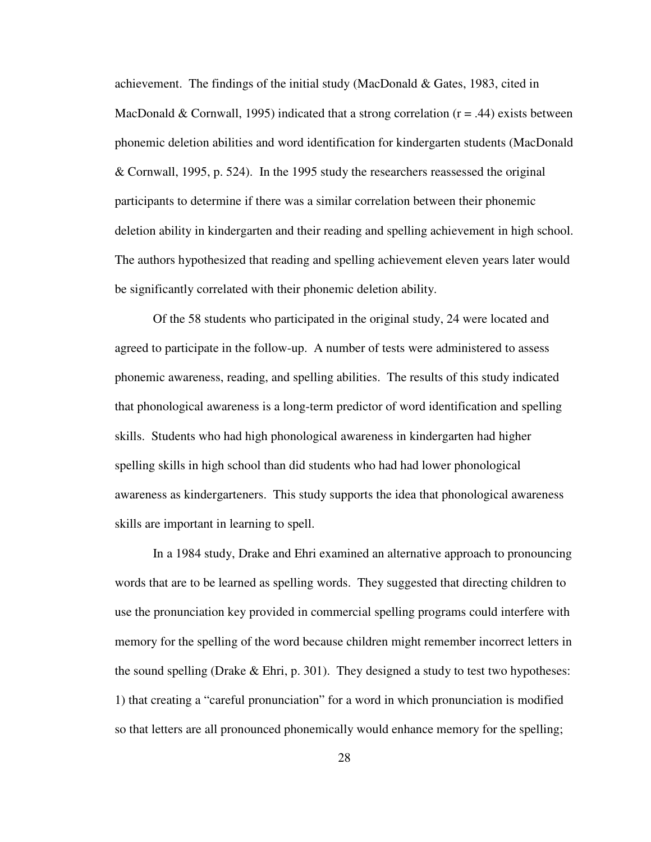achievement. The findings of the initial study (MacDonald & Gates, 1983, cited in MacDonald & Cornwall, 1995) indicated that a strong correlation  $(r = .44)$  exists between phonemic deletion abilities and word identification for kindergarten students (MacDonald & Cornwall, 1995, p. 524). In the 1995 study the researchers reassessed the original participants to determine if there was a similar correlation between their phonemic deletion ability in kindergarten and their reading and spelling achievement in high school. The authors hypothesized that reading and spelling achievement eleven years later would be significantly correlated with their phonemic deletion ability.

 Of the 58 students who participated in the original study, 24 were located and agreed to participate in the follow-up. A number of tests were administered to assess phonemic awareness, reading, and spelling abilities. The results of this study indicated that phonological awareness is a long-term predictor of word identification and spelling skills. Students who had high phonological awareness in kindergarten had higher spelling skills in high school than did students who had had lower phonological awareness as kindergarteners. This study supports the idea that phonological awareness skills are important in learning to spell.

In a 1984 study, Drake and Ehri examined an alternative approach to pronouncing words that are to be learned as spelling words. They suggested that directing children to use the pronunciation key provided in commercial spelling programs could interfere with memory for the spelling of the word because children might remember incorrect letters in the sound spelling (Drake  $\&$  Ehri, p. 301). They designed a study to test two hypotheses: 1) that creating a "careful pronunciation" for a word in which pronunciation is modified so that letters are all pronounced phonemically would enhance memory for the spelling;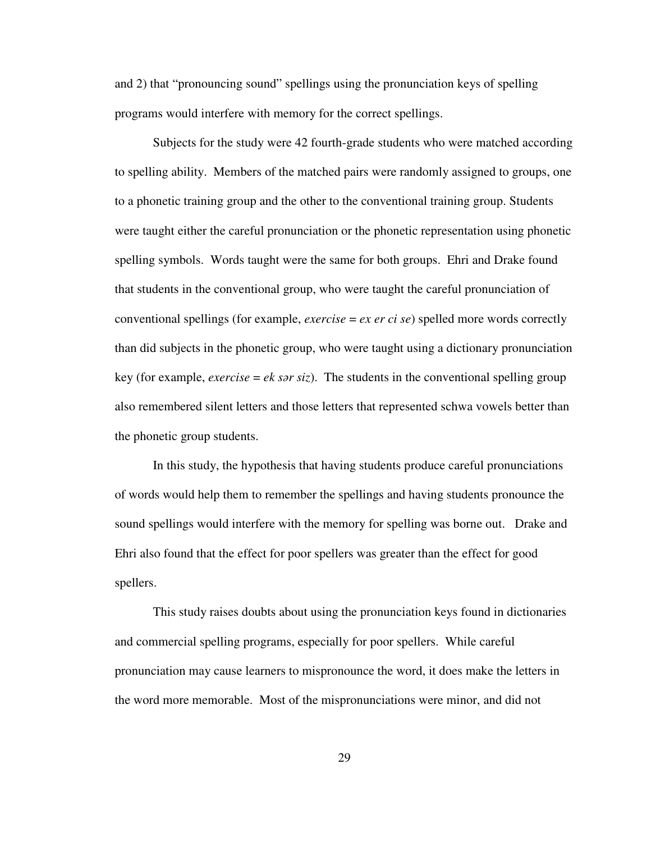and 2) that "pronouncing sound" spellings using the pronunciation keys of spelling programs would interfere with memory for the correct spellings.

Subjects for the study were 42 fourth-grade students who were matched according to spelling ability. Members of the matched pairs were randomly assigned to groups, one to a phonetic training group and the other to the conventional training group. Students were taught either the careful pronunciation or the phonetic representation using phonetic spelling symbols. Words taught were the same for both groups. Ehri and Drake found that students in the conventional group, who were taught the careful pronunciation of conventional spellings (for example, *exercise* = *ex er ci se*) spelled more words correctly than did subjects in the phonetic group, who were taught using a dictionary pronunciation key (for example, *exercise* = *ek sar siz*). The students in the conventional spelling group also remembered silent letters and those letters that represented schwa vowels better than the phonetic group students.

In this study, the hypothesis that having students produce careful pronunciations of words would help them to remember the spellings and having students pronounce the sound spellings would interfere with the memory for spelling was borne out. Drake and Ehri also found that the effect for poor spellers was greater than the effect for good spellers.

This study raises doubts about using the pronunciation keys found in dictionaries and commercial spelling programs, especially for poor spellers. While careful pronunciation may cause learners to mispronounce the word, it does make the letters in the word more memorable. Most of the mispronunciations were minor, and did not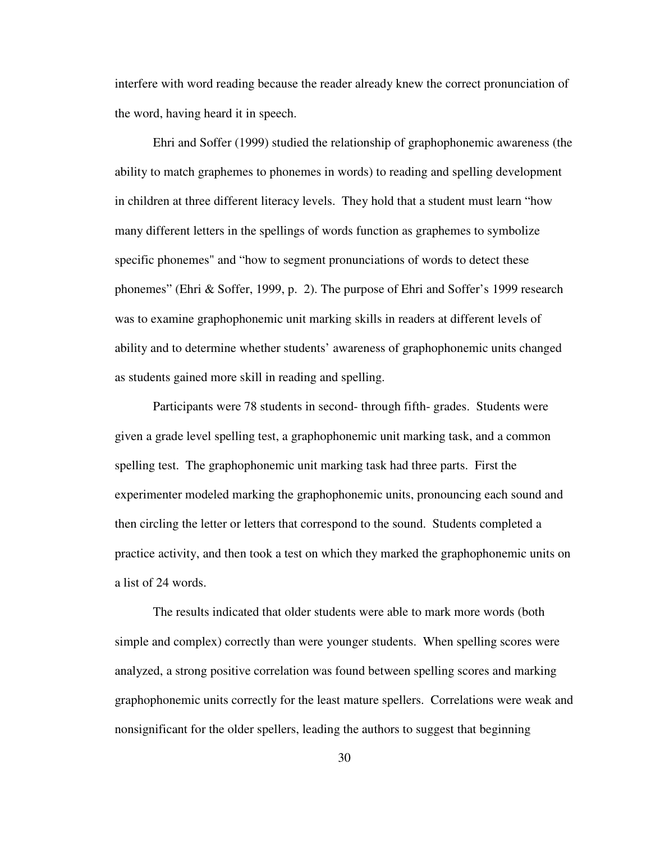interfere with word reading because the reader already knew the correct pronunciation of the word, having heard it in speech.

Ehri and Soffer (1999) studied the relationship of graphophonemic awareness (the ability to match graphemes to phonemes in words) to reading and spelling development in children at three different literacy levels. They hold that a student must learn "how many different letters in the spellings of words function as graphemes to symbolize specific phonemes" and "how to segment pronunciations of words to detect these phonemes" (Ehri & Soffer, 1999, p. 2). The purpose of Ehri and Soffer's 1999 research was to examine graphophonemic unit marking skills in readers at different levels of ability and to determine whether students' awareness of graphophonemic units changed as students gained more skill in reading and spelling.

 Participants were 78 students in second- through fifth- grades. Students were given a grade level spelling test, a graphophonemic unit marking task, and a common spelling test. The graphophonemic unit marking task had three parts. First the experimenter modeled marking the graphophonemic units, pronouncing each sound and then circling the letter or letters that correspond to the sound. Students completed a practice activity, and then took a test on which they marked the graphophonemic units on a list of 24 words.

 The results indicated that older students were able to mark more words (both simple and complex) correctly than were younger students. When spelling scores were analyzed, a strong positive correlation was found between spelling scores and marking graphophonemic units correctly for the least mature spellers. Correlations were weak and nonsignificant for the older spellers, leading the authors to suggest that beginning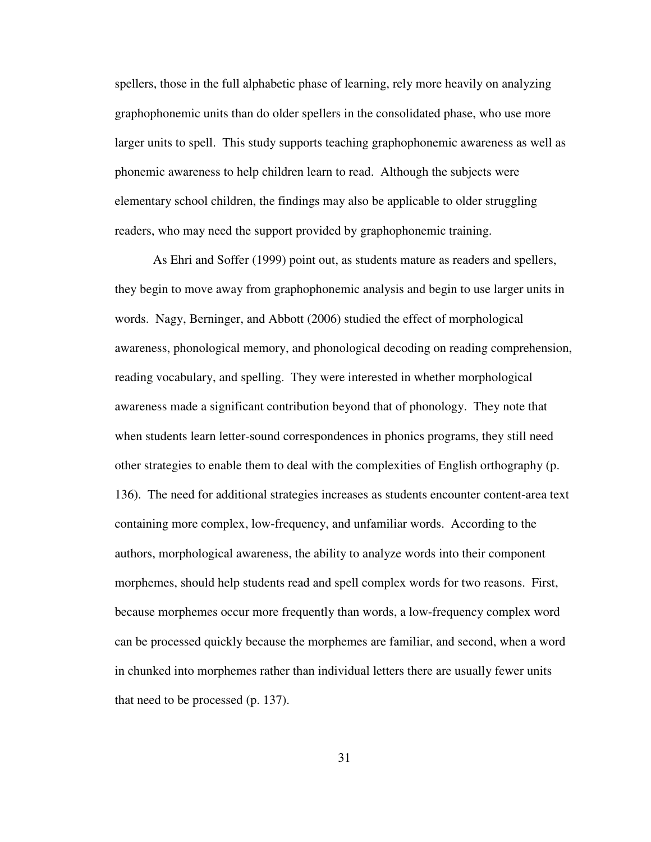spellers, those in the full alphabetic phase of learning, rely more heavily on analyzing graphophonemic units than do older spellers in the consolidated phase, who use more larger units to spell. This study supports teaching graphophonemic awareness as well as phonemic awareness to help children learn to read. Although the subjects were elementary school children, the findings may also be applicable to older struggling readers, who may need the support provided by graphophonemic training.

 As Ehri and Soffer (1999) point out, as students mature as readers and spellers, they begin to move away from graphophonemic analysis and begin to use larger units in words. Nagy, Berninger, and Abbott (2006) studied the effect of morphological awareness, phonological memory, and phonological decoding on reading comprehension, reading vocabulary, and spelling. They were interested in whether morphological awareness made a significant contribution beyond that of phonology. They note that when students learn letter-sound correspondences in phonics programs, they still need other strategies to enable them to deal with the complexities of English orthography (p. 136). The need for additional strategies increases as students encounter content-area text containing more complex, low-frequency, and unfamiliar words. According to the authors, morphological awareness, the ability to analyze words into their component morphemes, should help students read and spell complex words for two reasons. First, because morphemes occur more frequently than words, a low-frequency complex word can be processed quickly because the morphemes are familiar, and second, when a word in chunked into morphemes rather than individual letters there are usually fewer units that need to be processed (p. 137).

31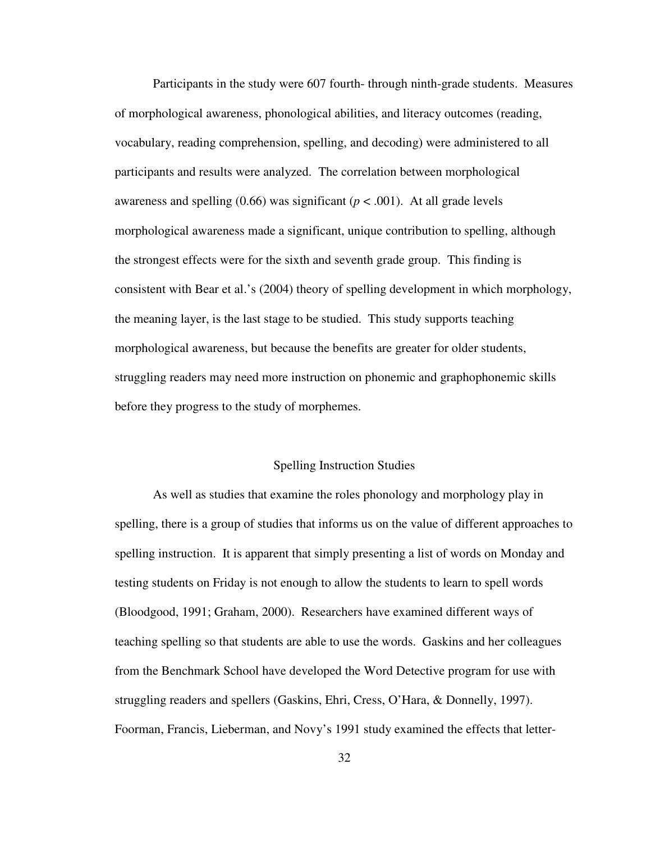Participants in the study were 607 fourth- through ninth-grade students. Measures of morphological awareness, phonological abilities, and literacy outcomes (reading, vocabulary, reading comprehension, spelling, and decoding) were administered to all participants and results were analyzed. The correlation between morphological awareness and spelling  $(0.66)$  was significant  $(p < .001)$ . At all grade levels morphological awareness made a significant, unique contribution to spelling, although the strongest effects were for the sixth and seventh grade group. This finding is consistent with Bear et al.'s (2004) theory of spelling development in which morphology, the meaning layer, is the last stage to be studied. This study supports teaching morphological awareness, but because the benefits are greater for older students, struggling readers may need more instruction on phonemic and graphophonemic skills before they progress to the study of morphemes.

### Spelling Instruction Studies

 As well as studies that examine the roles phonology and morphology play in spelling, there is a group of studies that informs us on the value of different approaches to spelling instruction. It is apparent that simply presenting a list of words on Monday and testing students on Friday is not enough to allow the students to learn to spell words (Bloodgood, 1991; Graham, 2000). Researchers have examined different ways of teaching spelling so that students are able to use the words. Gaskins and her colleagues from the Benchmark School have developed the Word Detective program for use with struggling readers and spellers (Gaskins, Ehri, Cress, O'Hara, & Donnelly, 1997). Foorman, Francis, Lieberman, and Novy's 1991 study examined the effects that letter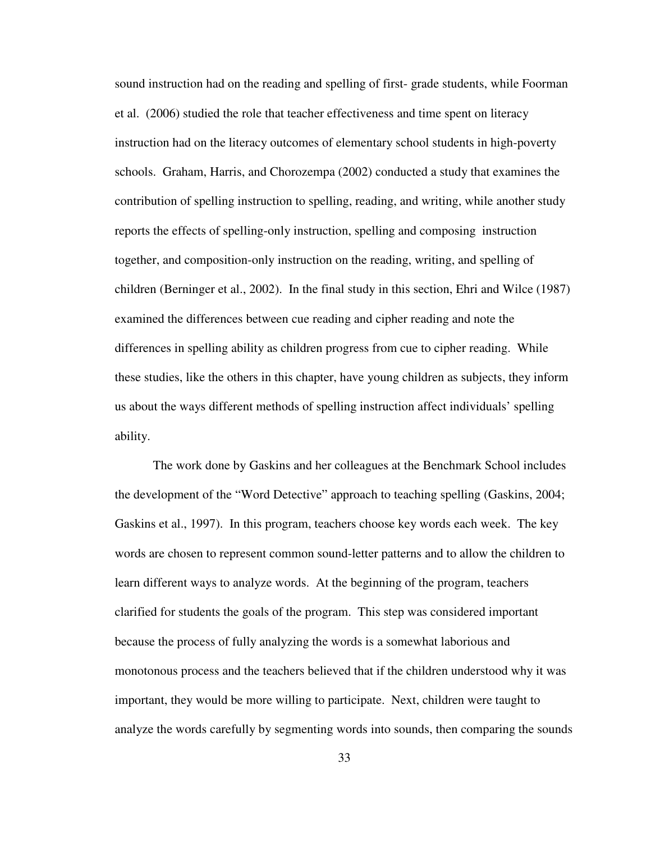sound instruction had on the reading and spelling of first- grade students, while Foorman et al. (2006) studied the role that teacher effectiveness and time spent on literacy instruction had on the literacy outcomes of elementary school students in high-poverty schools. Graham, Harris, and Chorozempa (2002) conducted a study that examines the contribution of spelling instruction to spelling, reading, and writing, while another study reports the effects of spelling-only instruction, spelling and composing instruction together, and composition-only instruction on the reading, writing, and spelling of children (Berninger et al., 2002). In the final study in this section, Ehri and Wilce (1987) examined the differences between cue reading and cipher reading and note the differences in spelling ability as children progress from cue to cipher reading. While these studies, like the others in this chapter, have young children as subjects, they inform us about the ways different methods of spelling instruction affect individuals' spelling ability.

 The work done by Gaskins and her colleagues at the Benchmark School includes the development of the "Word Detective" approach to teaching spelling (Gaskins, 2004; Gaskins et al., 1997). In this program, teachers choose key words each week. The key words are chosen to represent common sound-letter patterns and to allow the children to learn different ways to analyze words. At the beginning of the program, teachers clarified for students the goals of the program. This step was considered important because the process of fully analyzing the words is a somewhat laborious and monotonous process and the teachers believed that if the children understood why it was important, they would be more willing to participate. Next, children were taught to analyze the words carefully by segmenting words into sounds, then comparing the sounds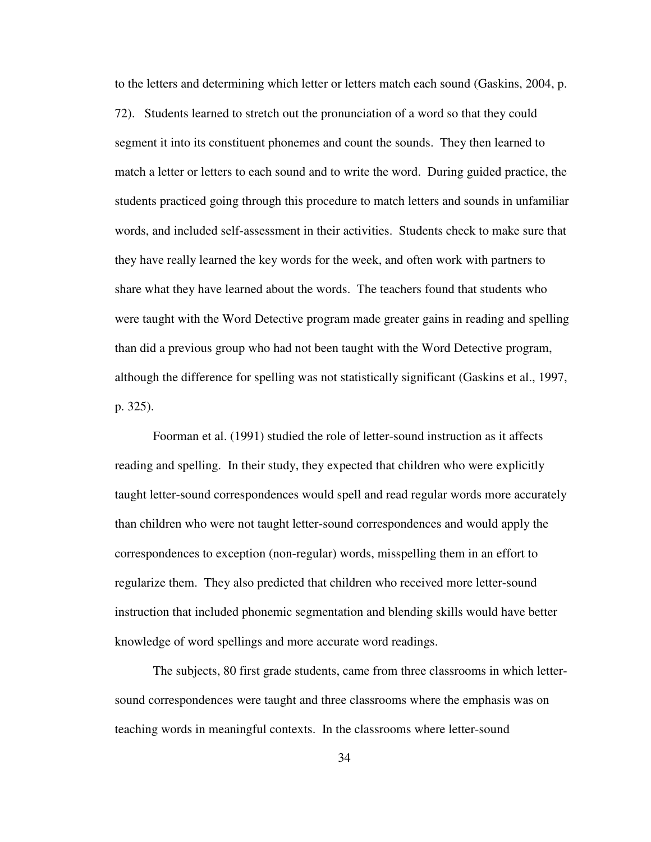to the letters and determining which letter or letters match each sound (Gaskins, 2004, p. 72). Students learned to stretch out the pronunciation of a word so that they could segment it into its constituent phonemes and count the sounds. They then learned to match a letter or letters to each sound and to write the word. During guided practice, the students practiced going through this procedure to match letters and sounds in unfamiliar words, and included self-assessment in their activities. Students check to make sure that they have really learned the key words for the week, and often work with partners to share what they have learned about the words. The teachers found that students who were taught with the Word Detective program made greater gains in reading and spelling than did a previous group who had not been taught with the Word Detective program, although the difference for spelling was not statistically significant (Gaskins et al., 1997, p. 325).

 Foorman et al. (1991) studied the role of letter-sound instruction as it affects reading and spelling. In their study, they expected that children who were explicitly taught letter-sound correspondences would spell and read regular words more accurately than children who were not taught letter-sound correspondences and would apply the correspondences to exception (non-regular) words, misspelling them in an effort to regularize them. They also predicted that children who received more letter-sound instruction that included phonemic segmentation and blending skills would have better knowledge of word spellings and more accurate word readings.

 The subjects, 80 first grade students, came from three classrooms in which lettersound correspondences were taught and three classrooms where the emphasis was on teaching words in meaningful contexts. In the classrooms where letter-sound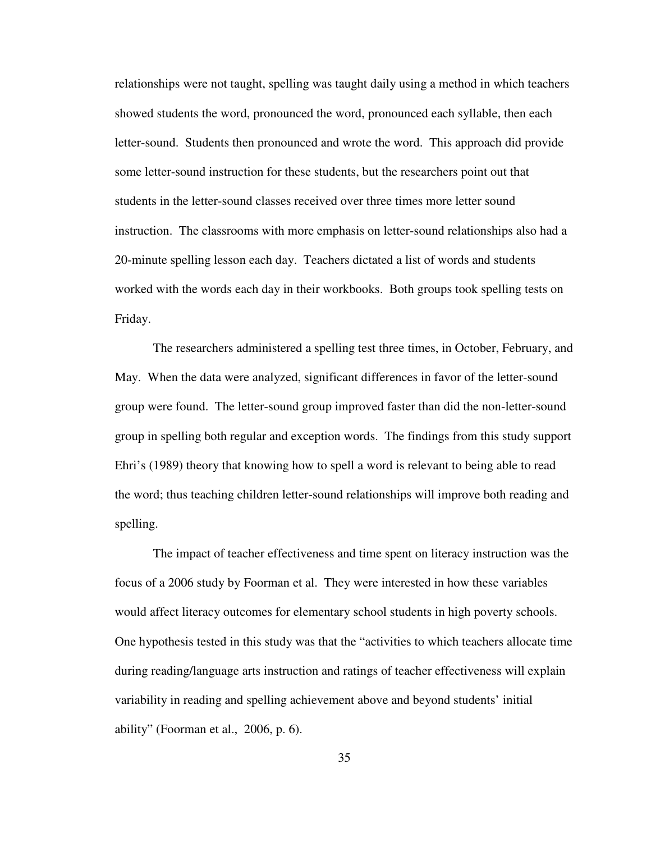relationships were not taught, spelling was taught daily using a method in which teachers showed students the word, pronounced the word, pronounced each syllable, then each letter-sound. Students then pronounced and wrote the word. This approach did provide some letter-sound instruction for these students, but the researchers point out that students in the letter-sound classes received over three times more letter sound instruction. The classrooms with more emphasis on letter-sound relationships also had a 20-minute spelling lesson each day. Teachers dictated a list of words and students worked with the words each day in their workbooks. Both groups took spelling tests on Friday.

 The researchers administered a spelling test three times, in October, February, and May. When the data were analyzed, significant differences in favor of the letter-sound group were found. The letter-sound group improved faster than did the non-letter-sound group in spelling both regular and exception words. The findings from this study support Ehri's (1989) theory that knowing how to spell a word is relevant to being able to read the word; thus teaching children letter-sound relationships will improve both reading and spelling.

 The impact of teacher effectiveness and time spent on literacy instruction was the focus of a 2006 study by Foorman et al. They were interested in how these variables would affect literacy outcomes for elementary school students in high poverty schools. One hypothesis tested in this study was that the "activities to which teachers allocate time during reading/language arts instruction and ratings of teacher effectiveness will explain variability in reading and spelling achievement above and beyond students' initial ability" (Foorman et al., 2006, p. 6).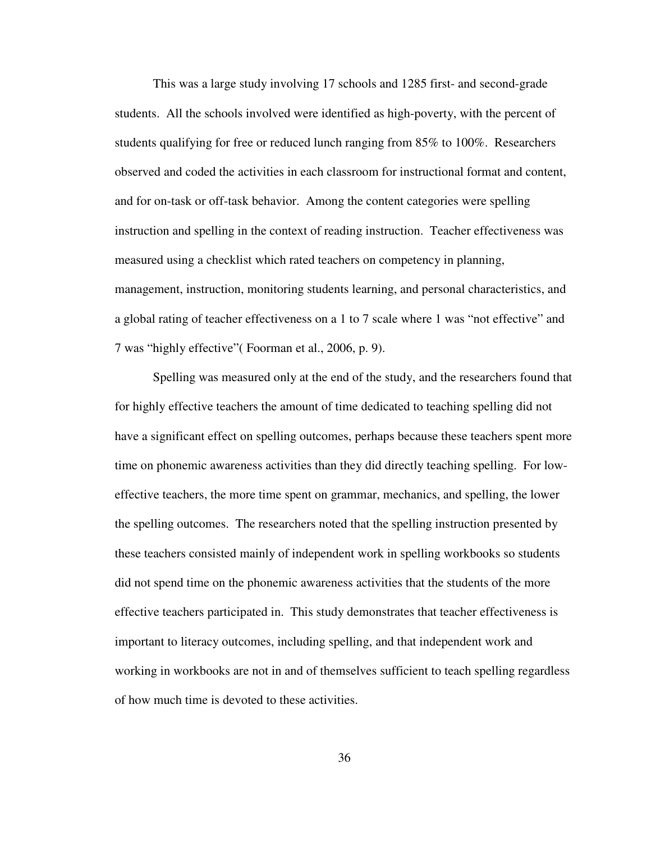This was a large study involving 17 schools and 1285 first- and second-grade students. All the schools involved were identified as high-poverty, with the percent of students qualifying for free or reduced lunch ranging from 85% to 100%. Researchers observed and coded the activities in each classroom for instructional format and content, and for on-task or off-task behavior. Among the content categories were spelling instruction and spelling in the context of reading instruction. Teacher effectiveness was measured using a checklist which rated teachers on competency in planning, management, instruction, monitoring students learning, and personal characteristics, and a global rating of teacher effectiveness on a 1 to 7 scale where 1 was "not effective" and 7 was "highly effective"( Foorman et al., 2006, p. 9).

 Spelling was measured only at the end of the study, and the researchers found that for highly effective teachers the amount of time dedicated to teaching spelling did not have a significant effect on spelling outcomes, perhaps because these teachers spent more time on phonemic awareness activities than they did directly teaching spelling. For loweffective teachers, the more time spent on grammar, mechanics, and spelling, the lower the spelling outcomes. The researchers noted that the spelling instruction presented by these teachers consisted mainly of independent work in spelling workbooks so students did not spend time on the phonemic awareness activities that the students of the more effective teachers participated in. This study demonstrates that teacher effectiveness is important to literacy outcomes, including spelling, and that independent work and working in workbooks are not in and of themselves sufficient to teach spelling regardless of how much time is devoted to these activities.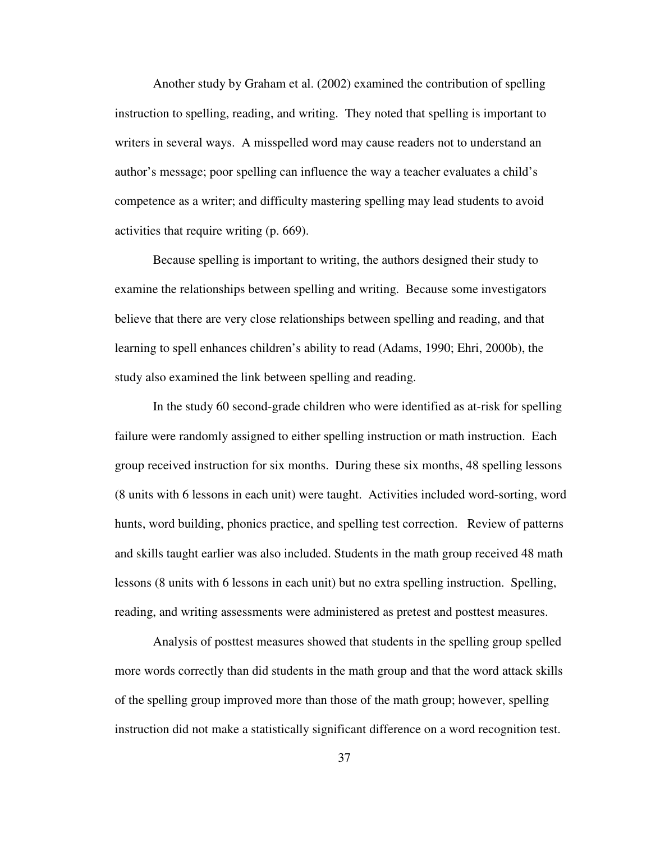Another study by Graham et al. (2002) examined the contribution of spelling instruction to spelling, reading, and writing. They noted that spelling is important to writers in several ways. A misspelled word may cause readers not to understand an author's message; poor spelling can influence the way a teacher evaluates a child's competence as a writer; and difficulty mastering spelling may lead students to avoid activities that require writing (p. 669).

 Because spelling is important to writing, the authors designed their study to examine the relationships between spelling and writing. Because some investigators believe that there are very close relationships between spelling and reading, and that learning to spell enhances children's ability to read (Adams, 1990; Ehri, 2000b), the study also examined the link between spelling and reading.

 In the study 60 second-grade children who were identified as at-risk for spelling failure were randomly assigned to either spelling instruction or math instruction. Each group received instruction for six months. During these six months, 48 spelling lessons (8 units with 6 lessons in each unit) were taught. Activities included word-sorting, word hunts, word building, phonics practice, and spelling test correction. Review of patterns and skills taught earlier was also included. Students in the math group received 48 math lessons (8 units with 6 lessons in each unit) but no extra spelling instruction. Spelling, reading, and writing assessments were administered as pretest and posttest measures.

Analysis of posttest measures showed that students in the spelling group spelled more words correctly than did students in the math group and that the word attack skills of the spelling group improved more than those of the math group; however, spelling instruction did not make a statistically significant difference on a word recognition test.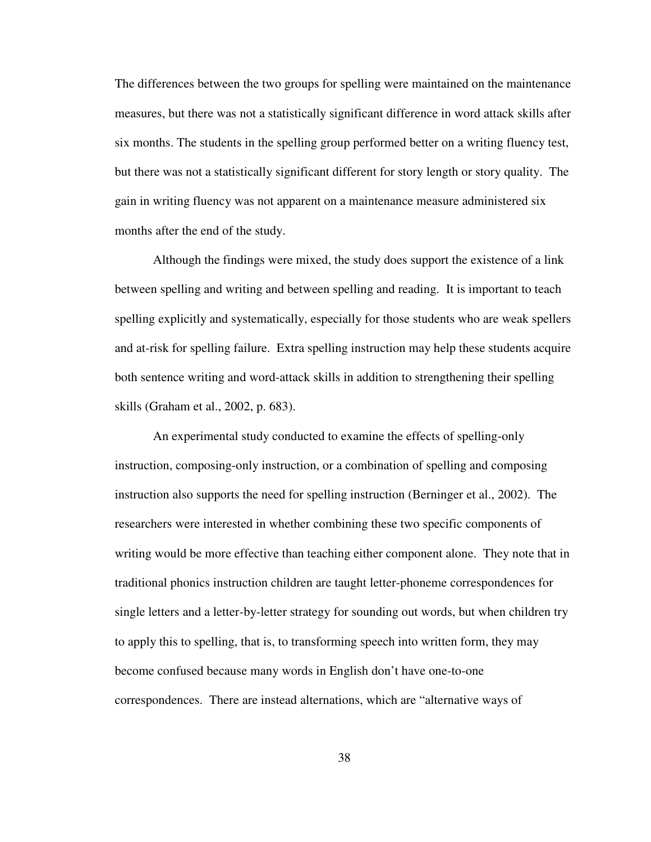The differences between the two groups for spelling were maintained on the maintenance measures, but there was not a statistically significant difference in word attack skills after six months. The students in the spelling group performed better on a writing fluency test, but there was not a statistically significant different for story length or story quality. The gain in writing fluency was not apparent on a maintenance measure administered six months after the end of the study.

Although the findings were mixed, the study does support the existence of a link between spelling and writing and between spelling and reading. It is important to teach spelling explicitly and systematically, especially for those students who are weak spellers and at-risk for spelling failure. Extra spelling instruction may help these students acquire both sentence writing and word-attack skills in addition to strengthening their spelling skills (Graham et al., 2002, p. 683).

An experimental study conducted to examine the effects of spelling-only instruction, composing-only instruction, or a combination of spelling and composing instruction also supports the need for spelling instruction (Berninger et al., 2002). The researchers were interested in whether combining these two specific components of writing would be more effective than teaching either component alone. They note that in traditional phonics instruction children are taught letter-phoneme correspondences for single letters and a letter-by-letter strategy for sounding out words, but when children try to apply this to spelling, that is, to transforming speech into written form, they may become confused because many words in English don't have one-to-one correspondences. There are instead alternations, which are "alternative ways of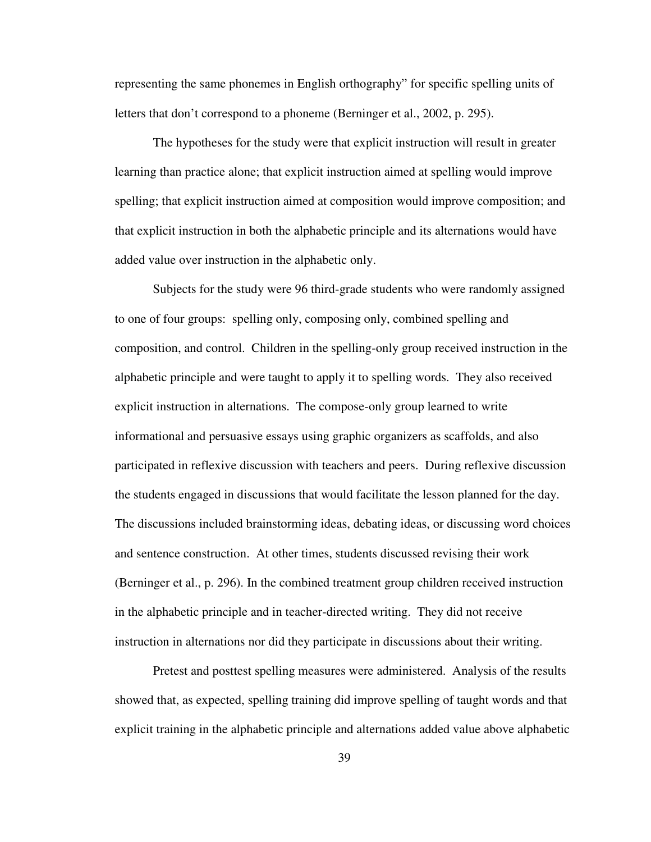representing the same phonemes in English orthography" for specific spelling units of letters that don't correspond to a phoneme (Berninger et al., 2002, p. 295).

The hypotheses for the study were that explicit instruction will result in greater learning than practice alone; that explicit instruction aimed at spelling would improve spelling; that explicit instruction aimed at composition would improve composition; and that explicit instruction in both the alphabetic principle and its alternations would have added value over instruction in the alphabetic only.

Subjects for the study were 96 third-grade students who were randomly assigned to one of four groups: spelling only, composing only, combined spelling and composition, and control. Children in the spelling-only group received instruction in the alphabetic principle and were taught to apply it to spelling words. They also received explicit instruction in alternations. The compose-only group learned to write informational and persuasive essays using graphic organizers as scaffolds, and also participated in reflexive discussion with teachers and peers. During reflexive discussion the students engaged in discussions that would facilitate the lesson planned for the day. The discussions included brainstorming ideas, debating ideas, or discussing word choices and sentence construction. At other times, students discussed revising their work (Berninger et al., p. 296). In the combined treatment group children received instruction in the alphabetic principle and in teacher-directed writing. They did not receive instruction in alternations nor did they participate in discussions about their writing.

Pretest and posttest spelling measures were administered. Analysis of the results showed that, as expected, spelling training did improve spelling of taught words and that explicit training in the alphabetic principle and alternations added value above alphabetic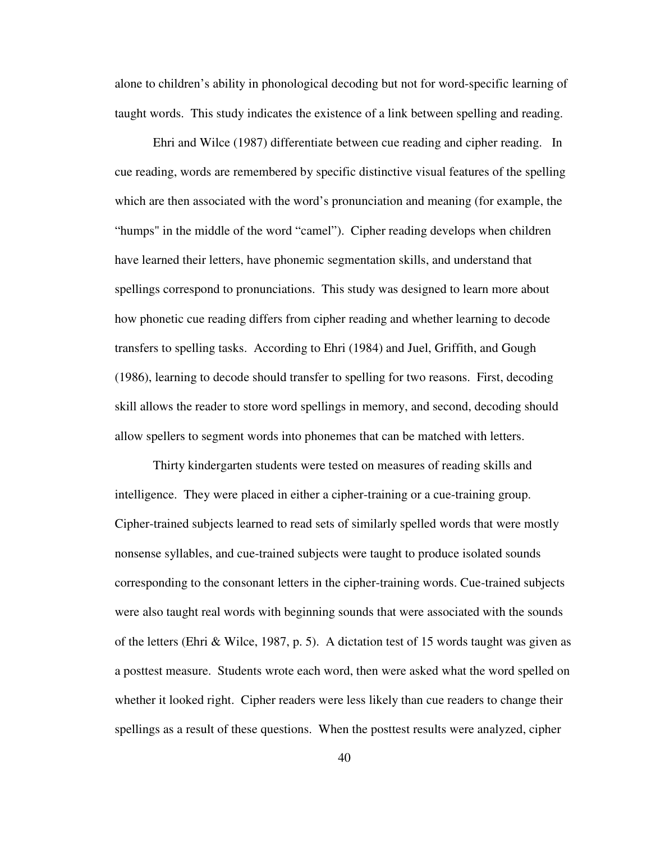alone to children's ability in phonological decoding but not for word-specific learning of taught words. This study indicates the existence of a link between spelling and reading.

Ehri and Wilce (1987) differentiate between cue reading and cipher reading. In cue reading, words are remembered by specific distinctive visual features of the spelling which are then associated with the word's pronunciation and meaning (for example, the "humps" in the middle of the word "camel"). Cipher reading develops when children have learned their letters, have phonemic segmentation skills, and understand that spellings correspond to pronunciations. This study was designed to learn more about how phonetic cue reading differs from cipher reading and whether learning to decode transfers to spelling tasks. According to Ehri (1984) and Juel, Griffith, and Gough (1986), learning to decode should transfer to spelling for two reasons. First, decoding skill allows the reader to store word spellings in memory, and second, decoding should allow spellers to segment words into phonemes that can be matched with letters.

Thirty kindergarten students were tested on measures of reading skills and intelligence. They were placed in either a cipher-training or a cue-training group. Cipher-trained subjects learned to read sets of similarly spelled words that were mostly nonsense syllables, and cue-trained subjects were taught to produce isolated sounds corresponding to the consonant letters in the cipher-training words. Cue-trained subjects were also taught real words with beginning sounds that were associated with the sounds of the letters (Ehri & Wilce, 1987, p. 5). A dictation test of 15 words taught was given as a posttest measure. Students wrote each word, then were asked what the word spelled on whether it looked right. Cipher readers were less likely than cue readers to change their spellings as a result of these questions. When the posttest results were analyzed, cipher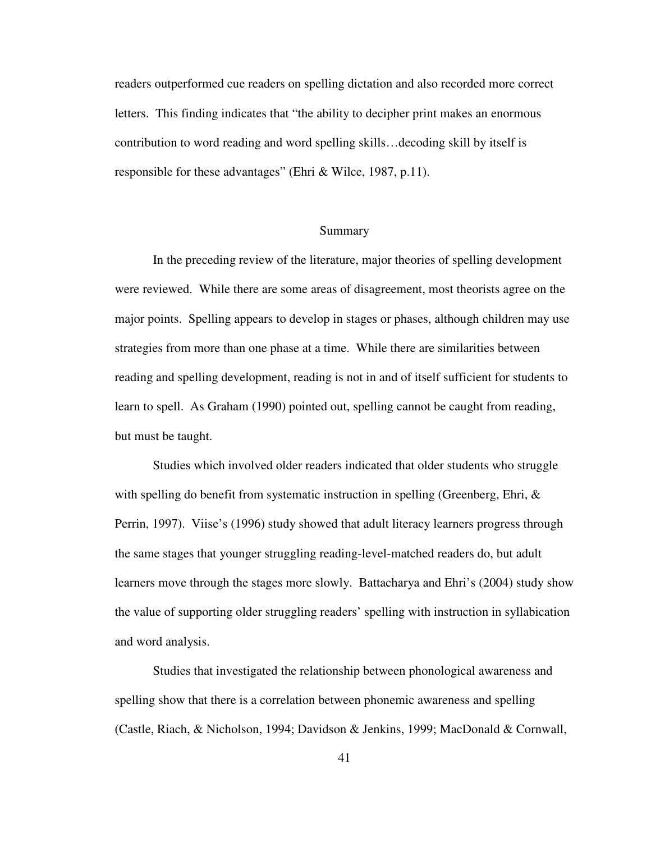readers outperformed cue readers on spelling dictation and also recorded more correct letters. This finding indicates that "the ability to decipher print makes an enormous contribution to word reading and word spelling skills…decoding skill by itself is responsible for these advantages" (Ehri & Wilce, 1987, p.11).

#### Summary

 In the preceding review of the literature, major theories of spelling development were reviewed. While there are some areas of disagreement, most theorists agree on the major points. Spelling appears to develop in stages or phases, although children may use strategies from more than one phase at a time. While there are similarities between reading and spelling development, reading is not in and of itself sufficient for students to learn to spell. As Graham (1990) pointed out, spelling cannot be caught from reading, but must be taught.

 Studies which involved older readers indicated that older students who struggle with spelling do benefit from systematic instruction in spelling (Greenberg, Ehri, & Perrin, 1997). Viise's (1996) study showed that adult literacy learners progress through the same stages that younger struggling reading-level-matched readers do, but adult learners move through the stages more slowly. Battacharya and Ehri's (2004) study show the value of supporting older struggling readers' spelling with instruction in syllabication and word analysis.

 Studies that investigated the relationship between phonological awareness and spelling show that there is a correlation between phonemic awareness and spelling (Castle, Riach, & Nicholson, 1994; Davidson & Jenkins, 1999; MacDonald & Cornwall,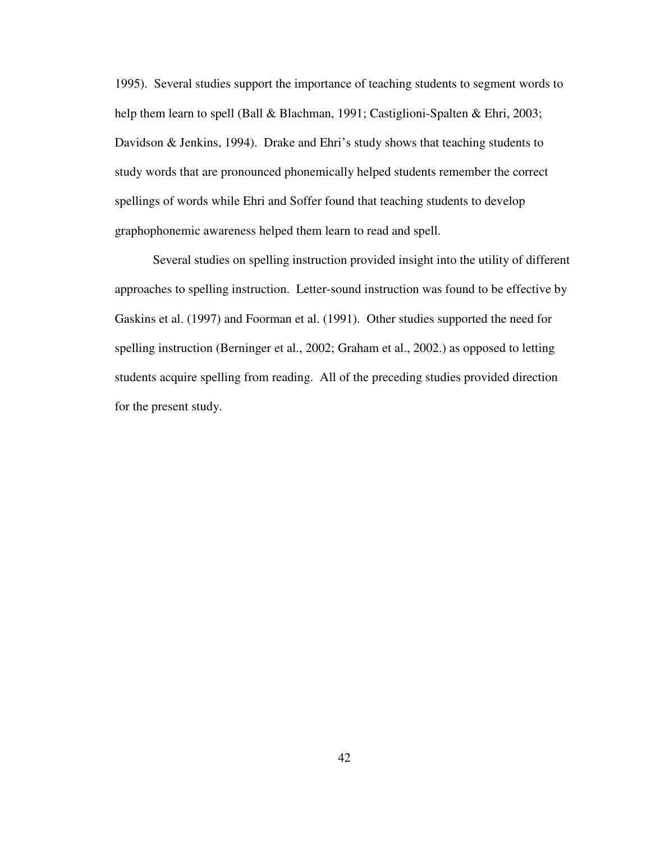1995). Several studies support the importance of teaching students to segment words to help them learn to spell (Ball & Blachman, 1991; Castiglioni-Spalten & Ehri, 2003; Davidson & Jenkins, 1994). Drake and Ehri's study shows that teaching students to study words that are pronounced phonemically helped students remember the correct spellings of words while Ehri and Soffer found that teaching students to develop graphophonemic awareness helped them learn to read and spell.

 Several studies on spelling instruction provided insight into the utility of different approaches to spelling instruction. Letter-sound instruction was found to be effective by Gaskins et al. (1997) and Foorman et al. (1991). Other studies supported the need for spelling instruction (Berninger et al., 2002; Graham et al., 2002.) as opposed to letting students acquire spelling from reading. All of the preceding studies provided direction for the present study.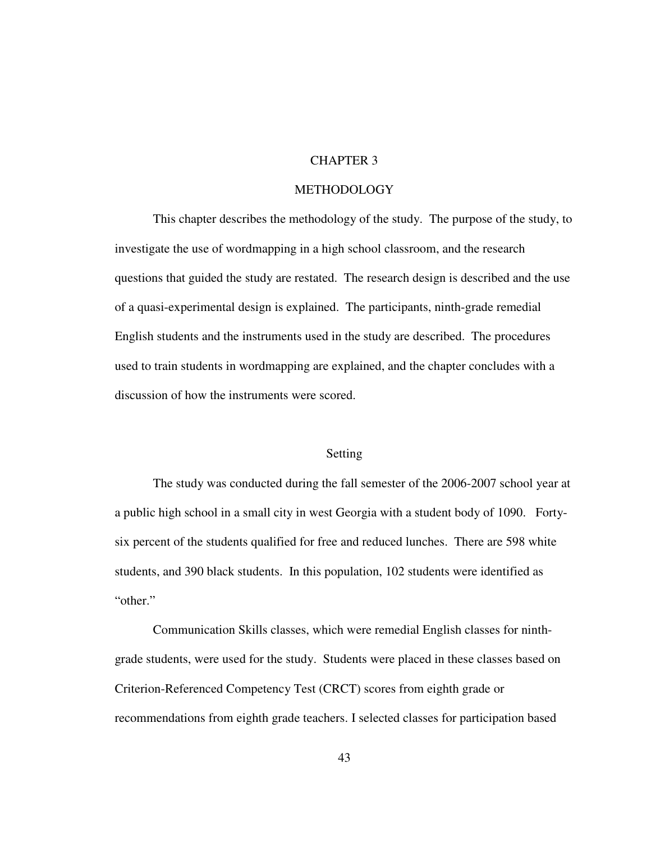# CHAPTER 3

## **METHODOLOGY**

 This chapter describes the methodology of the study. The purpose of the study, to investigate the use of wordmapping in a high school classroom, and the research questions that guided the study are restated. The research design is described and the use of a quasi-experimental design is explained. The participants, ninth-grade remedial English students and the instruments used in the study are described. The procedures used to train students in wordmapping are explained, and the chapter concludes with a discussion of how the instruments were scored.

## Setting

 The study was conducted during the fall semester of the 2006-2007 school year at a public high school in a small city in west Georgia with a student body of 1090. Fortysix percent of the students qualified for free and reduced lunches. There are 598 white students, and 390 black students. In this population, 102 students were identified as "other."

 Communication Skills classes, which were remedial English classes for ninthgrade students, were used for the study. Students were placed in these classes based on Criterion-Referenced Competency Test (CRCT) scores from eighth grade or recommendations from eighth grade teachers. I selected classes for participation based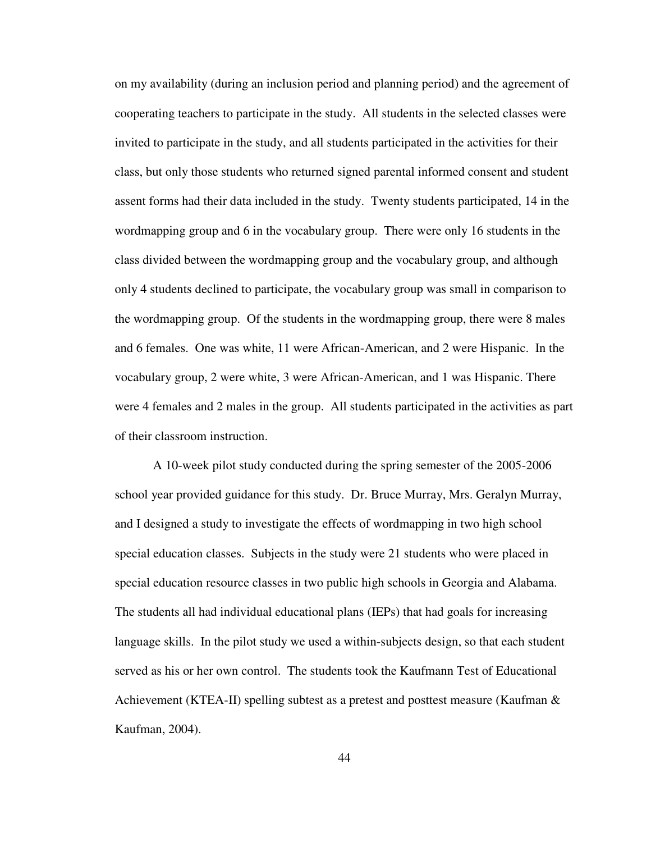on my availability (during an inclusion period and planning period) and the agreement of cooperating teachers to participate in the study. All students in the selected classes were invited to participate in the study, and all students participated in the activities for their class, but only those students who returned signed parental informed consent and student assent forms had their data included in the study. Twenty students participated, 14 in the wordmapping group and 6 in the vocabulary group. There were only 16 students in the class divided between the wordmapping group and the vocabulary group, and although only 4 students declined to participate, the vocabulary group was small in comparison to the wordmapping group. Of the students in the wordmapping group, there were 8 males and 6 females. One was white, 11 were African-American, and 2 were Hispanic. In the vocabulary group, 2 were white, 3 were African-American, and 1 was Hispanic. There were 4 females and 2 males in the group. All students participated in the activities as part of their classroom instruction.

A 10-week pilot study conducted during the spring semester of the 2005-2006 school year provided guidance for this study. Dr. Bruce Murray, Mrs. Geralyn Murray, and I designed a study to investigate the effects of wordmapping in two high school special education classes. Subjects in the study were 21 students who were placed in special education resource classes in two public high schools in Georgia and Alabama. The students all had individual educational plans (IEPs) that had goals for increasing language skills. In the pilot study we used a within-subjects design, so that each student served as his or her own control. The students took the Kaufmann Test of Educational Achievement (KTEA-II) spelling subtest as a pretest and posttest measure (Kaufman  $\&$ Kaufman, 2004).

44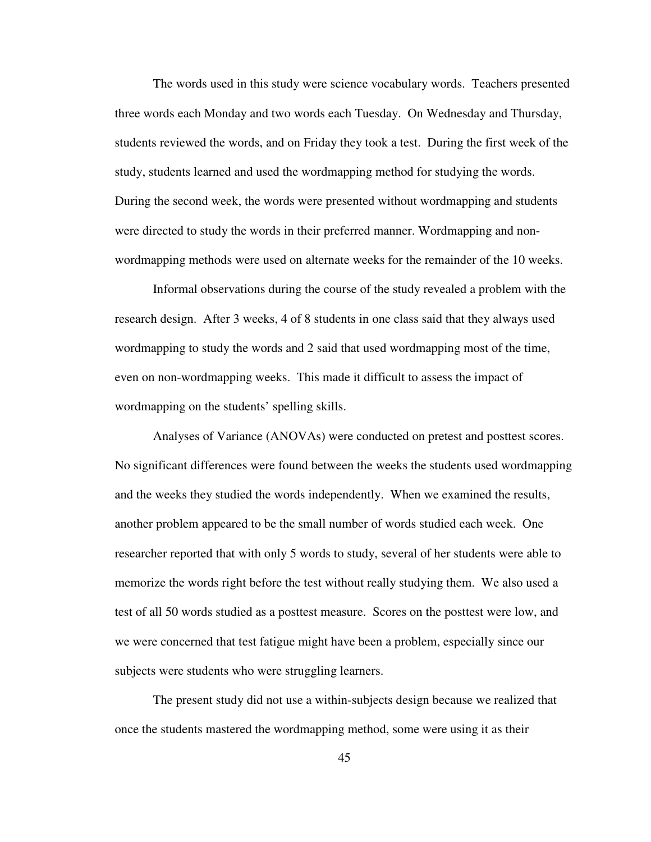The words used in this study were science vocabulary words. Teachers presented three words each Monday and two words each Tuesday. On Wednesday and Thursday, students reviewed the words, and on Friday they took a test. During the first week of the study, students learned and used the wordmapping method for studying the words. During the second week, the words were presented without wordmapping and students were directed to study the words in their preferred manner. Wordmapping and nonwordmapping methods were used on alternate weeks for the remainder of the 10 weeks.

Informal observations during the course of the study revealed a problem with the research design. After 3 weeks, 4 of 8 students in one class said that they always used wordmapping to study the words and 2 said that used wordmapping most of the time, even on non-wordmapping weeks. This made it difficult to assess the impact of wordmapping on the students' spelling skills.

Analyses of Variance (ANOVAs) were conducted on pretest and posttest scores. No significant differences were found between the weeks the students used wordmapping and the weeks they studied the words independently. When we examined the results, another problem appeared to be the small number of words studied each week. One researcher reported that with only 5 words to study, several of her students were able to memorize the words right before the test without really studying them. We also used a test of all 50 words studied as a posttest measure. Scores on the posttest were low, and we were concerned that test fatigue might have been a problem, especially since our subjects were students who were struggling learners.

The present study did not use a within-subjects design because we realized that once the students mastered the wordmapping method, some were using it as their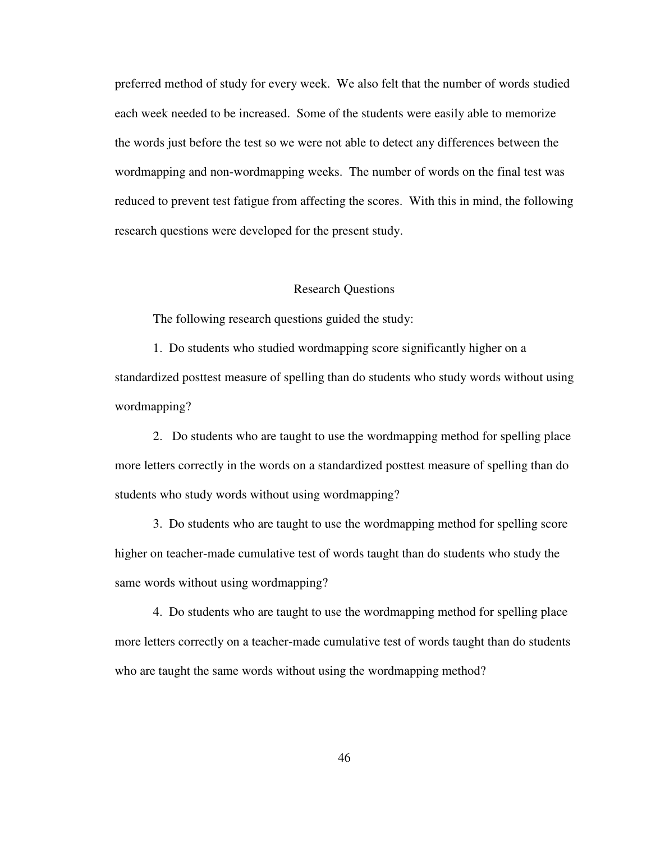preferred method of study for every week. We also felt that the number of words studied each week needed to be increased. Some of the students were easily able to memorize the words just before the test so we were not able to detect any differences between the wordmapping and non-wordmapping weeks. The number of words on the final test was reduced to prevent test fatigue from affecting the scores. With this in mind, the following research questions were developed for the present study.

## Research Questions

The following research questions guided the study:

1. Do students who studied wordmapping score significantly higher on a standardized posttest measure of spelling than do students who study words without using wordmapping?

2. Do students who are taught to use the wordmapping method for spelling place more letters correctly in the words on a standardized posttest measure of spelling than do students who study words without using wordmapping?

3. Do students who are taught to use the wordmapping method for spelling score higher on teacher-made cumulative test of words taught than do students who study the same words without using wordmapping?

4. Do students who are taught to use the wordmapping method for spelling place more letters correctly on a teacher-made cumulative test of words taught than do students who are taught the same words without using the wordmapping method?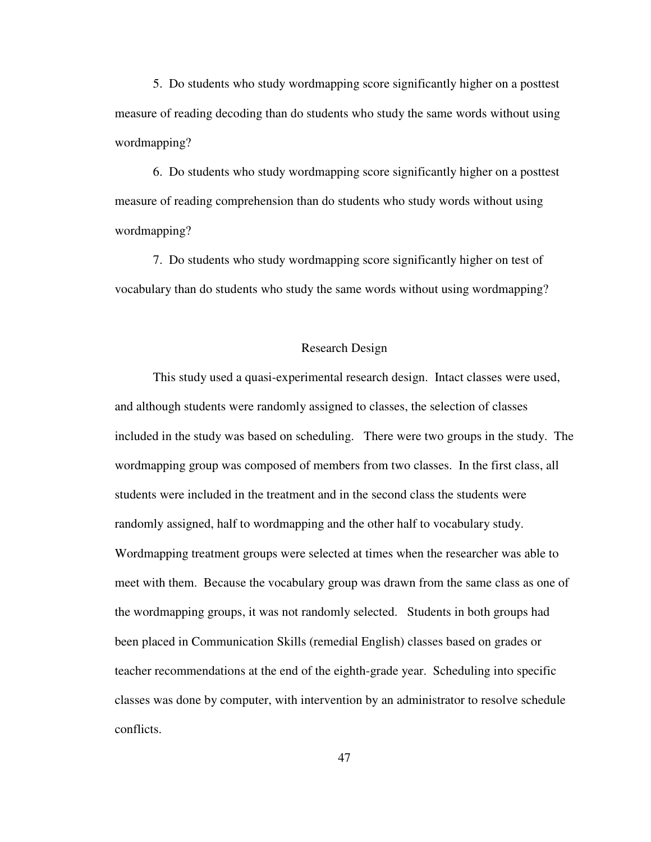5. Do students who study wordmapping score significantly higher on a posttest measure of reading decoding than do students who study the same words without using wordmapping?

6. Do students who study wordmapping score significantly higher on a posttest measure of reading comprehension than do students who study words without using wordmapping?

7. Do students who study wordmapping score significantly higher on test of vocabulary than do students who study the same words without using wordmapping?

#### Research Design

 This study used a quasi-experimental research design. Intact classes were used, and although students were randomly assigned to classes, the selection of classes included in the study was based on scheduling. There were two groups in the study. The wordmapping group was composed of members from two classes. In the first class, all students were included in the treatment and in the second class the students were randomly assigned, half to wordmapping and the other half to vocabulary study. Wordmapping treatment groups were selected at times when the researcher was able to meet with them. Because the vocabulary group was drawn from the same class as one of the wordmapping groups, it was not randomly selected. Students in both groups had been placed in Communication Skills (remedial English) classes based on grades or teacher recommendations at the end of the eighth-grade year. Scheduling into specific classes was done by computer, with intervention by an administrator to resolve schedule conflicts.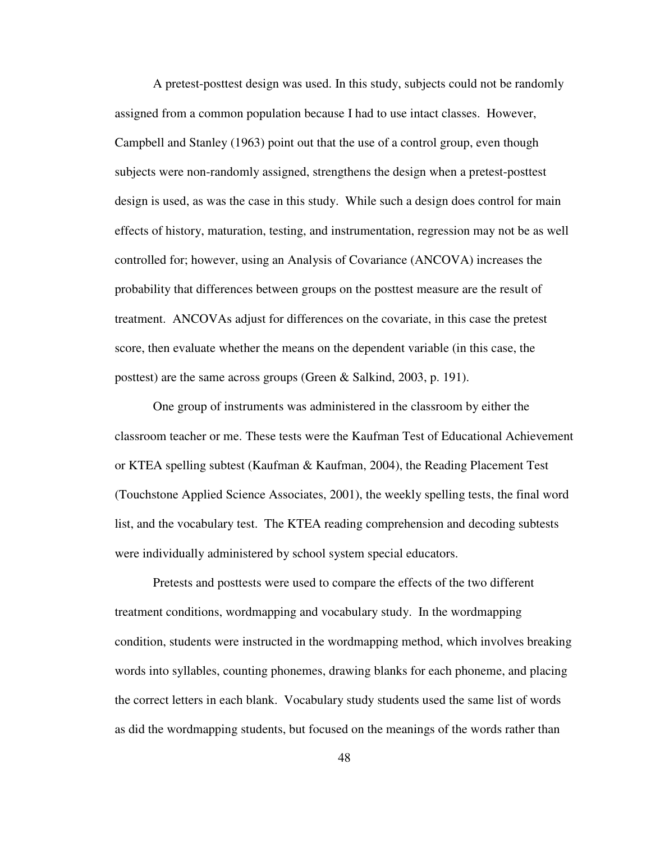A pretest-posttest design was used. In this study, subjects could not be randomly assigned from a common population because I had to use intact classes. However, Campbell and Stanley (1963) point out that the use of a control group, even though subjects were non-randomly assigned, strengthens the design when a pretest-posttest design is used, as was the case in this study. While such a design does control for main effects of history, maturation, testing, and instrumentation, regression may not be as well controlled for; however, using an Analysis of Covariance (ANCOVA) increases the probability that differences between groups on the posttest measure are the result of treatment. ANCOVAs adjust for differences on the covariate, in this case the pretest score, then evaluate whether the means on the dependent variable (in this case, the posttest) are the same across groups (Green & Salkind, 2003, p. 191).

One group of instruments was administered in the classroom by either the classroom teacher or me. These tests were the Kaufman Test of Educational Achievement or KTEA spelling subtest (Kaufman & Kaufman, 2004), the Reading Placement Test (Touchstone Applied Science Associates, 2001), the weekly spelling tests, the final word list, and the vocabulary test. The KTEA reading comprehension and decoding subtests were individually administered by school system special educators.

 Pretests and posttests were used to compare the effects of the two different treatment conditions, wordmapping and vocabulary study. In the wordmapping condition, students were instructed in the wordmapping method, which involves breaking words into syllables, counting phonemes, drawing blanks for each phoneme, and placing the correct letters in each blank. Vocabulary study students used the same list of words as did the wordmapping students, but focused on the meanings of the words rather than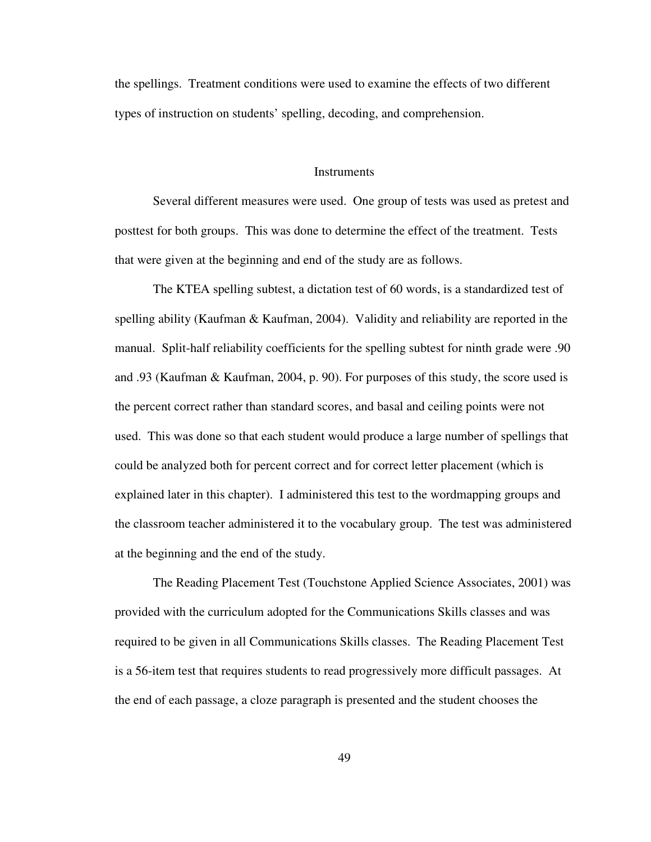the spellings. Treatment conditions were used to examine the effects of two different types of instruction on students' spelling, decoding, and comprehension.

## **Instruments**

 Several different measures were used. One group of tests was used as pretest and posttest for both groups. This was done to determine the effect of the treatment. Tests that were given at the beginning and end of the study are as follows.

 The KTEA spelling subtest, a dictation test of 60 words, is a standardized test of spelling ability (Kaufman & Kaufman, 2004). Validity and reliability are reported in the manual. Split-half reliability coefficients for the spelling subtest for ninth grade were .90 and .93 (Kaufman & Kaufman, 2004, p. 90). For purposes of this study, the score used is the percent correct rather than standard scores, and basal and ceiling points were not used. This was done so that each student would produce a large number of spellings that could be analyzed both for percent correct and for correct letter placement (which is explained later in this chapter). I administered this test to the wordmapping groups and the classroom teacher administered it to the vocabulary group. The test was administered at the beginning and the end of the study.

 The Reading Placement Test (Touchstone Applied Science Associates, 2001) was provided with the curriculum adopted for the Communications Skills classes and was required to be given in all Communications Skills classes. The Reading Placement Test is a 56-item test that requires students to read progressively more difficult passages. At the end of each passage, a cloze paragraph is presented and the student chooses the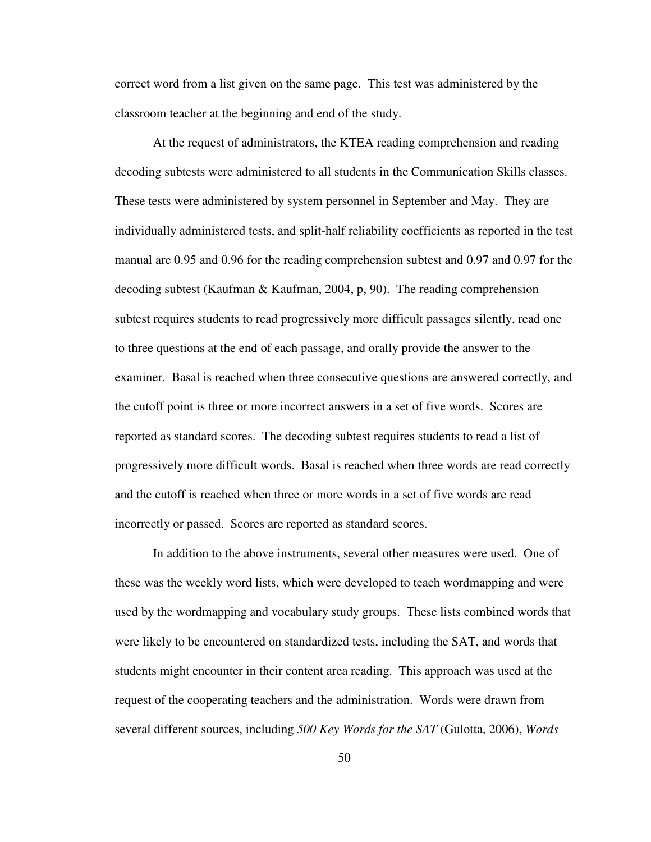correct word from a list given on the same page. This test was administered by the classroom teacher at the beginning and end of the study.

 At the request of administrators, the KTEA reading comprehension and reading decoding subtests were administered to all students in the Communication Skills classes. These tests were administered by system personnel in September and May. They are individually administered tests, and split-half reliability coefficients as reported in the test manual are 0.95 and 0.96 for the reading comprehension subtest and 0.97 and 0.97 for the decoding subtest (Kaufman & Kaufman, 2004, p, 90). The reading comprehension subtest requires students to read progressively more difficult passages silently, read one to three questions at the end of each passage, and orally provide the answer to the examiner. Basal is reached when three consecutive questions are answered correctly, and the cutoff point is three or more incorrect answers in a set of five words. Scores are reported as standard scores. The decoding subtest requires students to read a list of progressively more difficult words. Basal is reached when three words are read correctly and the cutoff is reached when three or more words in a set of five words are read incorrectly or passed. Scores are reported as standard scores.

 In addition to the above instruments, several other measures were used. One of these was the weekly word lists, which were developed to teach wordmapping and were used by the wordmapping and vocabulary study groups. These lists combined words that were likely to be encountered on standardized tests, including the SAT, and words that students might encounter in their content area reading. This approach was used at the request of the cooperating teachers and the administration. Words were drawn from several different sources, including *500 Key Words for the SAT* (Gulotta, 2006), *Words* 

50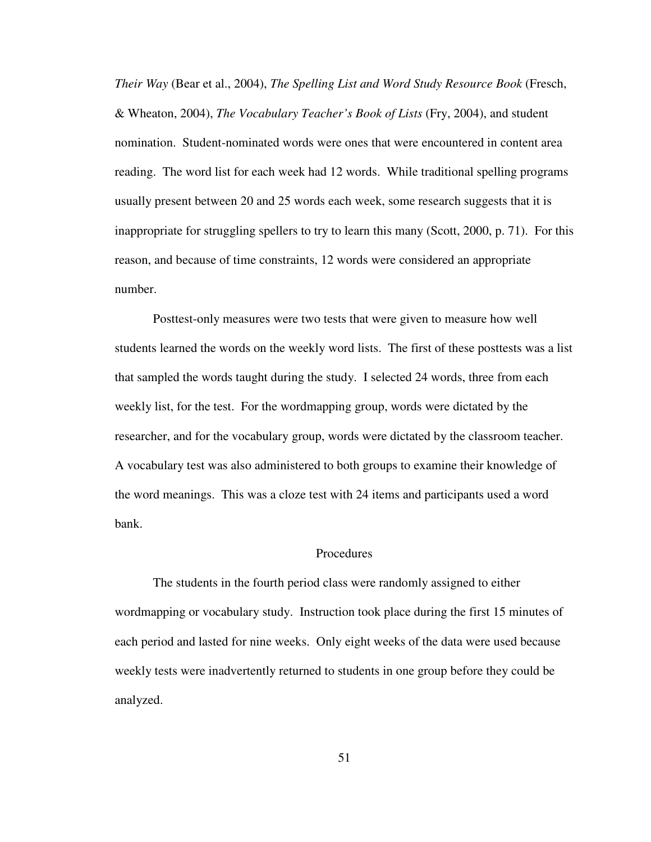*Their Way* (Bear et al., 2004), *The Spelling List and Word Study Resource Book* (Fresch, & Wheaton, 2004), *The Vocabulary Teacher's Book of Lists* (Fry, 2004), and student nomination. Student-nominated words were ones that were encountered in content area reading. The word list for each week had 12 words. While traditional spelling programs usually present between 20 and 25 words each week, some research suggests that it is inappropriate for struggling spellers to try to learn this many (Scott, 2000, p. 71). For this reason, and because of time constraints, 12 words were considered an appropriate number.

 Posttest-only measures were two tests that were given to measure how well students learned the words on the weekly word lists. The first of these posttests was a list that sampled the words taught during the study. I selected 24 words, three from each weekly list, for the test. For the wordmapping group, words were dictated by the researcher, and for the vocabulary group, words were dictated by the classroom teacher. A vocabulary test was also administered to both groups to examine their knowledge of the word meanings. This was a cloze test with 24 items and participants used a word bank.

## **Procedures**

The students in the fourth period class were randomly assigned to either wordmapping or vocabulary study. Instruction took place during the first 15 minutes of each period and lasted for nine weeks. Only eight weeks of the data were used because weekly tests were inadvertently returned to students in one group before they could be analyzed.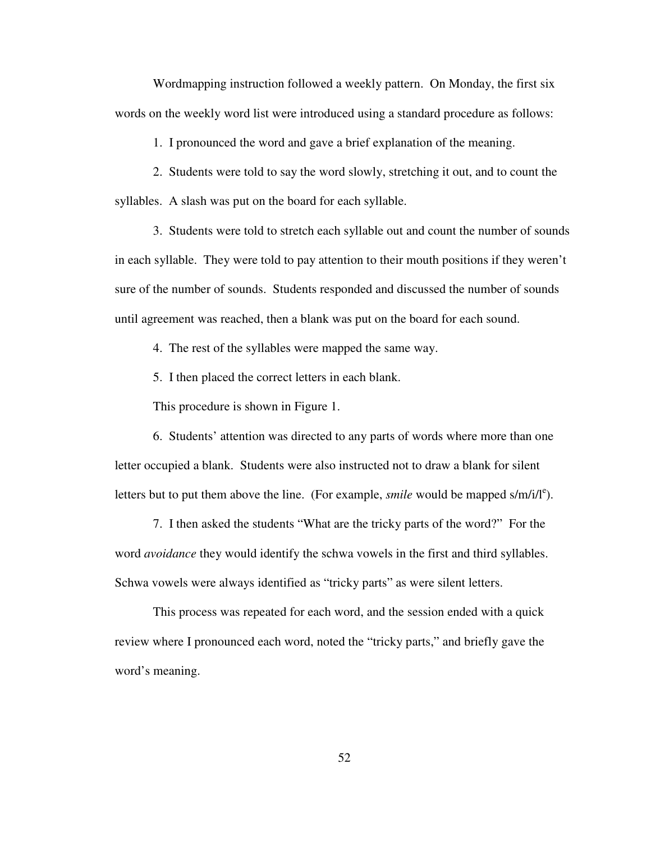Wordmapping instruction followed a weekly pattern. On Monday, the first six words on the weekly word list were introduced using a standard procedure as follows:

1. I pronounced the word and gave a brief explanation of the meaning.

 2. Students were told to say the word slowly, stretching it out, and to count the syllables. A slash was put on the board for each syllable.

 3. Students were told to stretch each syllable out and count the number of sounds in each syllable. They were told to pay attention to their mouth positions if they weren't sure of the number of sounds. Students responded and discussed the number of sounds until agreement was reached, then a blank was put on the board for each sound.

4. The rest of the syllables were mapped the same way.

5. I then placed the correct letters in each blank.

This procedure is shown in Figure 1.

6. Students' attention was directed to any parts of words where more than one letter occupied a blank. Students were also instructed not to draw a blank for silent letters but to put them above the line. (For example, *smile* would be mapped  $s/m/i/l<sup>e</sup>$ ).

 7. I then asked the students "What are the tricky parts of the word?" For the word *avoidance* they would identify the schwa vowels in the first and third syllables. Schwa vowels were always identified as "tricky parts" as were silent letters.

This process was repeated for each word, and the session ended with a quick review where I pronounced each word, noted the "tricky parts," and briefly gave the word's meaning.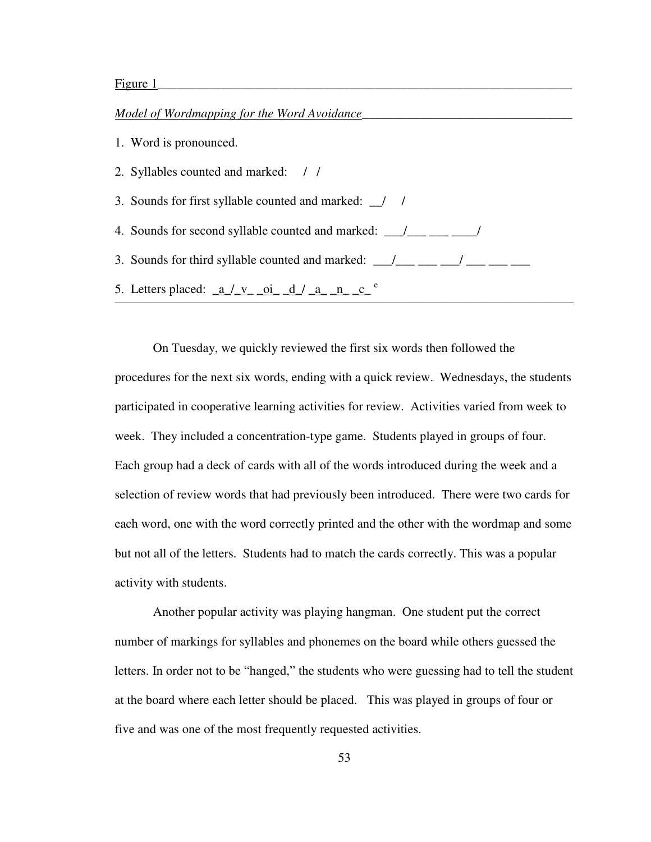# *Model of Wordmapping for the Word Avoidance\_\_\_\_\_\_\_\_\_\_\_\_\_\_\_\_\_\_\_\_\_\_\_\_\_\_\_\_\_\_\_\_\_*

1. Word is pronounced.

2. Syllables counted and marked: / /

3. Sounds for first syllable counted and marked: \_\_/ /

4. Sounds for second syllable counted and marked:  $\frac{1}{\sqrt{2}}$  \_\_\_\_\_\_\_\_\_\_\_\_\_\_\_/

3. Sounds for third syllable counted and marked:  $\frac{1}{\sqrt{2}}$   $\frac{1}{\sqrt{2}}$   $\frac{1}{\sqrt{2}}$   $\frac{1}{\sqrt{2}}$   $\frac{1}{\sqrt{2}}$ 

5. Letters placed:  $\underline{a}/\underline{v}$  oi $\underline{d}/\underline{a}$  n c<sup>e</sup> \_\_\_\_\_\_\_\_\_\_\_\_\_\_\_\_\_\_\_\_\_\_\_\_\_\_\_\_\_\_\_\_\_\_\_\_\_\_\_\_\_\_\_\_\_\_\_\_\_\_\_\_\_\_\_\_\_\_\_\_\_\_\_\_\_\_\_\_\_\_\_\_\_\_\_\_\_\_\_\_\_\_\_\_\_\_\_\_\_\_\_\_\_\_\_\_\_\_\_\_\_\_\_\_\_\_\_\_

 On Tuesday, we quickly reviewed the first six words then followed the procedures for the next six words, ending with a quick review. Wednesdays, the students participated in cooperative learning activities for review. Activities varied from week to week. They included a concentration-type game. Students played in groups of four. Each group had a deck of cards with all of the words introduced during the week and a selection of review words that had previously been introduced. There were two cards for each word, one with the word correctly printed and the other with the wordmap and some but not all of the letters. Students had to match the cards correctly. This was a popular activity with students.

Another popular activity was playing hangman. One student put the correct number of markings for syllables and phonemes on the board while others guessed the letters. In order not to be "hanged," the students who were guessing had to tell the student at the board where each letter should be placed. This was played in groups of four or five and was one of the most frequently requested activities.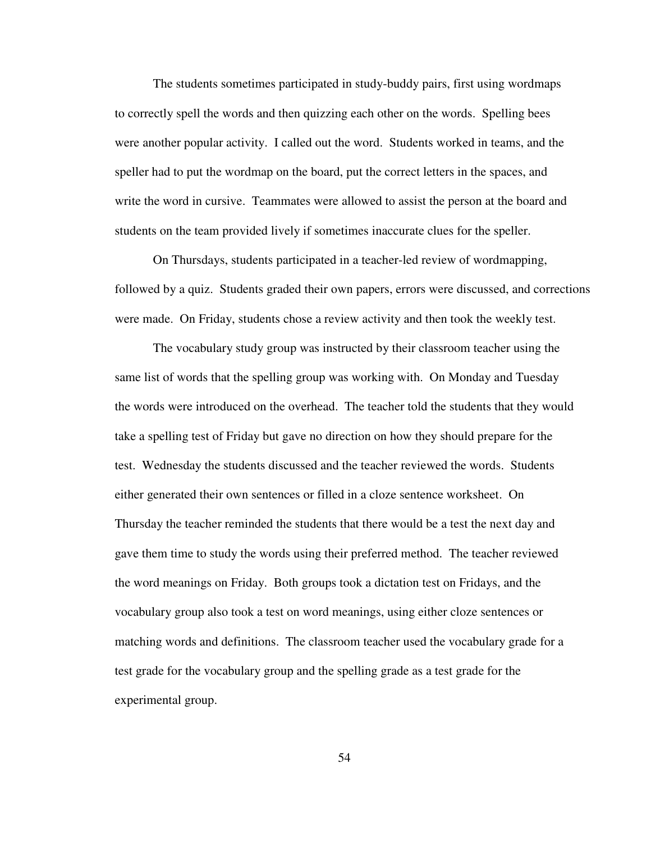The students sometimes participated in study-buddy pairs, first using wordmaps to correctly spell the words and then quizzing each other on the words. Spelling bees were another popular activity. I called out the word. Students worked in teams, and the speller had to put the wordmap on the board, put the correct letters in the spaces, and write the word in cursive. Teammates were allowed to assist the person at the board and students on the team provided lively if sometimes inaccurate clues for the speller.

 On Thursdays, students participated in a teacher-led review of wordmapping, followed by a quiz. Students graded their own papers, errors were discussed, and corrections were made. On Friday, students chose a review activity and then took the weekly test.

 The vocabulary study group was instructed by their classroom teacher using the same list of words that the spelling group was working with. On Monday and Tuesday the words were introduced on the overhead. The teacher told the students that they would take a spelling test of Friday but gave no direction on how they should prepare for the test. Wednesday the students discussed and the teacher reviewed the words. Students either generated their own sentences or filled in a cloze sentence worksheet. On Thursday the teacher reminded the students that there would be a test the next day and gave them time to study the words using their preferred method. The teacher reviewed the word meanings on Friday. Both groups took a dictation test on Fridays, and the vocabulary group also took a test on word meanings, using either cloze sentences or matching words and definitions. The classroom teacher used the vocabulary grade for a test grade for the vocabulary group and the spelling grade as a test grade for the experimental group.

54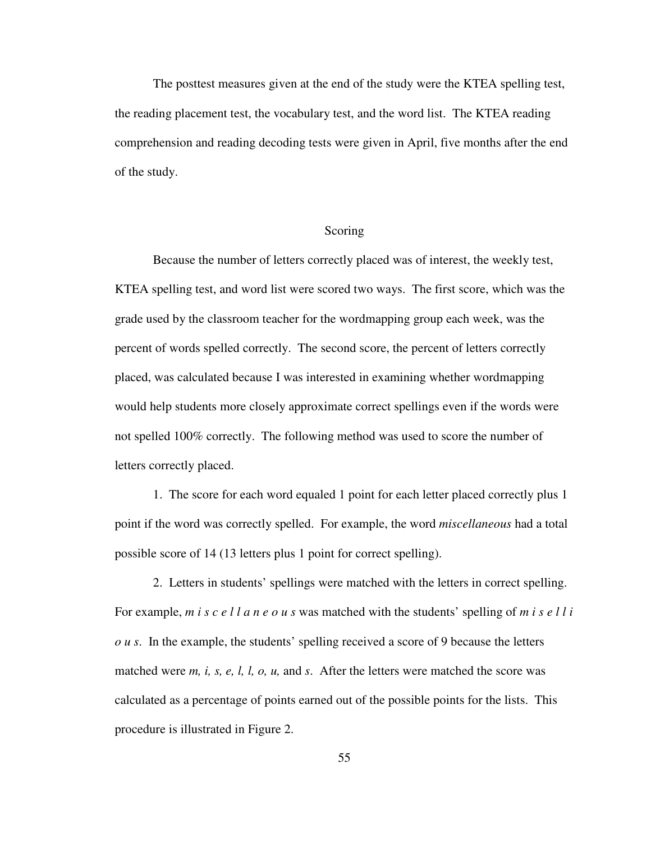The posttest measures given at the end of the study were the KTEA spelling test, the reading placement test, the vocabulary test, and the word list. The KTEA reading comprehension and reading decoding tests were given in April, five months after the end of the study.

## Scoring

Because the number of letters correctly placed was of interest, the weekly test, KTEA spelling test, and word list were scored two ways. The first score, which was the grade used by the classroom teacher for the wordmapping group each week, was the percent of words spelled correctly. The second score, the percent of letters correctly placed, was calculated because I was interested in examining whether wordmapping would help students more closely approximate correct spellings even if the words were not spelled 100% correctly. The following method was used to score the number of letters correctly placed.

1. The score for each word equaled 1 point for each letter placed correctly plus 1 point if the word was correctly spelled. For example, the word *miscellaneous* had a total possible score of 14 (13 letters plus 1 point for correct spelling).

2. Letters in students' spellings were matched with the letters in correct spelling. For example, *m i s c e l l a n e o u s* was matched with the students' spelling of *m i s e l l i o u s*. In the example, the students' spelling received a score of 9 because the letters matched were *m, i, s, e, l, l, o, u,* and *s*. After the letters were matched the score was calculated as a percentage of points earned out of the possible points for the lists. This procedure is illustrated in Figure 2.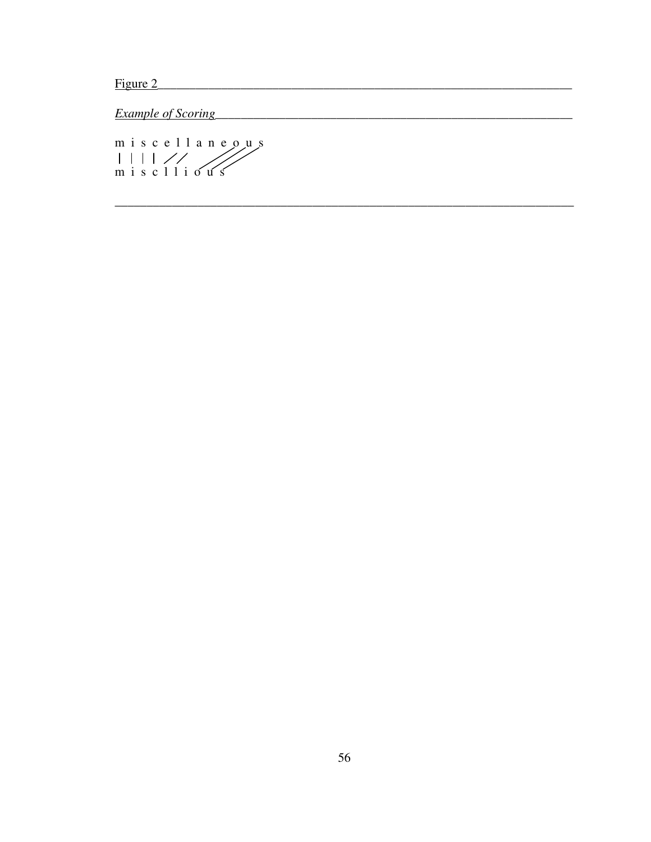Figure 2

**Example of Scoring** 

miscellaneous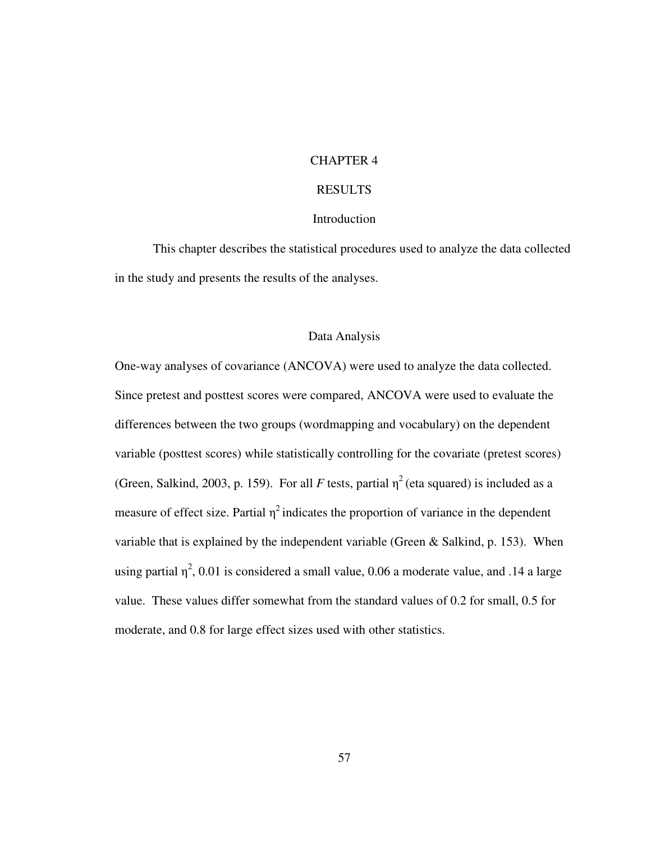# CHAPTER 4

# RESULTS

## Introduction

 This chapter describes the statistical procedures used to analyze the data collected in the study and presents the results of the analyses.

## Data Analysis

One-way analyses of covariance (ANCOVA) were used to analyze the data collected. Since pretest and posttest scores were compared, ANCOVA were used to evaluate the differences between the two groups (wordmapping and vocabulary) on the dependent variable (posttest scores) while statistically controlling for the covariate (pretest scores) (Green, Salkind, 2003, p. 159). For all *F* tests, partial  $\eta^2$  (eta squared) is included as a measure of effect size. Partial  $\eta^2$  indicates the proportion of variance in the dependent variable that is explained by the independent variable (Green & Salkind, p. 153). When using partial  $\eta^2$ , 0.01 is considered a small value, 0.06 a moderate value, and .14 a large value. These values differ somewhat from the standard values of 0.2 for small, 0.5 for moderate, and 0.8 for large effect sizes used with other statistics.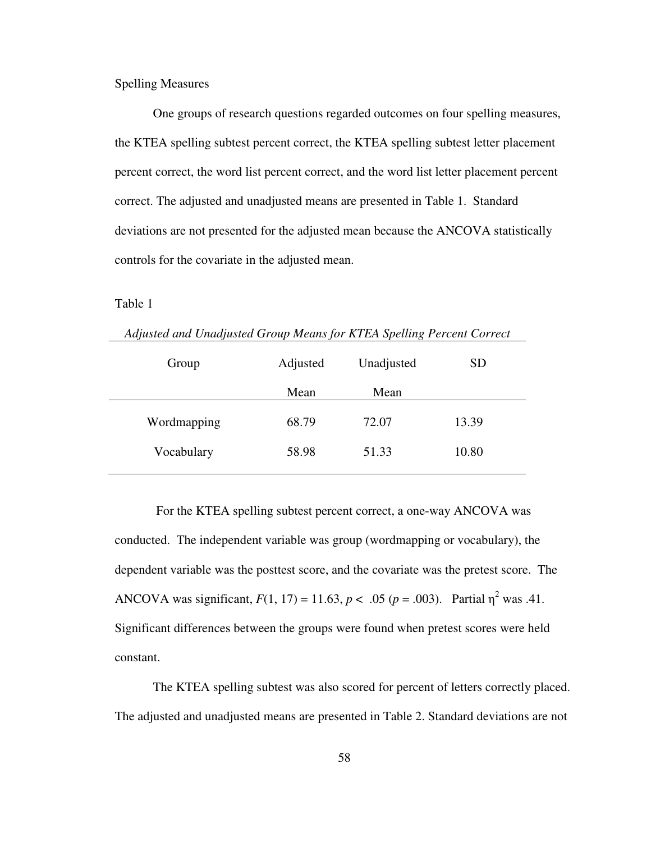Spelling Measures

One groups of research questions regarded outcomes on four spelling measures, the KTEA spelling subtest percent correct, the KTEA spelling subtest letter placement percent correct, the word list percent correct, and the word list letter placement percent correct. The adjusted and unadjusted means are presented in Table 1. Standard deviations are not presented for the adjusted mean because the ANCOVA statistically controls for the covariate in the adjusted mean.

Table 1

|  |  | Adjusted and Unadjusted Group Means for KTEA Spelling Percent Correct |
|--|--|-----------------------------------------------------------------------|
|  |  |                                                                       |

| Group       | Adjusted | Unadjusted | <b>SD</b> |  |
|-------------|----------|------------|-----------|--|
|             | Mean     | Mean       |           |  |
| Wordmapping | 68.79    | 72.07      | 13.39     |  |
| Vocabulary  | 58.98    | 51.33      | 10.80     |  |
|             |          |            |           |  |

 For the KTEA spelling subtest percent correct, a one-way ANCOVA was conducted. The independent variable was group (wordmapping or vocabulary), the dependent variable was the posttest score, and the covariate was the pretest score. The ANCOVA was significant,  $F(1, 17) = 11.63$ ,  $p < .05$  ( $p = .003$ ). Partial  $\eta^2$  was .41. Significant differences between the groups were found when pretest scores were held constant.

The KTEA spelling subtest was also scored for percent of letters correctly placed. The adjusted and unadjusted means are presented in Table 2. Standard deviations are not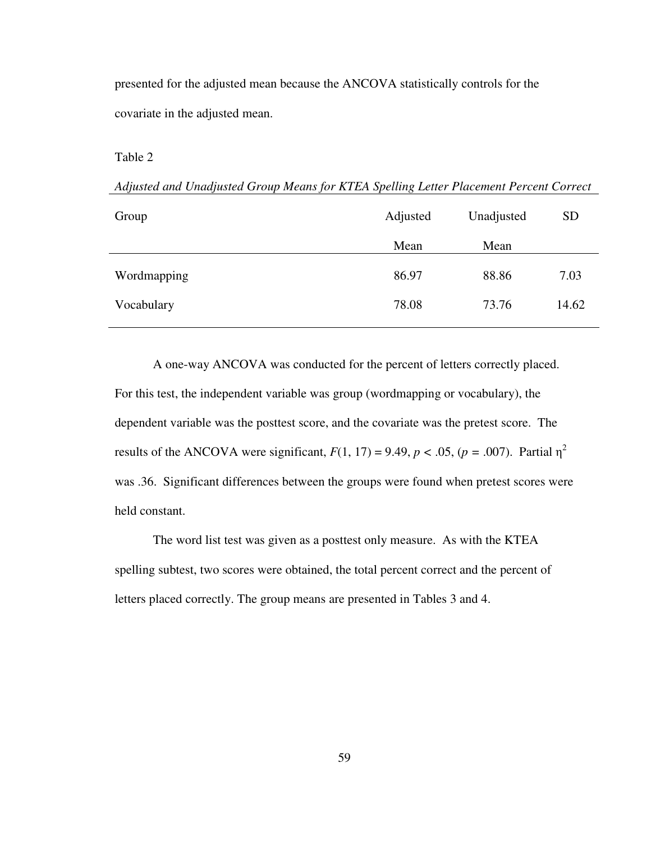presented for the adjusted mean because the ANCOVA statistically controls for the covariate in the adjusted mean.

Table 2

*Adjusted and Unadjusted Group Means for KTEA Spelling Letter Placement Percent Correct*

| Group       | Adjusted | Unadjusted | <b>SD</b> |
|-------------|----------|------------|-----------|
|             | Mean     | Mean       |           |
| Wordmapping | 86.97    | 88.86      | 7.03      |
| Vocabulary  | 78.08    | 73.76      | 14.62     |

A one-way ANCOVA was conducted for the percent of letters correctly placed. For this test, the independent variable was group (wordmapping or vocabulary), the dependent variable was the posttest score, and the covariate was the pretest score. The results of the ANCOVA were significant,  $F(1, 17) = 9.49$ ,  $p < .05$ ,  $(p = .007)$ . Partial  $\eta^2$ was .36. Significant differences between the groups were found when pretest scores were held constant.

 The word list test was given as a posttest only measure. As with the KTEA spelling subtest, two scores were obtained, the total percent correct and the percent of letters placed correctly. The group means are presented in Tables 3 and 4.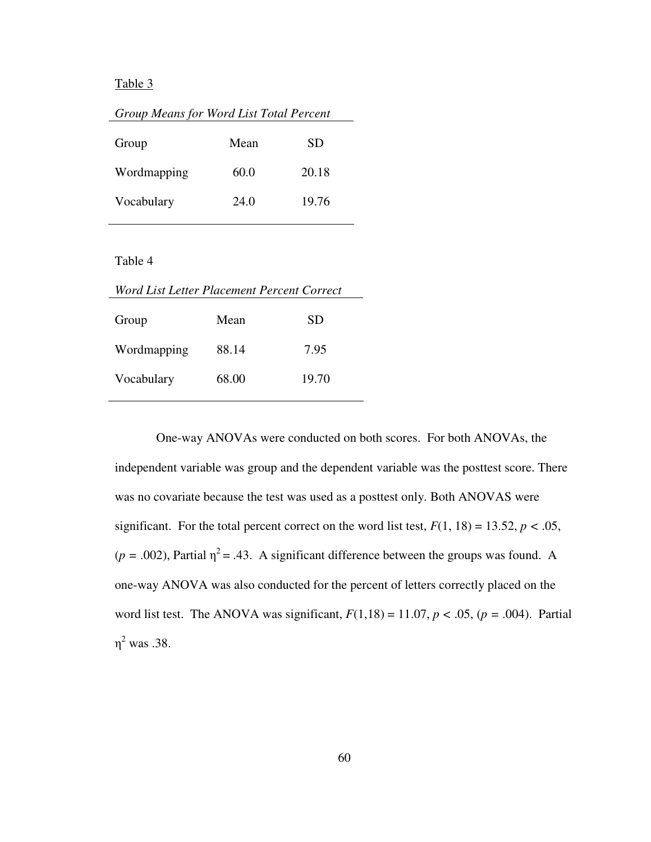#### Table 3

| Group Means for Word List Total Percent |      |       |  |
|-----------------------------------------|------|-------|--|
| Group                                   | Mean | SD    |  |
| Wordmapping                             | 60.0 | 20.18 |  |
| Vocabulary                              | 24.0 | 19.76 |  |

# Table 4

| Word List Letter Placement Percent Correct |       |       |  |
|--------------------------------------------|-------|-------|--|
| Group                                      | Mean  | SD    |  |
| Wordmapping                                | 88.14 | 7.95  |  |
| Vocabulary                                 | 68.00 | 19.70 |  |

 One-way ANOVAs were conducted on both scores. For both ANOVAs, the independent variable was group and the dependent variable was the posttest score. There was no covariate because the test was used as a posttest only. Both ANOVAS were significant. For the total percent correct on the word list test,  $F(1, 18) = 13.52$ ,  $p < .05$ ,  $(p = .002)$ , Partial  $\eta^2 = .43$ . A significant difference between the groups was found. A one-way ANOVA was also conducted for the percent of letters correctly placed on the word list test. The ANOVA was significant,  $F(1,18) = 11.07$ ,  $p < .05$ ,  $(p = .004)$ . Partial  $η<sup>2</sup>$  was .38.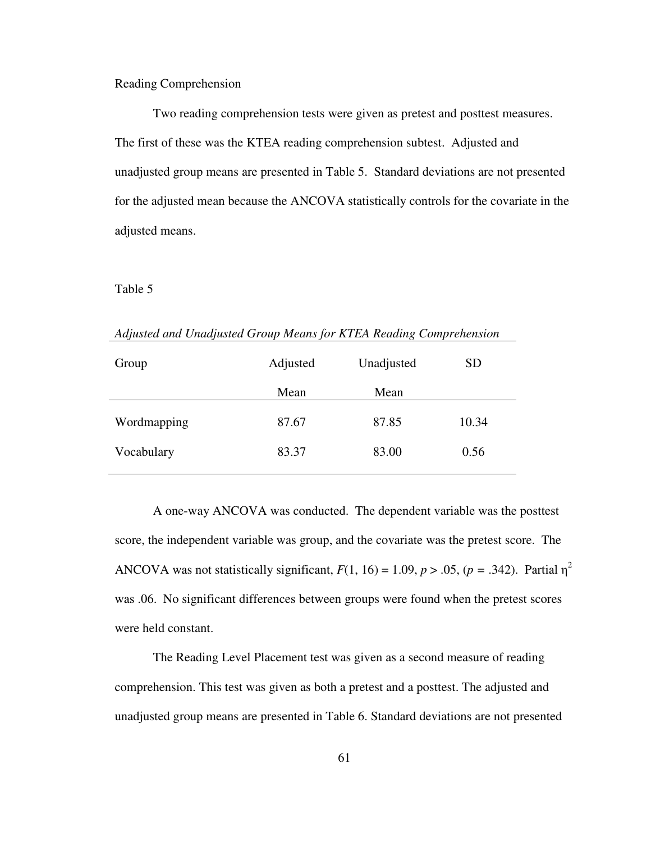Reading Comprehension

 Two reading comprehension tests were given as pretest and posttest measures. The first of these was the KTEA reading comprehension subtest. Adjusted and unadjusted group means are presented in Table 5. Standard deviations are not presented for the adjusted mean because the ANCOVA statistically controls for the covariate in the adjusted means.

#### Table 5

*Adjusted and Unadjusted Group Means for KTEA Reading Comprehension* 

| Adjusted | Unadjusted | <b>SD</b> |  |
|----------|------------|-----------|--|
| Mean     | Mean       |           |  |
| 87.67    | 87.85      | 10.34     |  |
| 83.37    | 83.00      | 0.56      |  |
|          |            |           |  |

 A one-way ANCOVA was conducted. The dependent variable was the posttest score, the independent variable was group, and the covariate was the pretest score. The ANCOVA was not statistically significant,  $F(1, 16) = 1.09$ ,  $p > .05$ ,  $(p = .342)$ . Partial  $\eta^2$ was .06. No significant differences between groups were found when the pretest scores were held constant.

 The Reading Level Placement test was given as a second measure of reading comprehension. This test was given as both a pretest and a posttest. The adjusted and unadjusted group means are presented in Table 6. Standard deviations are not presented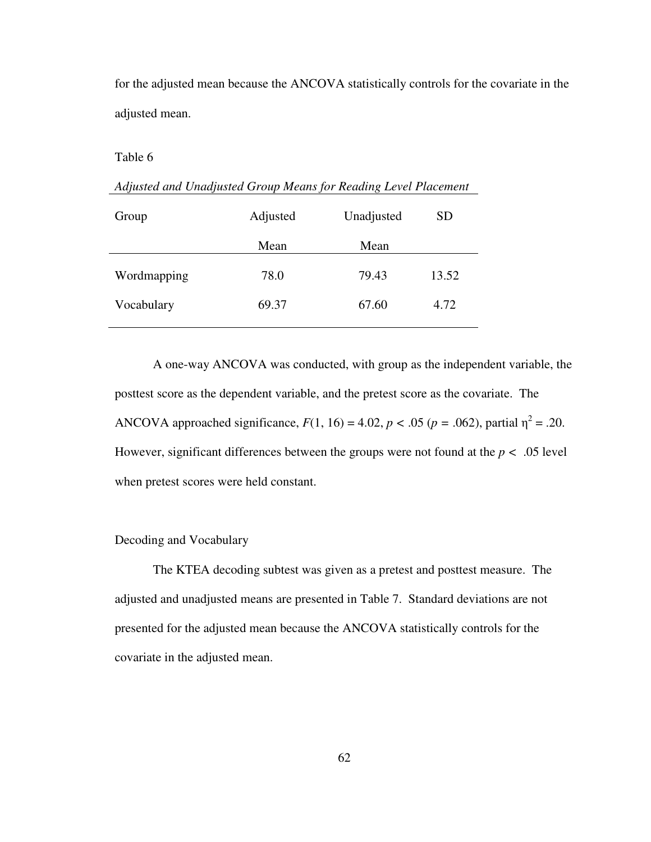for the adjusted mean because the ANCOVA statistically controls for the covariate in the adjusted mean.

Table 6

*Adjusted and Unadjusted Group Means for Reading Level Placement* 

| Group       | Adjusted | Unadjusted | <b>SD</b> |  |
|-------------|----------|------------|-----------|--|
|             | Mean     | Mean       |           |  |
| Wordmapping | 78.0     | 79.43      | 13.52     |  |
| Vocabulary  | 69.37    | 67.60      | 4.72      |  |

A one-way ANCOVA was conducted, with group as the independent variable, the posttest score as the dependent variable, and the pretest score as the covariate. The ANCOVA approached significance,  $F(1, 16) = 4.02$ ,  $p < .05$  ( $p = .062$ ), partial  $\eta^2 = .20$ . However, significant differences between the groups were not found at the  $p < .05$  level when pretest scores were held constant.

# Decoding and Vocabulary

The KTEA decoding subtest was given as a pretest and posttest measure. The adjusted and unadjusted means are presented in Table 7. Standard deviations are not presented for the adjusted mean because the ANCOVA statistically controls for the covariate in the adjusted mean.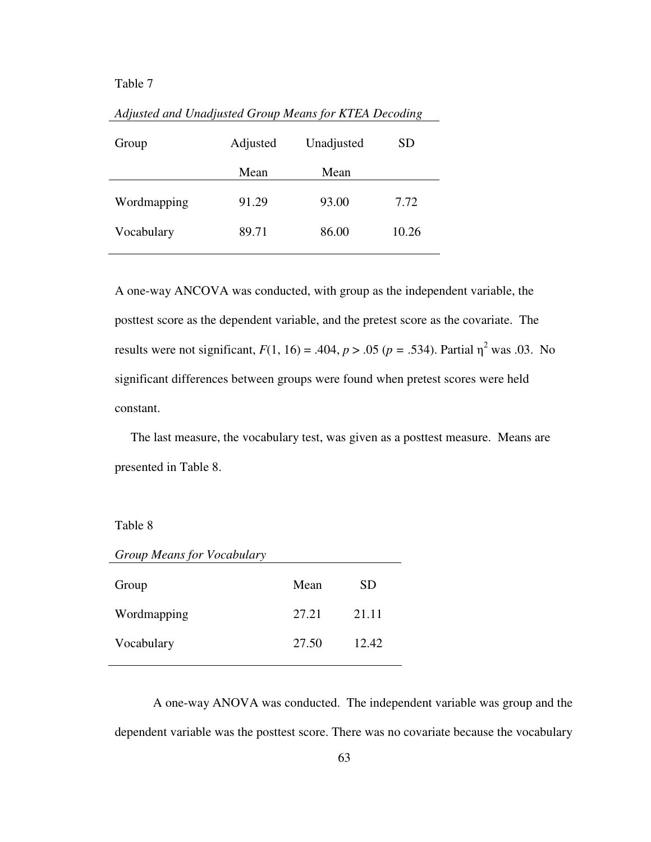### Table 7

| Group       | Adjusted | Unadjusted | SD    |
|-------------|----------|------------|-------|
|             | Mean     | Mean       |       |
| Wordmapping | 91.29    | 93.00      | 7.72  |
| Vocabulary  | 89.71    | 86.00      | 10.26 |
|             |          |            |       |

*Adjusted and Unadjusted Group Means for KTEA Decoding* 

A one-way ANCOVA was conducted, with group as the independent variable, the posttest score as the dependent variable, and the pretest score as the covariate. The results were not significant,  $F(1, 16) = .404$ ,  $p > .05$  ( $p = .534$ ). Partial  $\eta^2$  was .03. No significant differences between groups were found when pretest scores were held constant.

 The last measure, the vocabulary test, was given as a posttest measure. Means are presented in Table 8.

#### Table 8

| <b>Group Means for Vocabulary</b> |       |       |
|-----------------------------------|-------|-------|
| Group                             | Mean  | SD.   |
| Wordmapping                       | 27.21 | 21.11 |
| Vocabulary                        | 27.50 | 12.42 |

A one-way ANOVA was conducted. The independent variable was group and the dependent variable was the posttest score. There was no covariate because the vocabulary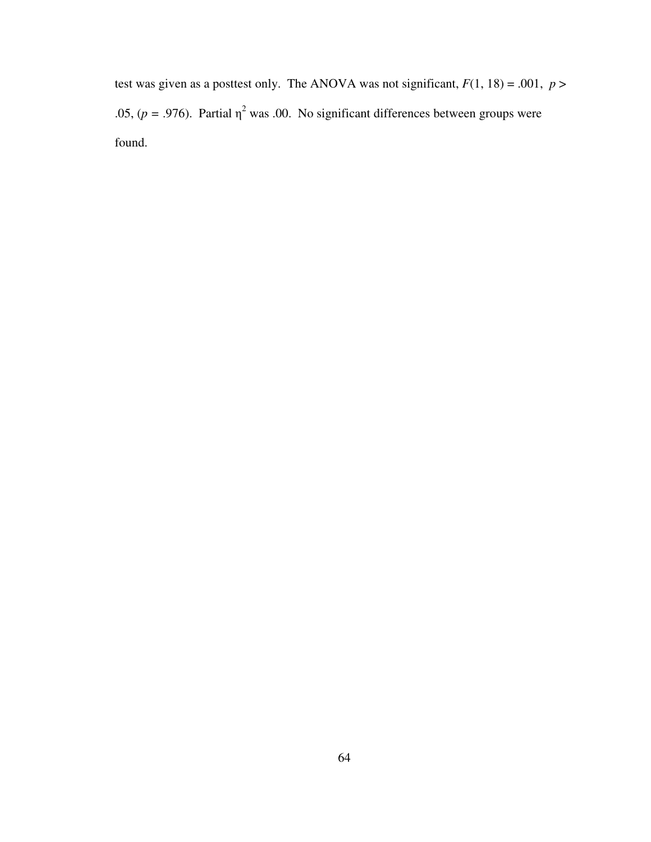test was given as a posttest only. The ANOVA was not significant,  $F(1, 18) = .001$ ,  $p >$ .05,  $(p = .976)$ . Partial  $\eta^2$  was .00. No significant differences between groups were found.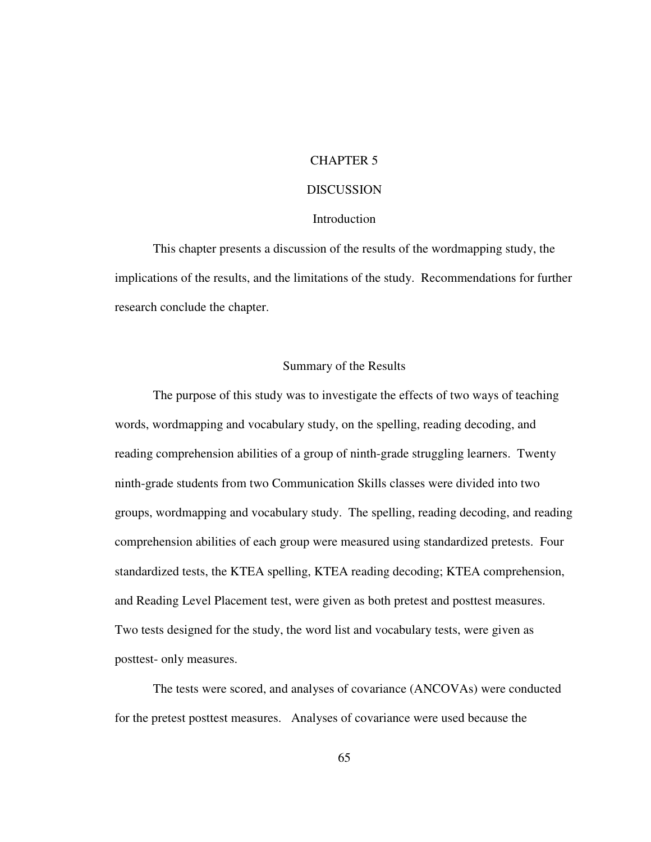## CHAPTER 5

#### **DISCUSSION**

#### **Introduction**

 This chapter presents a discussion of the results of the wordmapping study, the implications of the results, and the limitations of the study. Recommendations for further research conclude the chapter.

#### Summary of the Results

 The purpose of this study was to investigate the effects of two ways of teaching words, wordmapping and vocabulary study, on the spelling, reading decoding, and reading comprehension abilities of a group of ninth-grade struggling learners. Twenty ninth-grade students from two Communication Skills classes were divided into two groups, wordmapping and vocabulary study. The spelling, reading decoding, and reading comprehension abilities of each group were measured using standardized pretests. Four standardized tests, the KTEA spelling, KTEA reading decoding; KTEA comprehension, and Reading Level Placement test, were given as both pretest and posttest measures. Two tests designed for the study, the word list and vocabulary tests, were given as posttest- only measures.

 The tests were scored, and analyses of covariance (ANCOVAs) were conducted for the pretest posttest measures. Analyses of covariance were used because the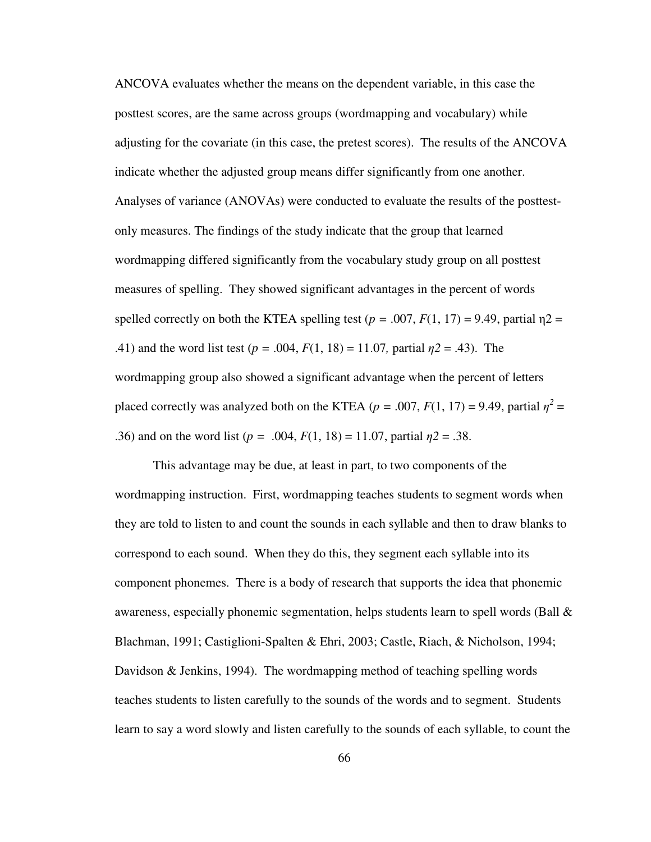ANCOVA evaluates whether the means on the dependent variable, in this case the posttest scores, are the same across groups (wordmapping and vocabulary) while adjusting for the covariate (in this case, the pretest scores). The results of the ANCOVA indicate whether the adjusted group means differ significantly from one another. Analyses of variance (ANOVAs) were conducted to evaluate the results of the posttestonly measures. The findings of the study indicate that the group that learned wordmapping differed significantly from the vocabulary study group on all posttest measures of spelling. They showed significant advantages in the percent of words spelled correctly on both the KTEA spelling test ( $p = .007$ ,  $F(1, 17) = 9.49$ , partial  $n2 =$ .41) and the word list test ( $p = .004$ ,  $F(1, 18) = 11.07$ , partial  $p2 = .43$ ). The wordmapping group also showed a significant advantage when the percent of letters placed correctly was analyzed both on the KTEA ( $p = .007$ ,  $F(1, 17) = 9.49$ , partial  $\eta^2 =$ .36) and on the word list ( $p = .004$ ,  $F(1, 18) = 11.07$ , partial  $\eta$ 2 = .38.

This advantage may be due, at least in part, to two components of the wordmapping instruction. First, wordmapping teaches students to segment words when they are told to listen to and count the sounds in each syllable and then to draw blanks to correspond to each sound. When they do this, they segment each syllable into its component phonemes. There is a body of research that supports the idea that phonemic awareness, especially phonemic segmentation, helps students learn to spell words (Ball  $\&$ Blachman, 1991; Castiglioni-Spalten & Ehri, 2003; Castle, Riach, & Nicholson, 1994; Davidson & Jenkins, 1994). The wordmapping method of teaching spelling words teaches students to listen carefully to the sounds of the words and to segment. Students learn to say a word slowly and listen carefully to the sounds of each syllable, to count the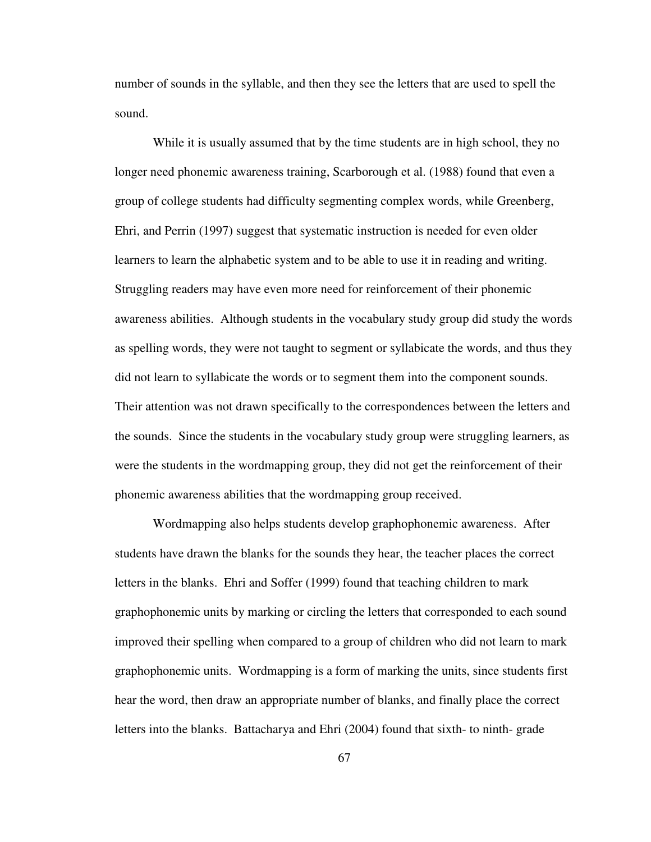number of sounds in the syllable, and then they see the letters that are used to spell the sound.

While it is usually assumed that by the time students are in high school, they no longer need phonemic awareness training, Scarborough et al. (1988) found that even a group of college students had difficulty segmenting complex words, while Greenberg, Ehri, and Perrin (1997) suggest that systematic instruction is needed for even older learners to learn the alphabetic system and to be able to use it in reading and writing. Struggling readers may have even more need for reinforcement of their phonemic awareness abilities. Although students in the vocabulary study group did study the words as spelling words, they were not taught to segment or syllabicate the words, and thus they did not learn to syllabicate the words or to segment them into the component sounds. Their attention was not drawn specifically to the correspondences between the letters and the sounds. Since the students in the vocabulary study group were struggling learners, as were the students in the wordmapping group, they did not get the reinforcement of their phonemic awareness abilities that the wordmapping group received.

Wordmapping also helps students develop graphophonemic awareness. After students have drawn the blanks for the sounds they hear, the teacher places the correct letters in the blanks. Ehri and Soffer (1999) found that teaching children to mark graphophonemic units by marking or circling the letters that corresponded to each sound improved their spelling when compared to a group of children who did not learn to mark graphophonemic units. Wordmapping is a form of marking the units, since students first hear the word, then draw an appropriate number of blanks, and finally place the correct letters into the blanks. Battacharya and Ehri (2004) found that sixth- to ninth- grade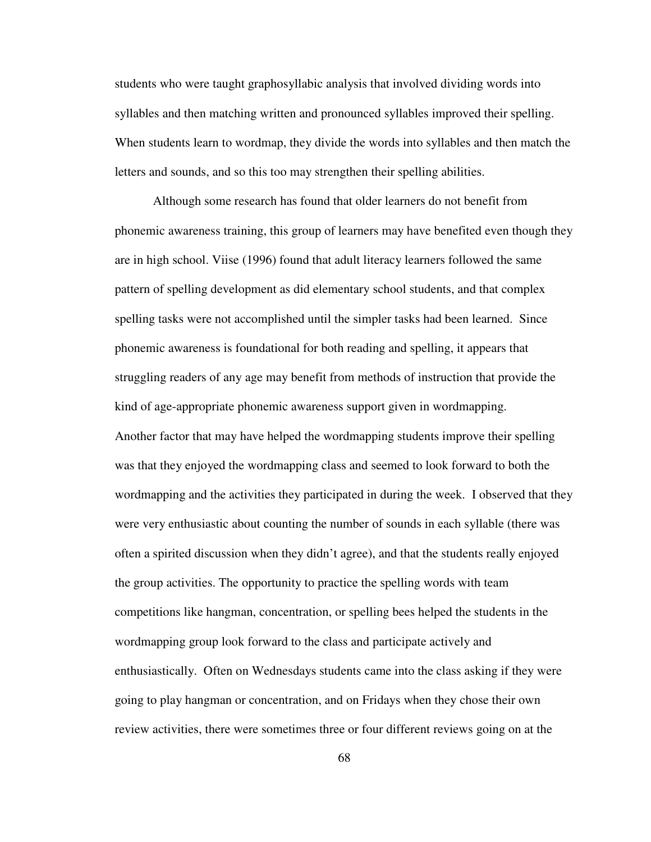students who were taught graphosyllabic analysis that involved dividing words into syllables and then matching written and pronounced syllables improved their spelling. When students learn to wordmap, they divide the words into syllables and then match the letters and sounds, and so this too may strengthen their spelling abilities.

 Although some research has found that older learners do not benefit from phonemic awareness training, this group of learners may have benefited even though they are in high school. Viise (1996) found that adult literacy learners followed the same pattern of spelling development as did elementary school students, and that complex spelling tasks were not accomplished until the simpler tasks had been learned. Since phonemic awareness is foundational for both reading and spelling, it appears that struggling readers of any age may benefit from methods of instruction that provide the kind of age-appropriate phonemic awareness support given in wordmapping. Another factor that may have helped the wordmapping students improve their spelling was that they enjoyed the wordmapping class and seemed to look forward to both the wordmapping and the activities they participated in during the week. I observed that they were very enthusiastic about counting the number of sounds in each syllable (there was often a spirited discussion when they didn't agree), and that the students really enjoyed the group activities. The opportunity to practice the spelling words with team competitions like hangman, concentration, or spelling bees helped the students in the wordmapping group look forward to the class and participate actively and enthusiastically. Often on Wednesdays students came into the class asking if they were going to play hangman or concentration, and on Fridays when they chose their own review activities, there were sometimes three or four different reviews going on at the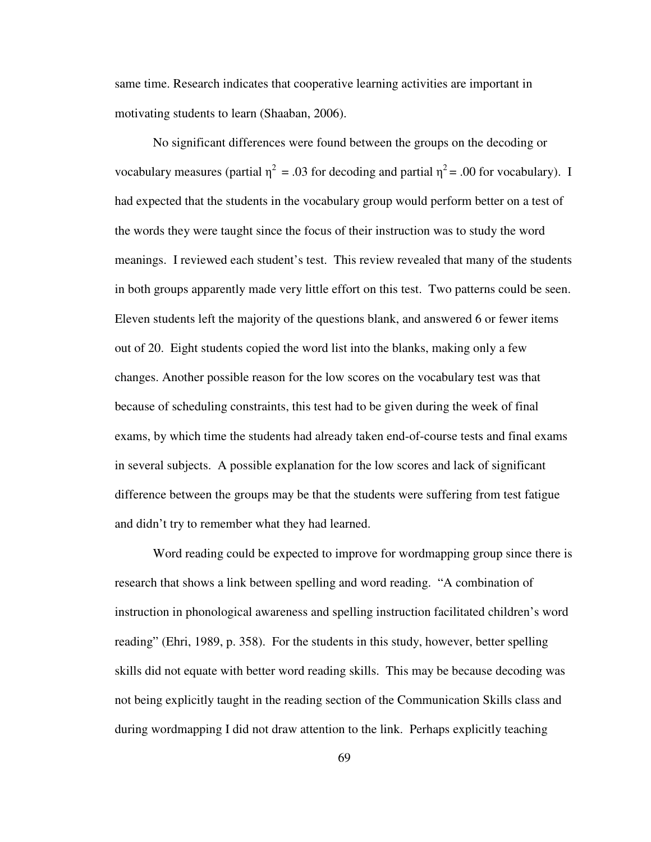same time. Research indicates that cooperative learning activities are important in motivating students to learn (Shaaban, 2006).

 No significant differences were found between the groups on the decoding or vocabulary measures (partial  $\eta^2 = .03$  for decoding and partial  $\eta^2 = .00$  for vocabulary). I had expected that the students in the vocabulary group would perform better on a test of the words they were taught since the focus of their instruction was to study the word meanings. I reviewed each student's test. This review revealed that many of the students in both groups apparently made very little effort on this test. Two patterns could be seen. Eleven students left the majority of the questions blank, and answered 6 or fewer items out of 20. Eight students copied the word list into the blanks, making only a few changes. Another possible reason for the low scores on the vocabulary test was that because of scheduling constraints, this test had to be given during the week of final exams, by which time the students had already taken end-of-course tests and final exams in several subjects. A possible explanation for the low scores and lack of significant difference between the groups may be that the students were suffering from test fatigue and didn't try to remember what they had learned.

Word reading could be expected to improve for wordmapping group since there is research that shows a link between spelling and word reading. "A combination of instruction in phonological awareness and spelling instruction facilitated children's word reading" (Ehri, 1989, p. 358). For the students in this study, however, better spelling skills did not equate with better word reading skills. This may be because decoding was not being explicitly taught in the reading section of the Communication Skills class and during wordmapping I did not draw attention to the link. Perhaps explicitly teaching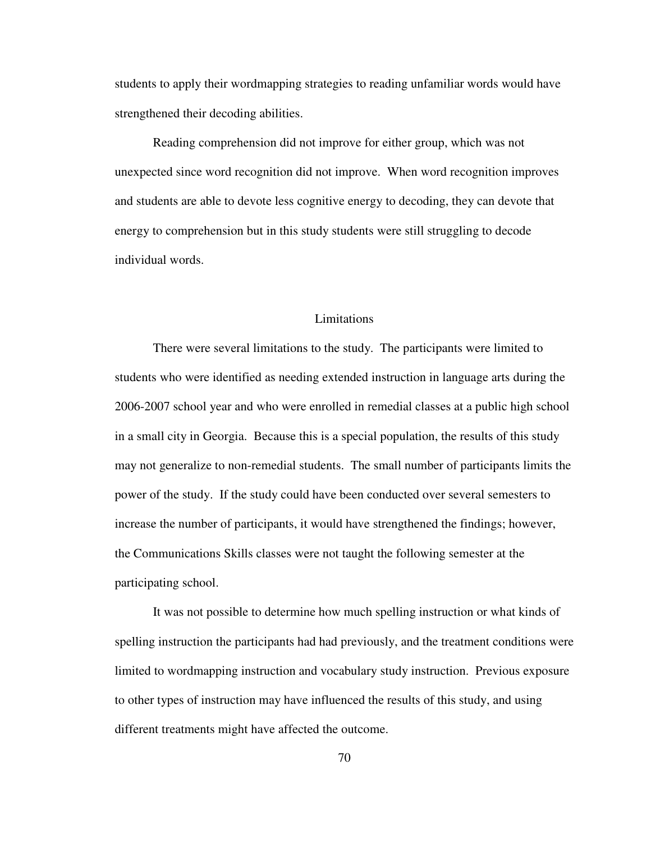students to apply their wordmapping strategies to reading unfamiliar words would have strengthened their decoding abilities.

Reading comprehension did not improve for either group, which was not unexpected since word recognition did not improve. When word recognition improves and students are able to devote less cognitive energy to decoding, they can devote that energy to comprehension but in this study students were still struggling to decode individual words.

#### Limitations

 There were several limitations to the study. The participants were limited to students who were identified as needing extended instruction in language arts during the 2006-2007 school year and who were enrolled in remedial classes at a public high school in a small city in Georgia. Because this is a special population, the results of this study may not generalize to non-remedial students. The small number of participants limits the power of the study. If the study could have been conducted over several semesters to increase the number of participants, it would have strengthened the findings; however, the Communications Skills classes were not taught the following semester at the participating school.

 It was not possible to determine how much spelling instruction or what kinds of spelling instruction the participants had had previously, and the treatment conditions were limited to wordmapping instruction and vocabulary study instruction. Previous exposure to other types of instruction may have influenced the results of this study, and using different treatments might have affected the outcome.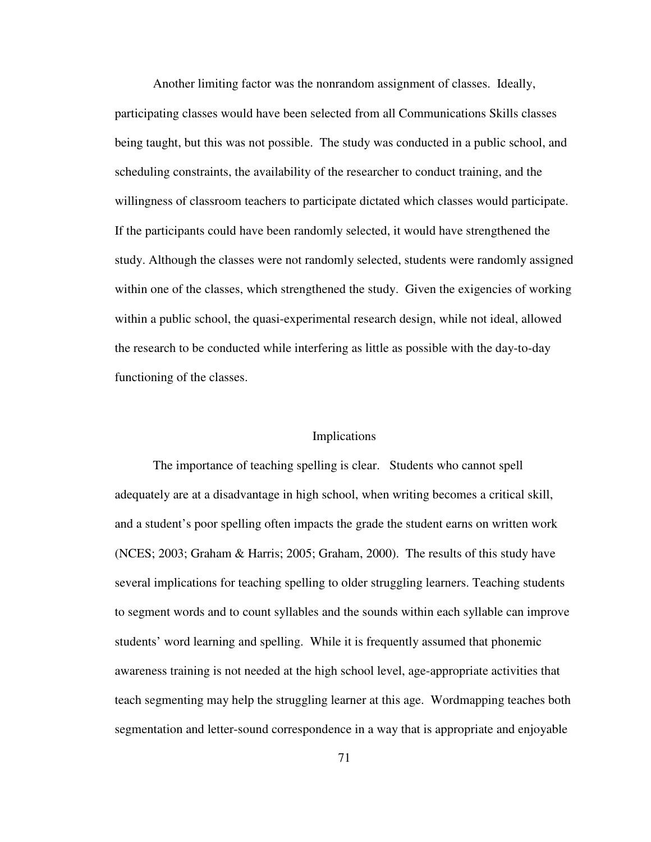Another limiting factor was the nonrandom assignment of classes. Ideally, participating classes would have been selected from all Communications Skills classes being taught, but this was not possible. The study was conducted in a public school, and scheduling constraints, the availability of the researcher to conduct training, and the willingness of classroom teachers to participate dictated which classes would participate. If the participants could have been randomly selected, it would have strengthened the study. Although the classes were not randomly selected, students were randomly assigned within one of the classes, which strengthened the study. Given the exigencies of working within a public school, the quasi-experimental research design, while not ideal, allowed the research to be conducted while interfering as little as possible with the day-to-day functioning of the classes.

#### Implications

The importance of teaching spelling is clear. Students who cannot spell adequately are at a disadvantage in high school, when writing becomes a critical skill, and a student's poor spelling often impacts the grade the student earns on written work (NCES; 2003; Graham & Harris; 2005; Graham, 2000). The results of this study have several implications for teaching spelling to older struggling learners. Teaching students to segment words and to count syllables and the sounds within each syllable can improve students' word learning and spelling. While it is frequently assumed that phonemic awareness training is not needed at the high school level, age-appropriate activities that teach segmenting may help the struggling learner at this age. Wordmapping teaches both segmentation and letter-sound correspondence in a way that is appropriate and enjoyable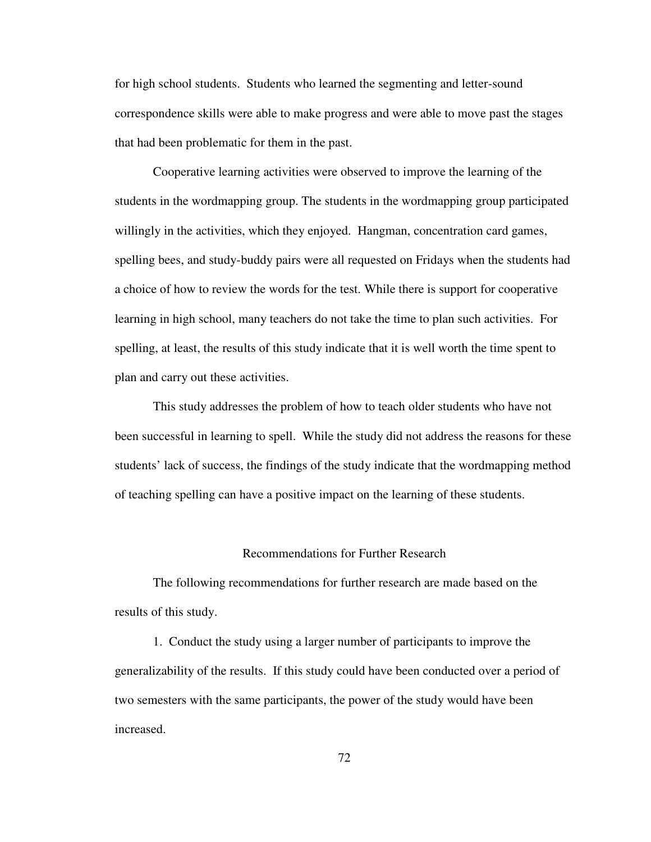for high school students. Students who learned the segmenting and letter-sound correspondence skills were able to make progress and were able to move past the stages that had been problematic for them in the past.

 Cooperative learning activities were observed to improve the learning of the students in the wordmapping group. The students in the wordmapping group participated willingly in the activities, which they enjoyed. Hangman, concentration card games, spelling bees, and study-buddy pairs were all requested on Fridays when the students had a choice of how to review the words for the test. While there is support for cooperative learning in high school, many teachers do not take the time to plan such activities. For spelling, at least, the results of this study indicate that it is well worth the time spent to plan and carry out these activities.

 This study addresses the problem of how to teach older students who have not been successful in learning to spell. While the study did not address the reasons for these students' lack of success, the findings of the study indicate that the wordmapping method of teaching spelling can have a positive impact on the learning of these students.

#### Recommendations for Further Research

 The following recommendations for further research are made based on the results of this study.

 1. Conduct the study using a larger number of participants to improve the generalizability of the results. If this study could have been conducted over a period of two semesters with the same participants, the power of the study would have been increased.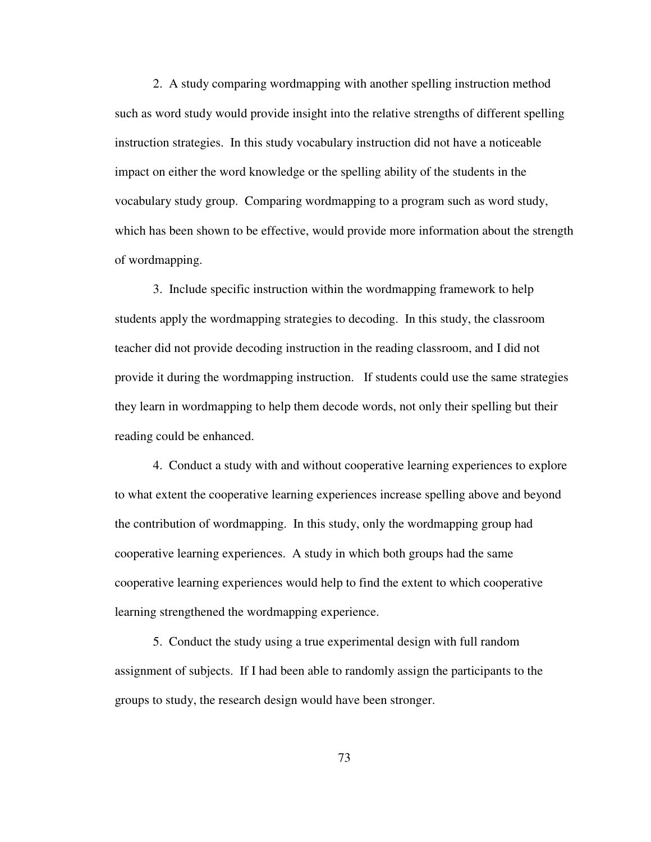2. A study comparing wordmapping with another spelling instruction method such as word study would provide insight into the relative strengths of different spelling instruction strategies. In this study vocabulary instruction did not have a noticeable impact on either the word knowledge or the spelling ability of the students in the vocabulary study group. Comparing wordmapping to a program such as word study, which has been shown to be effective, would provide more information about the strength of wordmapping.

 3. Include specific instruction within the wordmapping framework to help students apply the wordmapping strategies to decoding. In this study, the classroom teacher did not provide decoding instruction in the reading classroom, and I did not provide it during the wordmapping instruction. If students could use the same strategies they learn in wordmapping to help them decode words, not only their spelling but their reading could be enhanced.

 4. Conduct a study with and without cooperative learning experiences to explore to what extent the cooperative learning experiences increase spelling above and beyond the contribution of wordmapping. In this study, only the wordmapping group had cooperative learning experiences. A study in which both groups had the same cooperative learning experiences would help to find the extent to which cooperative learning strengthened the wordmapping experience.

 5. Conduct the study using a true experimental design with full random assignment of subjects. If I had been able to randomly assign the participants to the groups to study, the research design would have been stronger.

73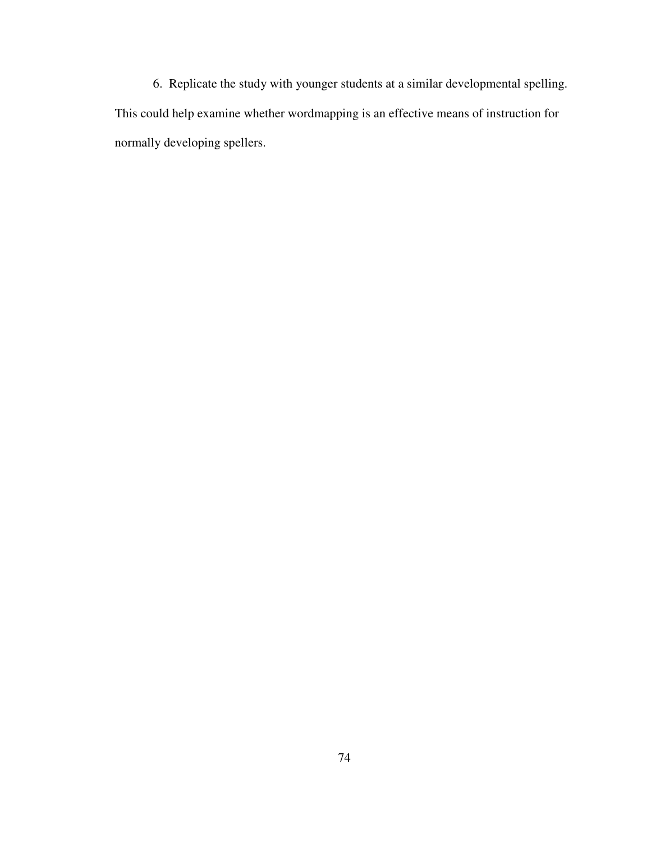6. Replicate the study with younger students at a similar developmental spelling. This could help examine whether wordmapping is an effective means of instruction for normally developing spellers.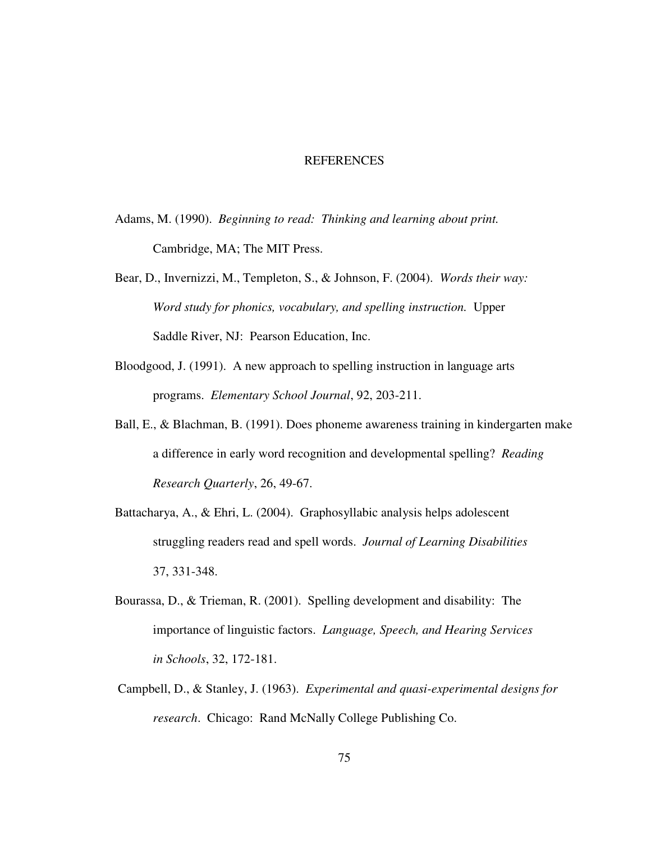#### REFERENCES

- Adams, M. (1990). *Beginning to read: Thinking and learning about print.*  Cambridge, MA; The MIT Press.
- Bear, D., Invernizzi, M., Templeton, S., & Johnson, F. (2004). *Words their way: Word study for phonics, vocabulary, and spelling instruction.* Upper Saddle River, NJ: Pearson Education, Inc.
- Bloodgood, J. (1991). A new approach to spelling instruction in language arts programs. *Elementary School Journal*, 92, 203-211.
- Ball, E., & Blachman, B. (1991). Does phoneme awareness training in kindergarten make a difference in early word recognition and developmental spelling? *Reading Research Quarterly*, 26, 49-67.
- Battacharya, A., & Ehri, L. (2004). Graphosyllabic analysis helps adolescent struggling readers read and spell words. *Journal of Learning Disabilities*  37, 331-348.
- Bourassa, D., & Trieman, R. (2001). Spelling development and disability: The importance of linguistic factors. *Language, Speech, and Hearing Services in Schools*, 32, 172-181.
- Campbell, D., & Stanley, J. (1963). *Experimental and quasi-experimental designs for research*. Chicago: Rand McNally College Publishing Co.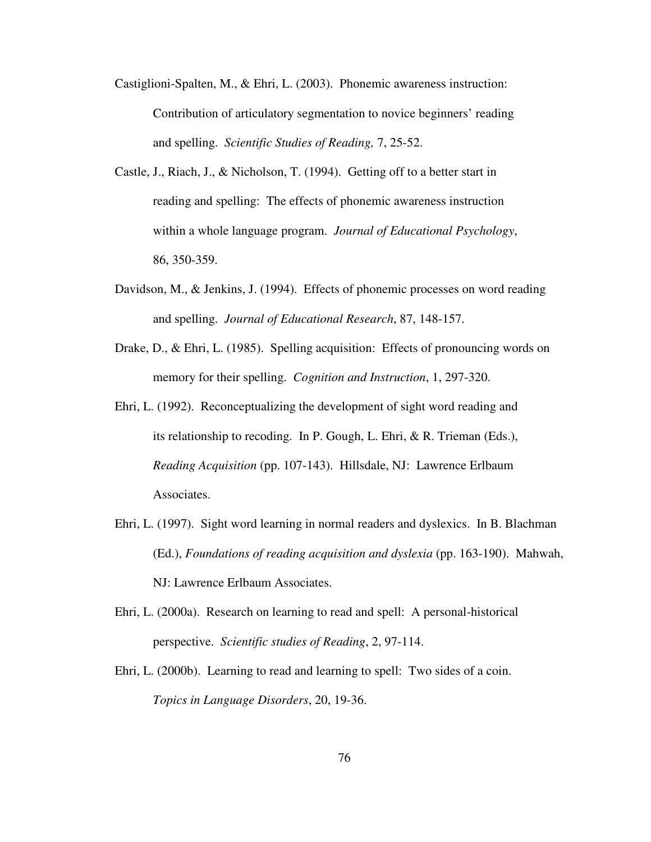- Castiglioni-Spalten, M., & Ehri, L. (2003). Phonemic awareness instruction: Contribution of articulatory segmentation to novice beginners' reading and spelling. *Scientific Studies of Reading,* 7, 25-52.
- Castle, J., Riach, J., & Nicholson, T. (1994). Getting off to a better start in reading and spelling: The effects of phonemic awareness instruction within a whole language program. *Journal of Educational Psychology*, 86, 350-359.
- Davidson, M., & Jenkins, J. (1994). Effects of phonemic processes on word reading and spelling. *Journal of Educational Research*, 87, 148-157.
- Drake, D., & Ehri, L. (1985). Spelling acquisition: Effects of pronouncing words on memory for their spelling. *Cognition and Instruction*, 1, 297-320.
- Ehri, L. (1992). Reconceptualizing the development of sight word reading and its relationship to recoding. In P. Gough, L. Ehri, & R. Trieman (Eds.), *Reading Acquisition* (pp. 107-143). Hillsdale, NJ: Lawrence Erlbaum Associates.
- Ehri, L. (1997). Sight word learning in normal readers and dyslexics. In B. Blachman (Ed.), *Foundations of reading acquisition and dyslexia* (pp. 163-190). Mahwah, NJ: Lawrence Erlbaum Associates.
- Ehri, L. (2000a). Research on learning to read and spell: A personal-historical perspective. *Scientific studies of Reading*, 2, 97-114.
- Ehri, L. (2000b). Learning to read and learning to spell: Two sides of a coin. *Topics in Language Disorders*, 20, 19-36.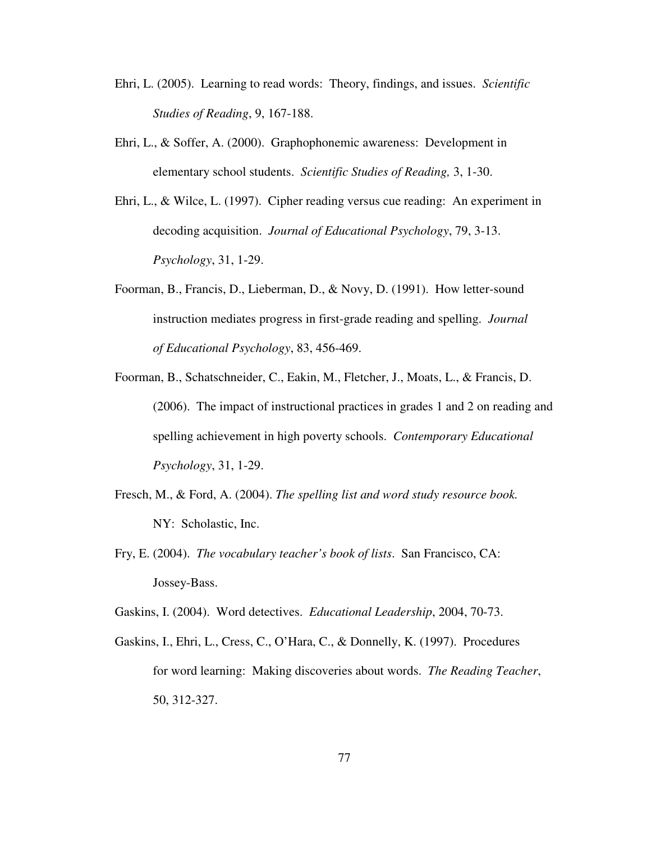- Ehri, L. (2005). Learning to read words: Theory, findings, and issues. *Scientific Studies of Reading*, 9, 167-188.
- Ehri, L., & Soffer, A. (2000). Graphophonemic awareness: Development in elementary school students. *Scientific Studies of Reading,* 3, 1-30.
- Ehri, L., & Wilce, L. (1997). Cipher reading versus cue reading: An experiment in decoding acquisition. *Journal of Educational Psychology*, 79, 3-13.  *Psychology*, 31, 1-29.
- Foorman, B., Francis, D., Lieberman, D., & Novy, D. (1991). How letter-sound instruction mediates progress in first-grade reading and spelling. *Journal of Educational Psychology*, 83, 456-469.
- Foorman, B., Schatschneider, C., Eakin, M., Fletcher, J., Moats, L., & Francis, D. (2006). The impact of instructional practices in grades 1 and 2 on reading and spelling achievement in high poverty schools. *Contemporary Educational Psychology*, 31, 1-29.
- Fresch, M., & Ford, A. (2004). *The spelling list and word study resource book.*  NY: Scholastic, Inc.
- Fry, E. (2004). *The vocabulary teacher's book of lists*. San Francisco, CA: Jossey-Bass.

Gaskins, I. (2004). Word detectives. *Educational Leadership*, 2004, 70-73.

Gaskins, I., Ehri, L., Cress, C., O'Hara, C., & Donnelly, K. (1997). Procedures for word learning: Making discoveries about words. *The Reading Teacher*, 50, 312-327.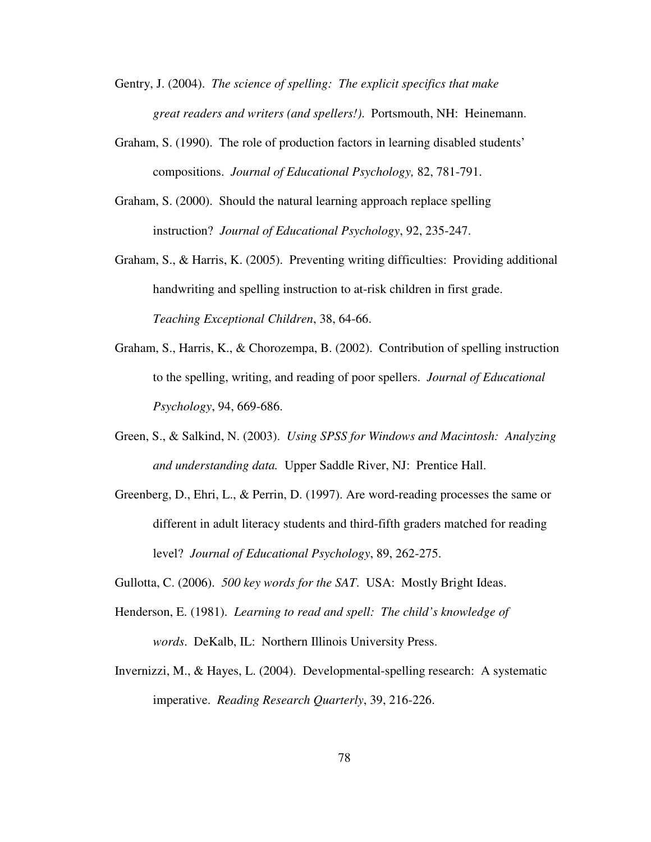- Gentry, J. (2004). *The science of spelling: The explicit specifics that make great readers and writers (and spellers!)*. Portsmouth, NH: Heinemann.
- Graham, S. (1990). The role of production factors in learning disabled students' compositions. *Journal of Educational Psychology,* 82, 781-791.
- Graham, S. (2000). Should the natural learning approach replace spelling instruction? *Journal of Educational Psychology*, 92, 235-247.
- Graham, S., & Harris, K. (2005). Preventing writing difficulties: Providing additional handwriting and spelling instruction to at-risk children in first grade.  *Teaching Exceptional Children*, 38, 64-66.
- Graham, S., Harris, K., & Chorozempa, B. (2002). Contribution of spelling instruction to the spelling, writing, and reading of poor spellers. *Journal of Educational Psychology*, 94, 669-686.
- Green, S., & Salkind, N. (2003). *Using SPSS for Windows and Macintosh: Analyzing and understanding data.* Upper Saddle River, NJ: Prentice Hall.
- Greenberg, D., Ehri, L., & Perrin, D. (1997). Are word-reading processes the same or different in adult literacy students and third-fifth graders matched for reading level? *Journal of Educational Psychology*, 89, 262-275.
- Gullotta, C. (2006). *500 key words for the SAT*. USA: Mostly Bright Ideas.
- Henderson, E. (1981). *Learning to read and spell: The child's knowledge of words*. DeKalb, IL: Northern Illinois University Press.
- Invernizzi, M., & Hayes, L. (2004). Developmental-spelling research: A systematic imperative. *Reading Research Quarterly*, 39, 216-226.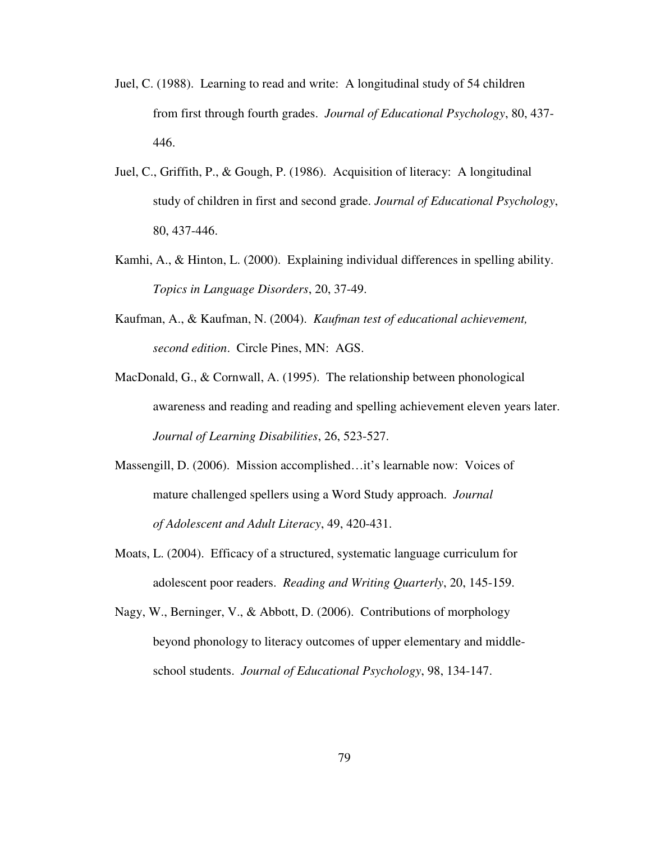- Juel, C. (1988). Learning to read and write: A longitudinal study of 54 children from first through fourth grades. *Journal of Educational Psychology*, 80, 437- 446.
- Juel, C., Griffith, P., & Gough, P. (1986). Acquisition of literacy: A longitudinal study of children in first and second grade. *Journal of Educational Psychology*, 80, 437-446.
- Kamhi, A., & Hinton, L. (2000). Explaining individual differences in spelling ability. *Topics in Language Disorders*, 20, 37-49.
- Kaufman, A., & Kaufman, N. (2004). *Kaufman test of educational achievement, second edition*. Circle Pines, MN: AGS.
- MacDonald, G., & Cornwall, A. (1995). The relationship between phonological awareness and reading and reading and spelling achievement eleven years later. *Journal of Learning Disabilities*, 26, 523-527.
- Massengill, D. (2006). Mission accomplished…it's learnable now: Voices of mature challenged spellers using a Word Study approach. *Journal of Adolescent and Adult Literacy*, 49, 420-431.
- Moats, L. (2004). Efficacy of a structured, systematic language curriculum for adolescent poor readers. *Reading and Writing Quarterly*, 20, 145-159.
- Nagy, W., Berninger, V., & Abbott, D. (2006). Contributions of morphology beyond phonology to literacy outcomes of upper elementary and middle school students. *Journal of Educational Psychology*, 98, 134-147.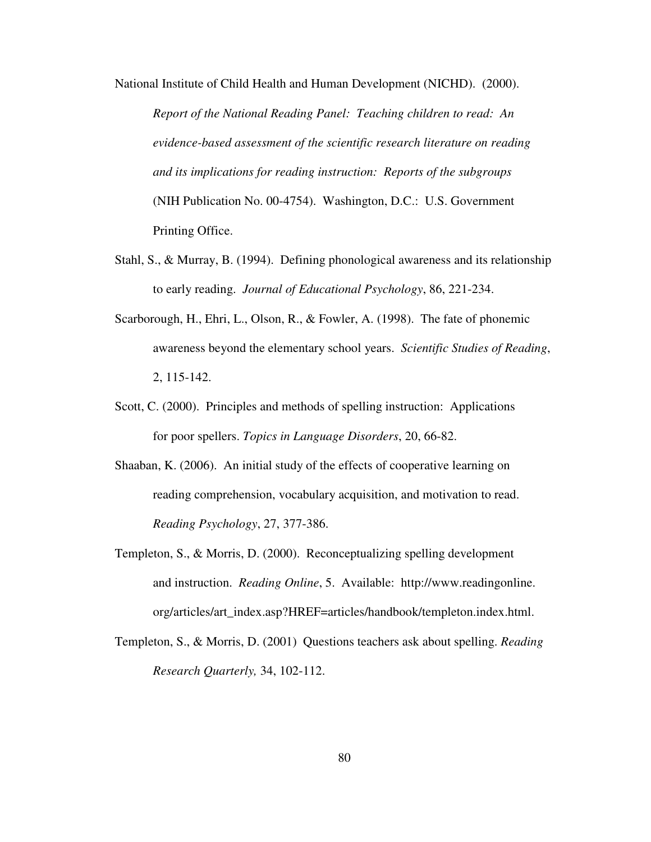National Institute of Child Health and Human Development (NICHD). (2000). *Report of the National Reading Panel: Teaching children to read: An evidence-based assessment of the scientific research literature on reading and its implications for reading instruction: Reports of the subgroups* (NIH Publication No. 00-4754). Washington, D.C.: U.S. Government Printing Office.

- Stahl, S., & Murray, B. (1994). Defining phonological awareness and its relationship to early reading. *Journal of Educational Psychology*, 86, 221-234.
- Scarborough, H., Ehri, L., Olson, R., & Fowler, A. (1998). The fate of phonemic awareness beyond the elementary school years. *Scientific Studies of Reading*, 2, 115-142.
- Scott, C. (2000). Principles and methods of spelling instruction: Applications for poor spellers. *Topics in Language Disorders*, 20, 66-82.
- Shaaban, K. (2006). An initial study of the effects of cooperative learning on reading comprehension, vocabulary acquisition, and motivation to read. *Reading Psychology*, 27, 377-386.
- Templeton, S., & Morris, D. (2000). Reconceptualizing spelling development and instruction. *Reading Online*, 5. Available: http://www.readingonline. org/articles/art\_index.asp?HREF=articles/handbook/templeton.index.html.
- Templeton, S., & Morris, D. (2001) Questions teachers ask about spelling. *Reading Research Quarterly,* 34, 102-112.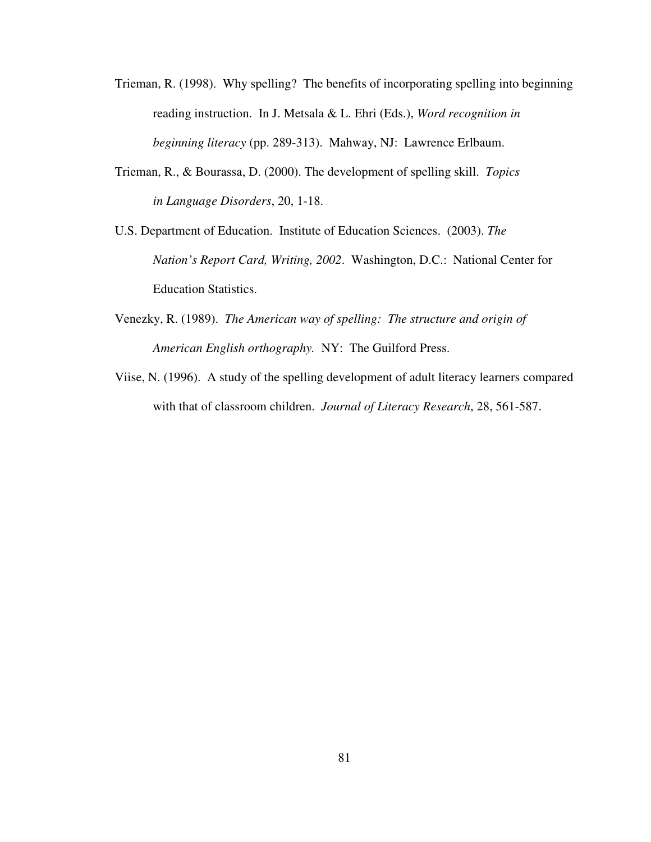- Trieman, R. (1998). Why spelling? The benefits of incorporating spelling into beginning reading instruction. In J. Metsala & L. Ehri (Eds.), *Word recognition in beginning literacy* (pp. 289-313). Mahway, NJ: Lawrence Erlbaum.
- Trieman, R., & Bourassa, D. (2000). The development of spelling skill. *Topics in Language Disorders*, 20, 1-18.

U.S. Department of Education. Institute of Education Sciences. (2003). *The Nation's Report Card, Writing, 2002*. Washington, D.C.: National Center for Education Statistics.

- Venezky, R. (1989). *The American way of spelling: The structure and origin of American English orthography.* NY: The Guilford Press.
- Viise, N. (1996). A study of the spelling development of adult literacy learners compared with that of classroom children. *Journal of Literacy Research*, 28, 561-587.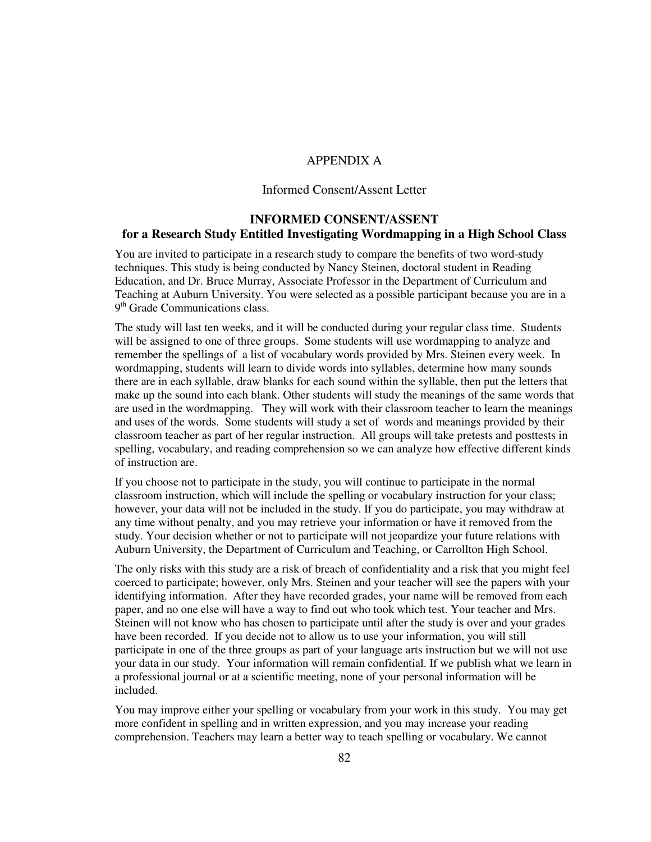## APPENDIX A

#### Informed Consent/Assent Letter

# **INFORMED CONSENT/ASSENT for a Research Study Entitled Investigating Wordmapping in a High School Class**

You are invited to participate in a research study to compare the benefits of two word-study techniques. This study is being conducted by Nancy Steinen, doctoral student in Reading Education, and Dr. Bruce Murray, Associate Professor in the Department of Curriculum and Teaching at Auburn University. You were selected as a possible participant because you are in a 9<sup>th</sup> Grade Communications class.

The study will last ten weeks, and it will be conducted during your regular class time. Students will be assigned to one of three groups. Some students will use wordmapping to analyze and remember the spellings of a list of vocabulary words provided by Mrs. Steinen every week. In wordmapping, students will learn to divide words into syllables, determine how many sounds there are in each syllable, draw blanks for each sound within the syllable, then put the letters that make up the sound into each blank. Other students will study the meanings of the same words that are used in the wordmapping. They will work with their classroom teacher to learn the meanings and uses of the words. Some students will study a set of words and meanings provided by their classroom teacher as part of her regular instruction. All groups will take pretests and posttests in spelling, vocabulary, and reading comprehension so we can analyze how effective different kinds of instruction are.

If you choose not to participate in the study, you will continue to participate in the normal classroom instruction, which will include the spelling or vocabulary instruction for your class; however, your data will not be included in the study. If you do participate, you may withdraw at any time without penalty, and you may retrieve your information or have it removed from the study. Your decision whether or not to participate will not jeopardize your future relations with Auburn University, the Department of Curriculum and Teaching, or Carrollton High School.

The only risks with this study are a risk of breach of confidentiality and a risk that you might feel coerced to participate; however, only Mrs. Steinen and your teacher will see the papers with your identifying information. After they have recorded grades, your name will be removed from each paper, and no one else will have a way to find out who took which test. Your teacher and Mrs. Steinen will not know who has chosen to participate until after the study is over and your grades have been recorded. If you decide not to allow us to use your information, you will still participate in one of the three groups as part of your language arts instruction but we will not use your data in our study. Your information will remain confidential. If we publish what we learn in a professional journal or at a scientific meeting, none of your personal information will be included.

You may improve either your spelling or vocabulary from your work in this study. You may get more confident in spelling and in written expression, and you may increase your reading comprehension. Teachers may learn a better way to teach spelling or vocabulary. We cannot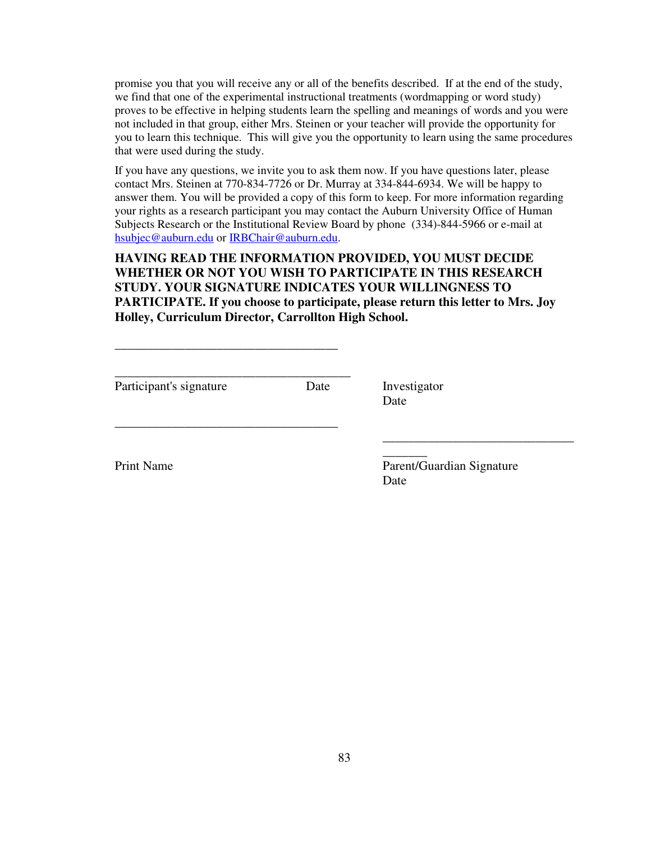promise you that you will receive any or all of the benefits described. If at the end of the study, we find that one of the experimental instructional treatments (wordmapping or word study) proves to be effective in helping students learn the spelling and meanings of words and you were not included in that group, either Mrs. Steinen or your teacher will provide the opportunity for you to learn this technique. This will give you the opportunity to learn using the same procedures that were used during the study.

If you have any questions, we invite you to ask them now. If you have questions later, please contact Mrs. Steinen at 770-834-7726 or Dr. Murray at 334-844-6934. We will be happy to answer them. You will be provided a copy of this form to keep. For more information regarding your rights as a research participant you may contact the Auburn University Office of Human Subjects Research or the Institutional Review Board by phone (334)-844-5966 or e-mail at hsubjec@auburn.edu or IRBChair@auburn.edu.

**HAVING READ THE INFORMATION PROVIDED, YOU MUST DECIDE WHETHER OR NOT YOU WISH TO PARTICIPATE IN THIS RESEARCH STUDY. YOUR SIGNATURE INDICATES YOUR WILLINGNESS TO PARTICIPATE. If you choose to participate, please return this letter to Mrs. Joy Holley, Curriculum Director, Carrollton High School.** 

Participant's signature Date Investigator

\_\_\_\_\_\_\_\_\_\_\_\_\_\_\_\_\_\_\_\_\_\_\_\_\_\_\_\_\_\_\_\_\_\_\_

\_\_\_\_\_\_\_\_\_\_\_\_\_\_\_\_\_\_\_\_\_\_\_\_\_\_\_\_\_\_\_\_\_\_\_

\_\_\_\_\_\_\_\_\_\_\_\_\_\_\_\_\_\_\_\_\_\_\_\_\_\_\_\_\_\_\_\_\_\_\_\_\_

Date

\_\_\_\_\_\_\_

Print Name Parent/Guardian Signature Date

\_\_\_\_\_\_\_\_\_\_\_\_\_\_\_\_\_\_\_\_\_\_\_\_\_\_\_\_\_\_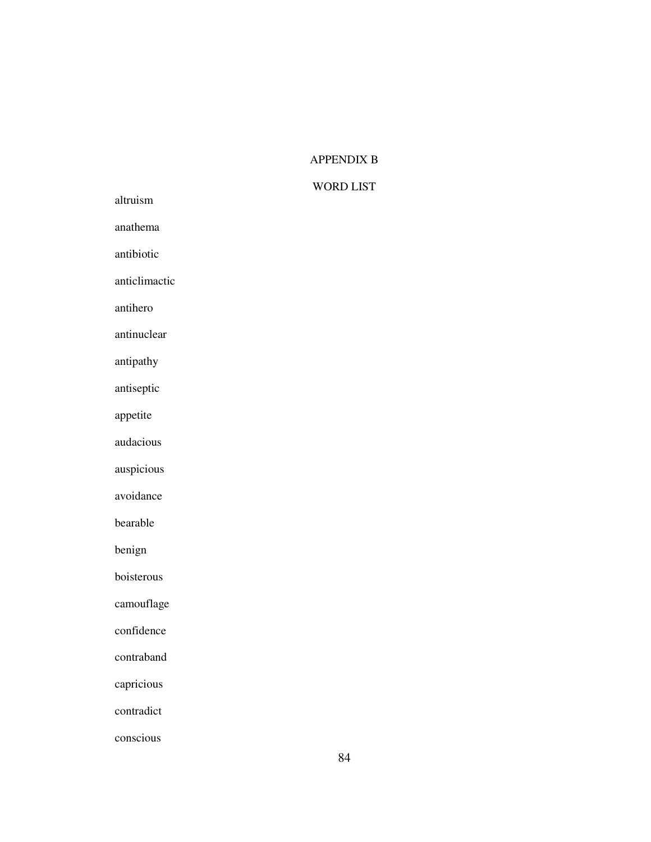# APPENDIX B

# WORD LIST

|               | WUJ |
|---------------|-----|
| altruism      |     |
| anathema      |     |
| antibiotic    |     |
| anticlimactic |     |
| antihero      |     |
| antinuclear   |     |
| antipathy     |     |
| antiseptic    |     |
| appetite      |     |
| audacious     |     |
| auspicious    |     |
| avoidance     |     |
| bearable      |     |
| benign        |     |
| boisterous    |     |
| camouflage    |     |
| confidence    |     |
| contraband    |     |
| capricious    |     |
| contradict    |     |

conscious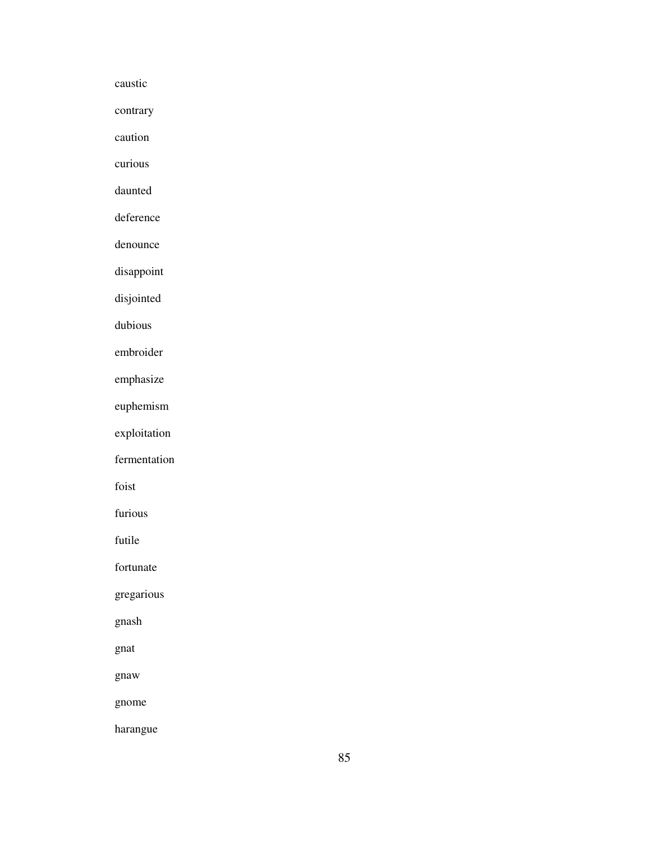caustic

contrary

caution

curious

daunted

deference

denounce

disappoint

disjointed

dubious

embroider

emphasize

euphemism

exploitation

fermentation

foist

furious

futile

fortunate

gregarious

gnash

gnat

gnaw

gnome

harangue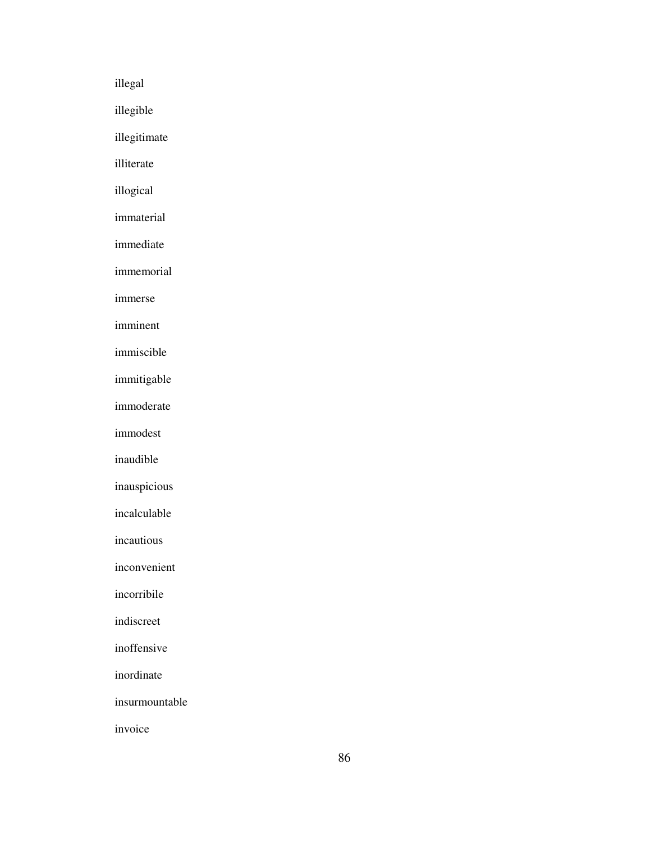illegal illegible illegitimate illiterate illogical immaterial immediate immemorial immerse imminent immiscible immitigable immoderate immodest inaudible inauspicious incalculable incautious inconvenient incorribile indiscreet inoffensive inordinate insurmountable invoice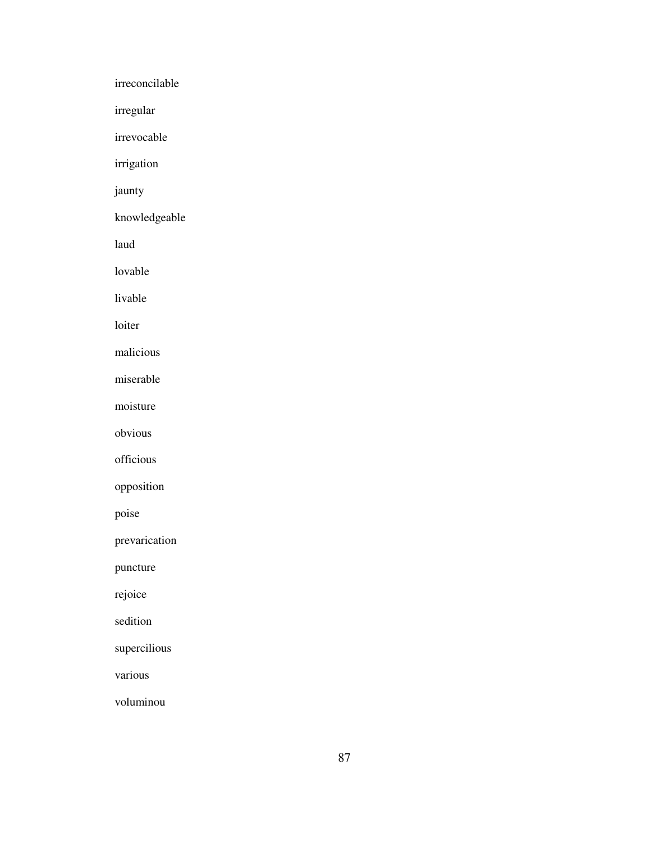irreconcilable irregular irrevocable irrigation jaunty knowledgeable laud lovable livable loiter malicious miserable moisture obvious officious opposition poise prevarication puncture rejoice sedition supercilious various voluminou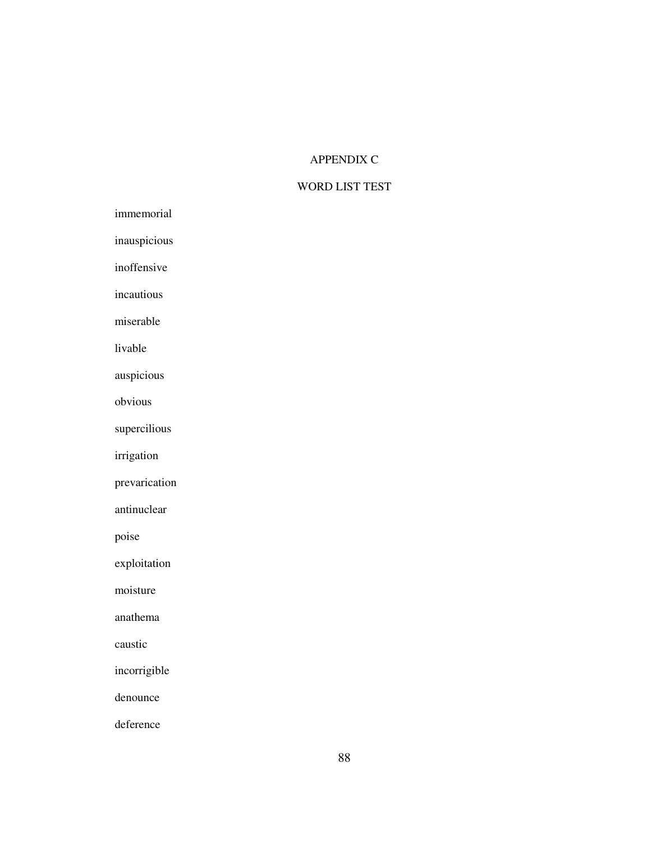# APPENDIX C

# WORD LIST TEST

| immemorial |
|------------|
|            |

inauspicious

inoffensive

incautious

miserable

livable

auspicious

obvious

supercilious

irrigation

prevarication

antinuclear

poise

exploitation

moisture

anathema

caustic

incorrigible

denounce

deference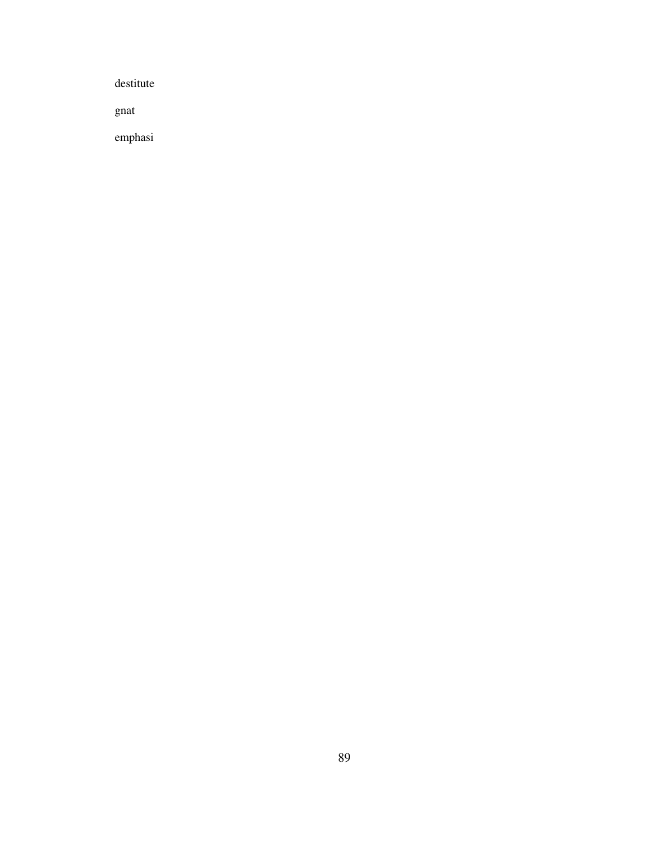destitute

gnat

emphasi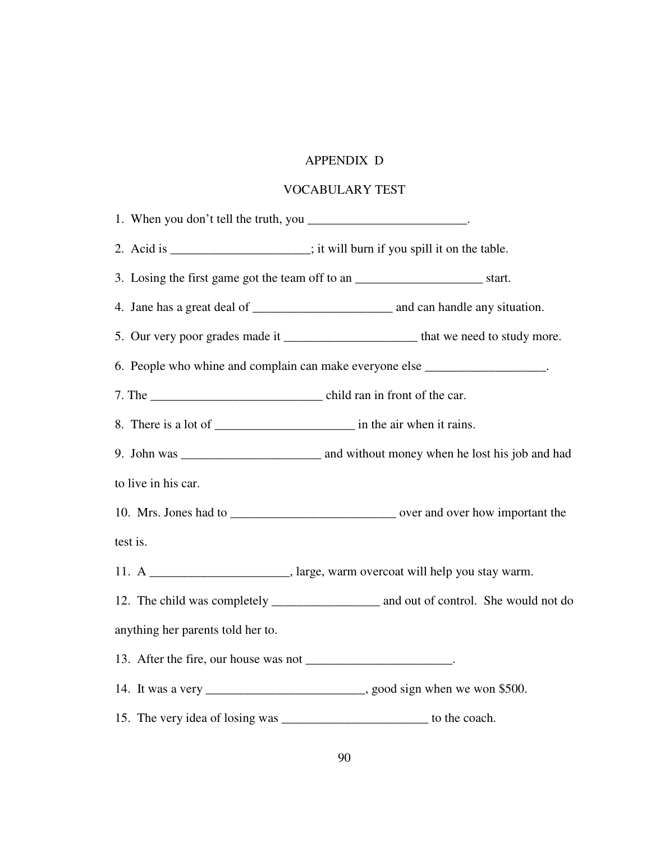# APPENDIX D

# VOCABULARY TEST

| 1. When you don't tell the truth, you __________________________.   |                                                                                         |
|---------------------------------------------------------------------|-----------------------------------------------------------------------------------------|
|                                                                     | 2. Acid is ____________________; it will burn if you spill it on the table.             |
|                                                                     | 3. Losing the first game got the team off to an _________________________________start. |
|                                                                     |                                                                                         |
|                                                                     | 5. Our very poor grades made it __________________________ that we need to study more.  |
|                                                                     | 6. People who whine and complain can make everyone else _________________.              |
|                                                                     |                                                                                         |
|                                                                     |                                                                                         |
|                                                                     |                                                                                         |
| to live in his car.                                                 |                                                                                         |
|                                                                     |                                                                                         |
| test is.                                                            |                                                                                         |
|                                                                     | 11. A ___________________________, large, warm overcoat will help you stay warm.        |
|                                                                     |                                                                                         |
| anything her parents told her to.                                   |                                                                                         |
| 13. After the fire, our house was not ____________________________. |                                                                                         |
|                                                                     | 14. It was a very _______________________________, good sign when we won \$500.         |
|                                                                     | 15. The very idea of losing was ___________________________ to the coach.               |